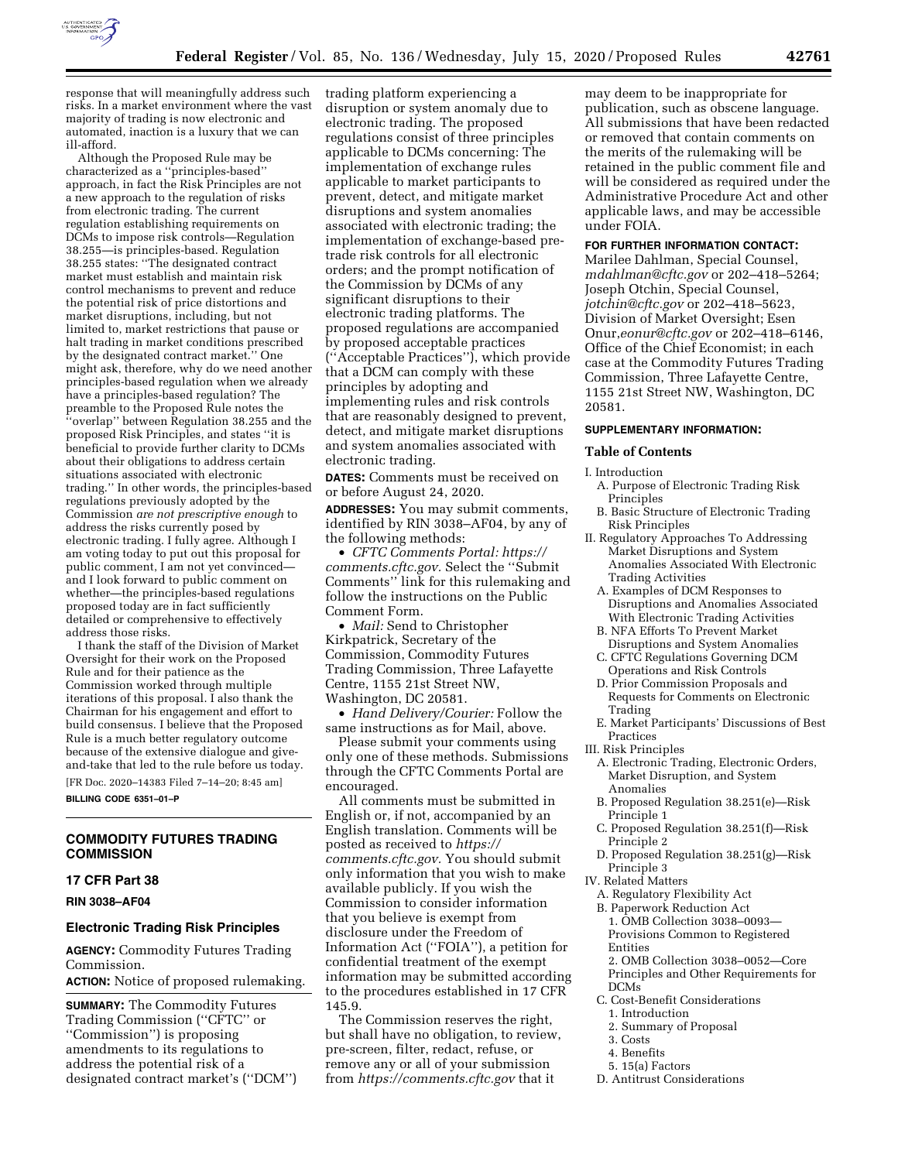

response that will meaningfully address such risks. In a market environment where the vast majority of trading is now electronic and automated, inaction is a luxury that we can ill-afford.

Although the Proposed Rule may be characterized as a ''principles-based'' approach, in fact the Risk Principles are not a new approach to the regulation of risks from electronic trading. The current regulation establishing requirements on DCMs to impose risk controls—Regulation 38.255—is principles-based. Regulation 38.255 states: ''The designated contract market must establish and maintain risk control mechanisms to prevent and reduce the potential risk of price distortions and market disruptions, including, but not limited to, market restrictions that pause or halt trading in market conditions prescribed by the designated contract market.'' One might ask, therefore, why do we need another principles-based regulation when we already have a principles-based regulation? The preamble to the Proposed Rule notes the ''overlap'' between Regulation 38.255 and the proposed Risk Principles, and states ''it is beneficial to provide further clarity to DCMs about their obligations to address certain situations associated with electronic trading.'' In other words, the principles-based regulations previously adopted by the Commission *are not prescriptive enough* to address the risks currently posed by electronic trading. I fully agree. Although I am voting today to put out this proposal for public comment, I am not yet convinced and I look forward to public comment on whether—the principles-based regulations proposed today are in fact sufficiently detailed or comprehensive to effectively address those risks.

I thank the staff of the Division of Market Oversight for their work on the Proposed Rule and for their patience as the Commission worked through multiple iterations of this proposal. I also thank the Chairman for his engagement and effort to build consensus. I believe that the Proposed Rule is a much better regulatory outcome because of the extensive dialogue and giveand-take that led to the rule before us today.

[FR Doc. 2020–14383 Filed 7–14–20; 8:45 am] **BILLING CODE 6351–01–P** 

### **COMMODITY FUTURES TRADING COMMISSION**

### **17 CFR Part 38**

**RIN 3038–AF04** 

#### **Electronic Trading Risk Principles**

**AGENCY:** Commodity Futures Trading Commission. **ACTION:** Notice of proposed rulemaking.

**SUMMARY:** The Commodity Futures Trading Commission (''CFTC'' or ''Commission'') is proposing amendments to its regulations to address the potential risk of a designated contract market's (''DCM'') trading platform experiencing a disruption or system anomaly due to electronic trading. The proposed regulations consist of three principles applicable to DCMs concerning: The implementation of exchange rules applicable to market participants to prevent, detect, and mitigate market disruptions and system anomalies associated with electronic trading; the implementation of exchange-based pretrade risk controls for all electronic orders; and the prompt notification of the Commission by DCMs of any significant disruptions to their electronic trading platforms. The proposed regulations are accompanied by proposed acceptable practices (''Acceptable Practices''), which provide that a DCM can comply with these principles by adopting and implementing rules and risk controls that are reasonably designed to prevent, detect, and mitigate market disruptions and system anomalies associated with electronic trading.

**DATES:** Comments must be received on or before August 24, 2020.

**ADDRESSES:** You may submit comments, identified by RIN 3038–AF04, by any of the following methods:

• *CFTC Comments Portal: [https://](https://comments.cftc.gov) [comments.cftc.gov.](https://comments.cftc.gov)* Select the "Submit" Comments'' link for this rulemaking and follow the instructions on the Public Comment Form.

• *Mail:* Send to Christopher Kirkpatrick, Secretary of the Commission, Commodity Futures Trading Commission, Three Lafayette Centre, 1155 21st Street NW, Washington, DC 20581.

• *Hand Delivery/Courier:* Follow the same instructions as for Mail, above.

Please submit your comments using only one of these methods. Submissions through the CFTC Comments Portal are encouraged.

All comments must be submitted in English or, if not, accompanied by an English translation. Comments will be posted as received to *[https://](https://comments.cftc.gov) [comments.cftc.gov.](https://comments.cftc.gov)* You should submit only information that you wish to make available publicly. If you wish the Commission to consider information that you believe is exempt from disclosure under the Freedom of Information Act (''FOIA''), a petition for confidential treatment of the exempt information may be submitted according to the procedures established in 17 CFR 145.9.

The Commission reserves the right, but shall have no obligation, to review, pre-screen, filter, redact, refuse, or remove any or all of your submission from *<https://comments.cftc.gov>* that it

may deem to be inappropriate for publication, such as obscene language. All submissions that have been redacted or removed that contain comments on the merits of the rulemaking will be retained in the public comment file and will be considered as required under the Administrative Procedure Act and other applicable laws, and may be accessible under FOIA.

## **FOR FURTHER INFORMATION CONTACT:**

Marilee Dahlman, Special Counsel, *[mdahlman@cftc.gov](mailto:mdahlman@cftc.gov)* or 202–418–5264; Joseph Otchin, Special Counsel, *[jotchin@cftc.gov](mailto:jotchin@cftc.gov)* or 202–418–5623, Division of Market Oversight; Esen Onur,*[eonur@cftc.gov](mailto:eonur@cftc.gov)* or 202–418–6146, Office of the Chief Economist; in each case at the Commodity Futures Trading Commission, Three Lafayette Centre, 1155 21st Street NW, Washington, DC 20581.

### **SUPPLEMENTARY INFORMATION:**

## **Table of Contents**

- I. Introduction A. Purpose of Electronic Trading Risk Principles
	- B. Basic Structure of Electronic Trading Risk Principles
- II. Regulatory Approaches To Addressing Market Disruptions and System Anomalies Associated With Electronic Trading Activities
	- A. Examples of DCM Responses to Disruptions and Anomalies Associated With Electronic Trading Activities
	- B. NFA Efforts To Prevent Market Disruptions and System Anomalies
	- C. CFTC Regulations Governing DCM Operations and Risk Controls
	- D. Prior Commission Proposals and Requests for Comments on Electronic Trading
- E. Market Participants' Discussions of Best Practices
- III. Risk Principles
- A. Electronic Trading, Electronic Orders, Market Disruption, and System Anomalies
- B. Proposed Regulation 38.251(e)—Risk Principle 1
- C. Proposed Regulation 38.251(f)—Risk Principle 2
- D. Proposed Regulation 38.251(g)—Risk Principle 3

### IV. Related Matters

- A. Regulatory Flexibility Act
- B. Paperwork Reduction Act 1. OMB Collection 3038–0093— Provisions Common to Registered Entities
- 2. OMB Collection 3038–0052—Core Principles and Other Requirements for DCMs
- C. Cost-Benefit Considerations
	- 1. Introduction
	- 2. Summary of Proposal
- 3. Costs
- 4. Benefits
- 5. 15(a) Factors
- D. Antitrust Considerations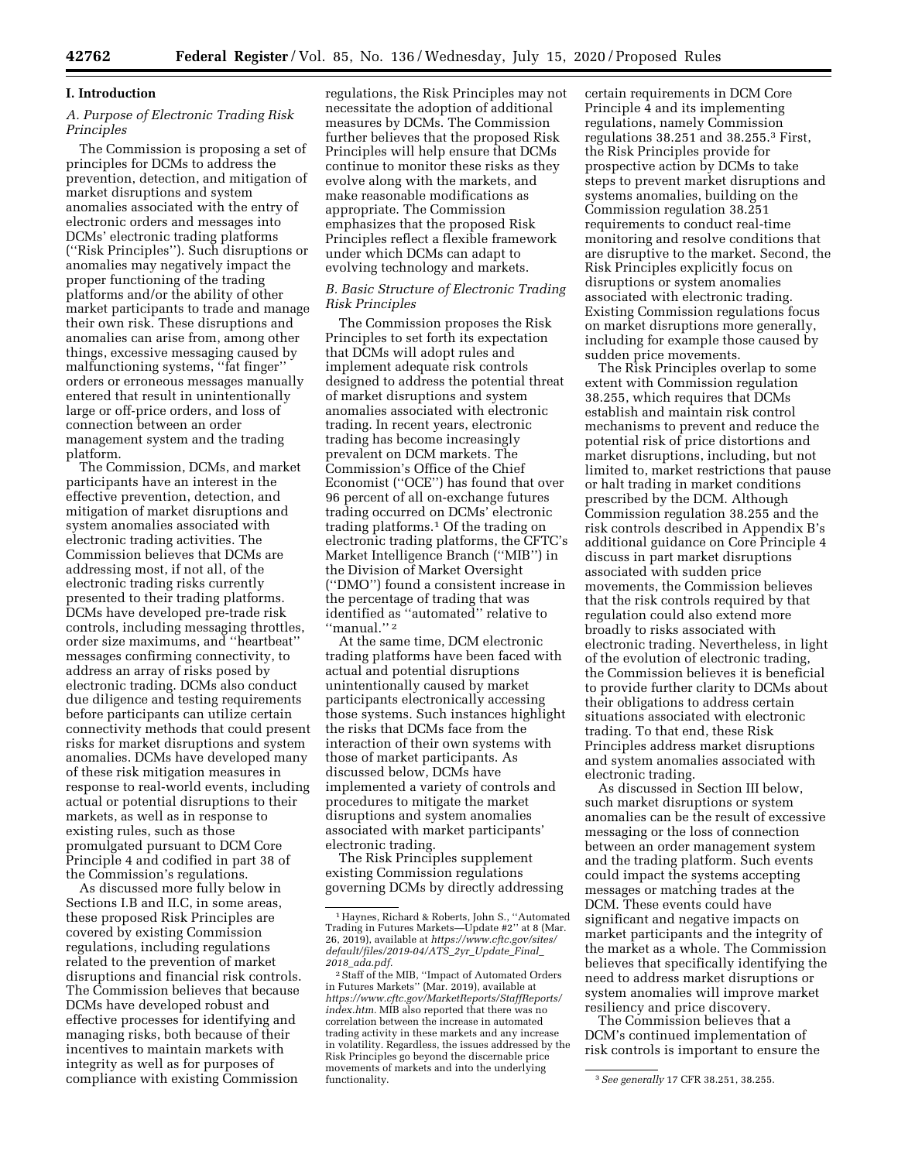#### **I. Introduction**

### *A. Purpose of Electronic Trading Risk Principles*

The Commission is proposing a set of principles for DCMs to address the prevention, detection, and mitigation of market disruptions and system anomalies associated with the entry of electronic orders and messages into DCMs' electronic trading platforms (''Risk Principles''). Such disruptions or anomalies may negatively impact the proper functioning of the trading platforms and/or the ability of other market participants to trade and manage their own risk. These disruptions and anomalies can arise from, among other things, excessive messaging caused by malfunctioning systems, ''fat finger'' orders or erroneous messages manually entered that result in unintentionally large or off-price orders, and loss of connection between an order management system and the trading platform.

The Commission, DCMs, and market participants have an interest in the effective prevention, detection, and mitigation of market disruptions and system anomalies associated with electronic trading activities. The Commission believes that DCMs are addressing most, if not all, of the electronic trading risks currently presented to their trading platforms. DCMs have developed pre-trade risk controls, including messaging throttles, order size maximums, and ''heartbeat'' messages confirming connectivity, to address an array of risks posed by electronic trading. DCMs also conduct due diligence and testing requirements before participants can utilize certain connectivity methods that could present risks for market disruptions and system anomalies. DCMs have developed many of these risk mitigation measures in response to real-world events, including actual or potential disruptions to their markets, as well as in response to existing rules, such as those promulgated pursuant to DCM Core Principle 4 and codified in part 38 of the Commission's regulations.

As discussed more fully below in Sections I.B and II.C, in some areas, these proposed Risk Principles are covered by existing Commission regulations, including regulations related to the prevention of market disruptions and financial risk controls. The Commission believes that because DCMs have developed robust and effective processes for identifying and managing risks, both because of their incentives to maintain markets with integrity as well as for purposes of compliance with existing Commission

regulations, the Risk Principles may not necessitate the adoption of additional measures by DCMs. The Commission further believes that the proposed Risk Principles will help ensure that DCMs continue to monitor these risks as they evolve along with the markets, and make reasonable modifications as appropriate. The Commission emphasizes that the proposed Risk Principles reflect a flexible framework under which DCMs can adapt to evolving technology and markets.

### *B. Basic Structure of Electronic Trading Risk Principles*

The Commission proposes the Risk Principles to set forth its expectation that DCMs will adopt rules and implement adequate risk controls designed to address the potential threat of market disruptions and system anomalies associated with electronic trading. In recent years, electronic trading has become increasingly prevalent on DCM markets. The Commission's Office of the Chief Economist (''OCE'') has found that over 96 percent of all on-exchange futures trading occurred on DCMs' electronic trading platforms.1 Of the trading on electronic trading platforms, the CFTC's Market Intelligence Branch (''MIB'') in the Division of Market Oversight (''DMO'') found a consistent increase in the percentage of trading that was identified as ''automated'' relative to ''manual.'' 2

At the same time, DCM electronic trading platforms have been faced with actual and potential disruptions unintentionally caused by market participants electronically accessing those systems. Such instances highlight the risks that DCMs face from the interaction of their own systems with those of market participants. As discussed below, DCMs have implemented a variety of controls and procedures to mitigate the market disruptions and system anomalies associated with market participants' electronic trading.

The Risk Principles supplement existing Commission regulations governing DCMs by directly addressing

certain requirements in DCM Core Principle 4 and its implementing regulations, namely Commission regulations 38.251 and 38.255.3 First, the Risk Principles provide for prospective action by DCMs to take steps to prevent market disruptions and systems anomalies, building on the Commission regulation 38.251 requirements to conduct real-time monitoring and resolve conditions that are disruptive to the market. Second, the Risk Principles explicitly focus on disruptions or system anomalies associated with electronic trading. Existing Commission regulations focus on market disruptions more generally, including for example those caused by sudden price movements.

The Risk Principles overlap to some extent with Commission regulation 38.255, which requires that DCMs establish and maintain risk control mechanisms to prevent and reduce the potential risk of price distortions and market disruptions, including, but not limited to, market restrictions that pause or halt trading in market conditions prescribed by the DCM. Although Commission regulation 38.255 and the risk controls described in Appendix B's additional guidance on Core Principle 4 discuss in part market disruptions associated with sudden price movements, the Commission believes that the risk controls required by that regulation could also extend more broadly to risks associated with electronic trading. Nevertheless, in light of the evolution of electronic trading, the Commission believes it is beneficial to provide further clarity to DCMs about their obligations to address certain situations associated with electronic trading. To that end, these Risk Principles address market disruptions and system anomalies associated with electronic trading.

As discussed in Section III below, such market disruptions or system anomalies can be the result of excessive messaging or the loss of connection between an order management system and the trading platform. Such events could impact the systems accepting messages or matching trades at the DCM. These events could have significant and negative impacts on market participants and the integrity of the market as a whole. The Commission believes that specifically identifying the need to address market disruptions or system anomalies will improve market resiliency and price discovery.

The Commission believes that a DCM's continued implementation of risk controls is important to ensure the

<sup>1</sup>Haynes, Richard & Roberts, John S., ''Automated Trading in Futures Markets—Update #2'' at 8 (Mar. 26, 2019), available at *[https://www.cftc.gov/sites/](https://www.cftc.gov/sites/default/files/2019-04/ATS_2yr_Update_Final_2018_ada.pdf)  [default/files/2019-04/ATS](https://www.cftc.gov/sites/default/files/2019-04/ATS_2yr_Update_Final_2018_ada.pdf)*\_*2yr*\_*Update*\_*Final*\_ *2018*\_*[ada.pdf.](https://www.cftc.gov/sites/default/files/2019-04/ATS_2yr_Update_Final_2018_ada.pdf)* 

<sup>2</sup>Staff of the MIB, ''Impact of Automated Orders in Futures Markets'' (Mar. 2019), available at *[https://www.cftc.gov/MarketReports/StaffReports/](https://www.cftc.gov/MarketReports/StaffReports/index.htm) [index.htm.](https://www.cftc.gov/MarketReports/StaffReports/index.htm)* MIB also reported that there was no correlation between the increase in automated trading activity in these markets and any increase in volatility. Regardless, the issues addressed by the Risk Principles go beyond the discernable price movements of markets and into the underlying

<sup>&</sup>lt;sup>3</sup> See generally 17 CFR 38.251, 38.255.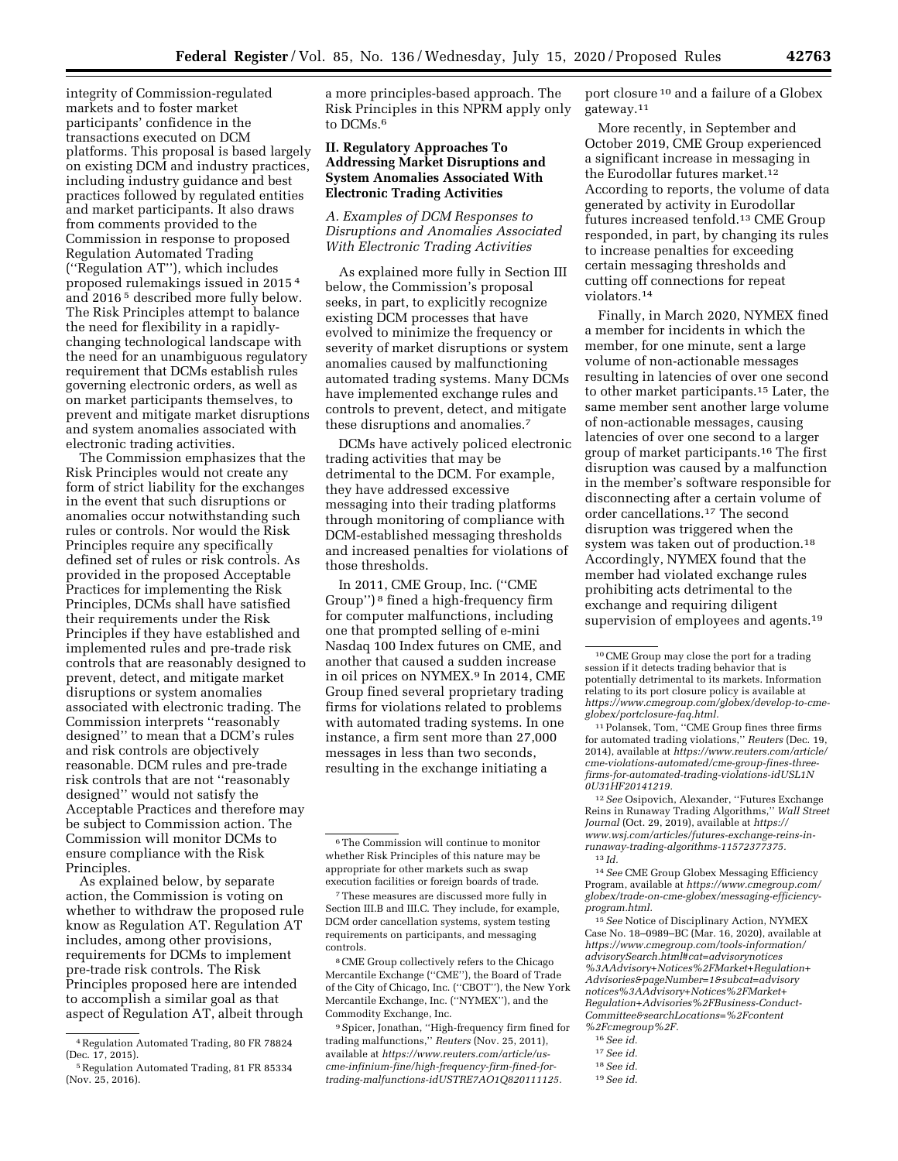integrity of Commission-regulated markets and to foster market participants' confidence in the transactions executed on DCM platforms. This proposal is based largely on existing DCM and industry practices, including industry guidance and best practices followed by regulated entities and market participants. It also draws from comments provided to the Commission in response to proposed Regulation Automated Trading (''Regulation AT''), which includes proposed rulemakings issued in 2015 4 and 2016 5 described more fully below. The Risk Principles attempt to balance the need for flexibility in a rapidlychanging technological landscape with the need for an unambiguous regulatory requirement that DCMs establish rules governing electronic orders, as well as on market participants themselves, to prevent and mitigate market disruptions and system anomalies associated with electronic trading activities.

The Commission emphasizes that the Risk Principles would not create any form of strict liability for the exchanges in the event that such disruptions or anomalies occur notwithstanding such rules or controls. Nor would the Risk Principles require any specifically defined set of rules or risk controls. As provided in the proposed Acceptable Practices for implementing the Risk Principles, DCMs shall have satisfied their requirements under the Risk Principles if they have established and implemented rules and pre-trade risk controls that are reasonably designed to prevent, detect, and mitigate market disruptions or system anomalies associated with electronic trading. The Commission interprets ''reasonably designed'' to mean that a DCM's rules and risk controls are objectively reasonable. DCM rules and pre-trade risk controls that are not ''reasonably designed'' would not satisfy the Acceptable Practices and therefore may be subject to Commission action. The Commission will monitor DCMs to ensure compliance with the Risk Principles.

As explained below, by separate action, the Commission is voting on whether to withdraw the proposed rule know as Regulation AT. Regulation AT includes, among other provisions, requirements for DCMs to implement pre-trade risk controls. The Risk Principles proposed here are intended to accomplish a similar goal as that aspect of Regulation AT, albeit through a more principles-based approach. The Risk Principles in this NPRM apply only to DCMs.6

## **II. Regulatory Approaches To Addressing Market Disruptions and System Anomalies Associated With Electronic Trading Activities**

*A. Examples of DCM Responses to Disruptions and Anomalies Associated With Electronic Trading Activities* 

As explained more fully in Section III below, the Commission's proposal seeks, in part, to explicitly recognize existing DCM processes that have evolved to minimize the frequency or severity of market disruptions or system anomalies caused by malfunctioning automated trading systems. Many DCMs have implemented exchange rules and controls to prevent, detect, and mitigate these disruptions and anomalies.7

DCMs have actively policed electronic trading activities that may be detrimental to the DCM. For example, they have addressed excessive messaging into their trading platforms through monitoring of compliance with DCM-established messaging thresholds and increased penalties for violations of those thresholds.

In 2011, CME Group, Inc. (''CME Group'') 8 fined a high-frequency firm for computer malfunctions, including one that prompted selling of e-mini Nasdaq 100 Index futures on CME, and another that caused a sudden increase in oil prices on NYMEX.9 In 2014, CME Group fined several proprietary trading firms for violations related to problems with automated trading systems. In one instance, a firm sent more than 27,000 messages in less than two seconds, resulting in the exchange initiating a

8CME Group collectively refers to the Chicago Mercantile Exchange (''CME''), the Board of Trade of the City of Chicago, Inc. (''CBOT''), the New York Mercantile Exchange, Inc. (''NYMEX''), and the Commodity Exchange, Inc.

9Spicer, Jonathan, ''High-frequency firm fined for trading malfunctions,'' *Reuters* (Nov. 25, 2011), available at *[https://www.reuters.com/article/us](https://www.reuters.com/article/us-cme-infinium-fine/high-frequency-firm-fined-for-trading-malfunctions-idUSTRE7AO1Q820111125)[cme-infinium-fine/high-frequency-firm-fined-for](https://www.reuters.com/article/us-cme-infinium-fine/high-frequency-firm-fined-for-trading-malfunctions-idUSTRE7AO1Q820111125)[trading-malfunctions-idUSTRE7AO1Q820111125.](https://www.reuters.com/article/us-cme-infinium-fine/high-frequency-firm-fined-for-trading-malfunctions-idUSTRE7AO1Q820111125)* 

port closure 10 and a failure of a Globex gateway.11

More recently, in September and October 2019, CME Group experienced a significant increase in messaging in the Eurodollar futures market.12 According to reports, the volume of data generated by activity in Eurodollar futures increased tenfold.13 CME Group responded, in part, by changing its rules to increase penalties for exceeding certain messaging thresholds and cutting off connections for repeat violators.14

Finally, in March 2020, NYMEX fined a member for incidents in which the member, for one minute, sent a large volume of non-actionable messages resulting in latencies of over one second to other market participants.15 Later, the same member sent another large volume of non-actionable messages, causing latencies of over one second to a larger group of market participants.16 The first disruption was caused by a malfunction in the member's software responsible for disconnecting after a certain volume of order cancellations.17 The second disruption was triggered when the system was taken out of production.18 Accordingly, NYMEX found that the member had violated exchange rules prohibiting acts detrimental to the exchange and requiring diligent supervision of employees and agents.<sup>19</sup>

12*See* Osipovich, Alexander, ''Futures Exchange Reins in Runaway Trading Algorithms,'' *Wall Street Journal* (Oct. 29, 2019), available at *[https://](https://www.wsj.com/articles/futures-exchange-reins-in-runaway-trading-algorithms-11572377375) [www.wsj.com/articles/futures-exchange-reins-in](https://www.wsj.com/articles/futures-exchange-reins-in-runaway-trading-algorithms-11572377375)[runaway-trading-algorithms-11572377375.](https://www.wsj.com/articles/futures-exchange-reins-in-runaway-trading-algorithms-11572377375)*  13 *Id.* 

14*See* CME Group Globex Messaging Efficiency Program, available at *[https://www.cmegroup.com/](https://www.cmegroup.com/globex/trade-on-cme-globex/messaging-efficiency-program.html)  [globex/trade-on-cme-globex/messaging-efficiency](https://www.cmegroup.com/globex/trade-on-cme-globex/messaging-efficiency-program.html)[program.html.](https://www.cmegroup.com/globex/trade-on-cme-globex/messaging-efficiency-program.html)* 

15*See* Notice of Disciplinary Action, NYMEX Case No. 18–0989–BC (Mar. 16, 2020), available at *[https://www.cmegroup.com/tools-information/](https://www.cmegroup.com/tools-information/advisorySearch.html#cat=advisorynotices%3AAdvisory+Notices%2FMarket+Regulation+Advisories&pageNumber=1&subcat=advisorynotices%3AAdvisory+Notices%2FMarket+Regulation+Advisories%2FBusiness-Conduct-Committee&searchLocations=%2Fcontent%2Fcmegroup%2F)  [advisorySearch.html#cat=advisorynotices](https://www.cmegroup.com/tools-information/advisorySearch.html#cat=advisorynotices%3AAdvisory+Notices%2FMarket+Regulation+Advisories&pageNumber=1&subcat=advisorynotices%3AAdvisory+Notices%2FMarket+Regulation+Advisories%2FBusiness-Conduct-Committee&searchLocations=%2Fcontent%2Fcmegroup%2F) [%3AAdvisory+Notices%2FMarket+Regulation+](https://www.cmegroup.com/tools-information/advisorySearch.html#cat=advisorynotices%3AAdvisory+Notices%2FMarket+Regulation+Advisories&pageNumber=1&subcat=advisorynotices%3AAdvisory+Notices%2FMarket+Regulation+Advisories%2FBusiness-Conduct-Committee&searchLocations=%2Fcontent%2Fcmegroup%2F) [Advisories&pageNumber=1&subcat=advisory](https://www.cmegroup.com/tools-information/advisorySearch.html#cat=advisorynotices%3AAdvisory+Notices%2FMarket+Regulation+Advisories&pageNumber=1&subcat=advisorynotices%3AAdvisory+Notices%2FMarket+Regulation+Advisories%2FBusiness-Conduct-Committee&searchLocations=%2Fcontent%2Fcmegroup%2F) [notices%3AAdvisory+Notices%2FMarket+](https://www.cmegroup.com/tools-information/advisorySearch.html#cat=advisorynotices%3AAdvisory+Notices%2FMarket+Regulation+Advisories&pageNumber=1&subcat=advisorynotices%3AAdvisory+Notices%2FMarket+Regulation+Advisories%2FBusiness-Conduct-Committee&searchLocations=%2Fcontent%2Fcmegroup%2F) [Regulation+Advisories%2FBusiness-Conduct-](https://www.cmegroup.com/tools-information/advisorySearch.html#cat=advisorynotices%3AAdvisory+Notices%2FMarket+Regulation+Advisories&pageNumber=1&subcat=advisorynotices%3AAdvisory+Notices%2FMarket+Regulation+Advisories%2FBusiness-Conduct-Committee&searchLocations=%2Fcontent%2Fcmegroup%2F)[Committee&searchLocations=%2Fcontent](https://www.cmegroup.com/tools-information/advisorySearch.html#cat=advisorynotices%3AAdvisory+Notices%2FMarket+Regulation+Advisories&pageNumber=1&subcat=advisorynotices%3AAdvisory+Notices%2FMarket+Regulation+Advisories%2FBusiness-Conduct-Committee&searchLocations=%2Fcontent%2Fcmegroup%2F) [%2Fcmegroup%2F.](https://www.cmegroup.com/tools-information/advisorySearch.html#cat=advisorynotices%3AAdvisory+Notices%2FMarket+Regulation+Advisories&pageNumber=1&subcat=advisorynotices%3AAdvisory+Notices%2FMarket+Regulation+Advisories%2FBusiness-Conduct-Committee&searchLocations=%2Fcontent%2Fcmegroup%2F)* 

17*See id.* 

<sup>4</sup>Regulation Automated Trading, 80 FR 78824 (Dec. 17, 2015).

<sup>5</sup>Regulation Automated Trading, 81 FR 85334 (Nov. 25, 2016).

<sup>6</sup>The Commission will continue to monitor whether Risk Principles of this nature may be appropriate for other markets such as swap execution facilities or foreign boards of trade.

<sup>7</sup>These measures are discussed more fully in Section III.B and III.C. They include, for example, DCM order cancellation systems, system testing requirements on participants, and messaging controls.

<sup>10</sup>CME Group may close the port for a trading session if it detects trading behavior that is potentially detrimental to its markets. Information relating to its port closure policy is available at *[https://www.cmegroup.com/globex/develop-to-cme](https://www.cmegroup.com/globex/develop-to-cme-globex/portclosure-faq.html)[globex/portclosure-faq.html.](https://www.cmegroup.com/globex/develop-to-cme-globex/portclosure-faq.html)* 

<sup>11</sup>Polansek, Tom, ''CME Group fines three firms for automated trading violations,'' *Reuters* (Dec. 19, 2014), available at *[https://www.reuters.com/article/](https://www.reuters.com/article/cme-violations-automated/cme-group-fines-three-firms-for-automated-trading-violations-idUSL1N0U31HF20141219) [cme-violations-automated/cme-group-fines-three](https://www.reuters.com/article/cme-violations-automated/cme-group-fines-three-firms-for-automated-trading-violations-idUSL1N0U31HF20141219)[firms-for-automated-trading-violations-idUSL1N](https://www.reuters.com/article/cme-violations-automated/cme-group-fines-three-firms-for-automated-trading-violations-idUSL1N0U31HF20141219) [0U31HF20141219.](https://www.reuters.com/article/cme-violations-automated/cme-group-fines-three-firms-for-automated-trading-violations-idUSL1N0U31HF20141219)* 

<sup>16</sup>*See id.* 

<sup>18</sup>*See id.* 

<sup>19</sup>*See id.*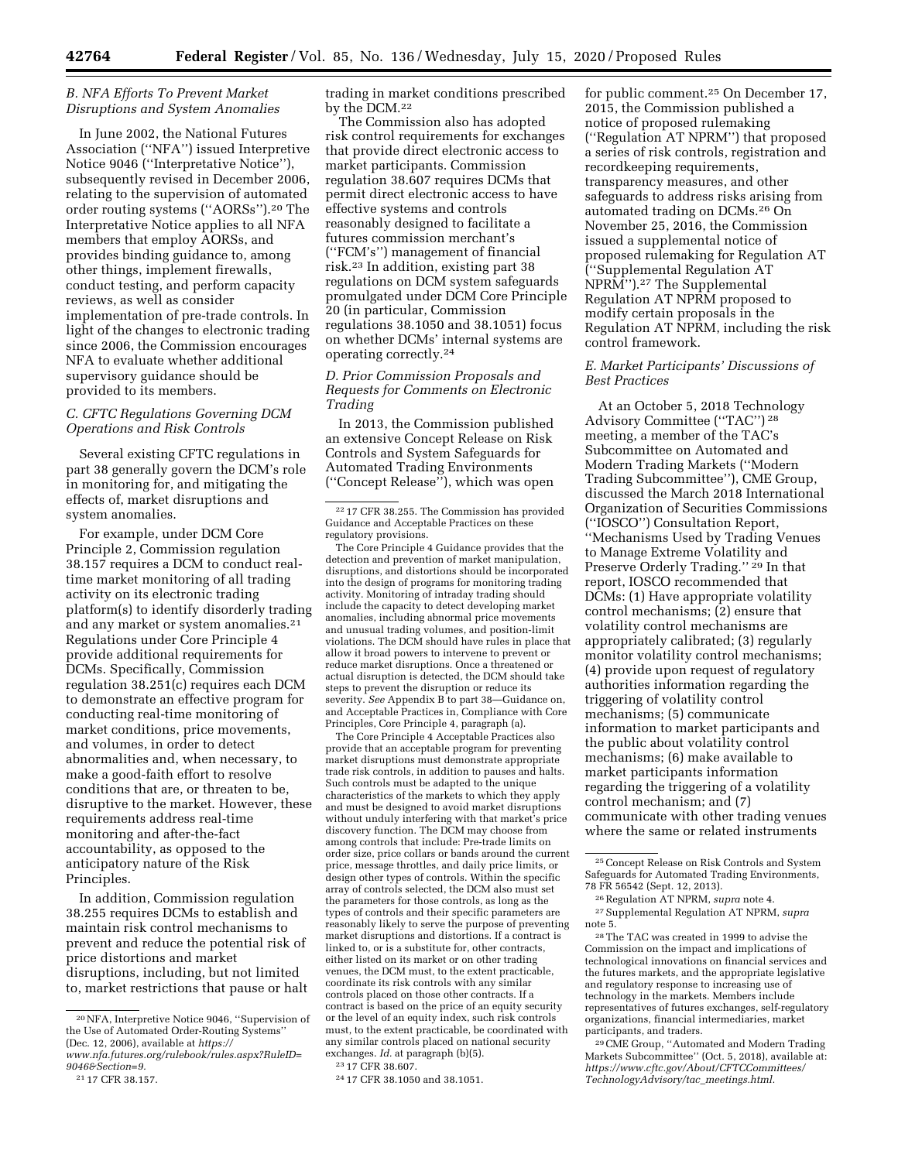### *B. NFA Efforts To Prevent Market Disruptions and System Anomalies*

In June 2002, the National Futures Association (''NFA'') issued Interpretive Notice 9046 (''Interpretative Notice''), subsequently revised in December 2006, relating to the supervision of automated order routing systems (''AORSs'').20 The Interpretative Notice applies to all NFA members that employ AORSs, and provides binding guidance to, among other things, implement firewalls, conduct testing, and perform capacity reviews, as well as consider implementation of pre-trade controls. In light of the changes to electronic trading since 2006, the Commission encourages NFA to evaluate whether additional supervisory guidance should be provided to its members.

### *C. CFTC Regulations Governing DCM Operations and Risk Controls*

Several existing CFTC regulations in part 38 generally govern the DCM's role in monitoring for, and mitigating the effects of, market disruptions and system anomalies.

For example, under DCM Core Principle 2, Commission regulation 38.157 requires a DCM to conduct realtime market monitoring of all trading activity on its electronic trading platform(s) to identify disorderly trading and any market or system anomalies.21 Regulations under Core Principle 4 provide additional requirements for DCMs. Specifically, Commission regulation 38.251(c) requires each DCM to demonstrate an effective program for conducting real-time monitoring of market conditions, price movements, and volumes, in order to detect abnormalities and, when necessary, to make a good-faith effort to resolve conditions that are, or threaten to be, disruptive to the market. However, these requirements address real-time monitoring and after-the-fact accountability, as opposed to the anticipatory nature of the Risk Principles.

In addition, Commission regulation 38.255 requires DCMs to establish and maintain risk control mechanisms to prevent and reduce the potential risk of price distortions and market disruptions, including, but not limited to, market restrictions that pause or halt trading in market conditions prescribed by the DCM.22

The Commission also has adopted risk control requirements for exchanges that provide direct electronic access to market participants. Commission regulation 38.607 requires DCMs that permit direct electronic access to have effective systems and controls reasonably designed to facilitate a futures commission merchant's (''FCM's'') management of financial risk.23 In addition, existing part 38 regulations on DCM system safeguards promulgated under DCM Core Principle 20 (in particular, Commission regulations 38.1050 and 38.1051) focus on whether DCMs' internal systems are operating correctly.24

### *D. Prior Commission Proposals and Requests for Comments on Electronic Trading*

In 2013, the Commission published an extensive Concept Release on Risk Controls and System Safeguards for Automated Trading Environments (''Concept Release''), which was open

The Core Principle 4 Guidance provides that the detection and prevention of market manipulation, disruptions, and distortions should be incorporated into the design of programs for monitoring trading activity. Monitoring of intraday trading should include the capacity to detect developing market anomalies, including abnormal price movements and unusual trading volumes, and position-limit violations. The DCM should have rules in place that allow it broad powers to intervene to prevent or reduce market disruptions. Once a threatened or actual disruption is detected, the DCM should take steps to prevent the disruption or reduce its severity. *See* Appendix B to part 38—Guidance on, and Acceptable Practices in, Compliance with Core Principles, Core Principle 4, paragraph (a).

The Core Principle 4 Acceptable Practices also provide that an acceptable program for preventing market disruptions must demonstrate appropriate trade risk controls, in addition to pauses and halts. Such controls must be adapted to the unique characteristics of the markets to which they apply and must be designed to avoid market disruptions without unduly interfering with that market's price discovery function. The DCM may choose from among controls that include: Pre-trade limits on order size, price collars or bands around the current price, message throttles, and daily price limits, or design other types of controls. Within the specific array of controls selected, the DCM also must set the parameters for those controls, as long as the types of controls and their specific parameters are reasonably likely to serve the purpose of preventing market disruptions and distortions. If a contract is linked to, or is a substitute for, other contracts, either listed on its market or on other trading venues, the DCM must, to the extent practicable, coordinate its risk controls with any similar controls placed on those other contracts. If a contract is based on the price of an equity security or the level of an equity index, such risk controls must, to the extent practicable, be coordinated with any similar controls placed on national security exchanges. *Id.* at paragraph (b)(5).

24 17 CFR 38.1050 and 38.1051.

for public comment.25 On December 17, 2015, the Commission published a notice of proposed rulemaking (''Regulation AT NPRM'') that proposed a series of risk controls, registration and recordkeeping requirements, transparency measures, and other safeguards to address risks arising from automated trading on DCMs.26 On November 25, 2016, the Commission issued a supplemental notice of proposed rulemaking for Regulation AT (''Supplemental Regulation AT NPRM'').27 The Supplemental Regulation AT NPRM proposed to modify certain proposals in the Regulation AT NPRM, including the risk control framework.

#### *E. Market Participants' Discussions of Best Practices*

At an October 5, 2018 Technology Advisory Committee (''TAC'') 28 meeting, a member of the TAC's Subcommittee on Automated and Modern Trading Markets (''Modern Trading Subcommittee''), CME Group, discussed the March 2018 International Organization of Securities Commissions (''IOSCO'') Consultation Report, ''Mechanisms Used by Trading Venues to Manage Extreme Volatility and Preserve Orderly Trading.'' 29 In that report, IOSCO recommended that DCMs: (1) Have appropriate volatility control mechanisms; (2) ensure that volatility control mechanisms are appropriately calibrated; (3) regularly monitor volatility control mechanisms; (4) provide upon request of regulatory authorities information regarding the triggering of volatility control mechanisms; (5) communicate information to market participants and the public about volatility control mechanisms; (6) make available to market participants information regarding the triggering of a volatility control mechanism; and (7) communicate with other trading venues where the same or related instruments

29CME Group, ''Automated and Modern Trading Markets Subcommittee'' (Oct. 5, 2018), available at: *[https://www.cftc.gov/About/CFTCCommittees/](https://www.cftc.gov/About/CFTCCommittees/TechnologyAdvisory/tac_meetings.html) [TechnologyAdvisory/tac](https://www.cftc.gov/About/CFTCCommittees/TechnologyAdvisory/tac_meetings.html)*\_*meetings.html.* 

<sup>20</sup>NFA, Interpretive Notice 9046, ''Supervision of the Use of Automated Order-Routing Systems'' (Dec. 12, 2006), available at *[https://](https://www.nfa.futures.org/rulebook/rules.aspx?RuleID=9046&Section=9)*

*[www.nfa.futures.org/rulebook/rules.aspx?RuleID=](https://www.nfa.futures.org/rulebook/rules.aspx?RuleID=9046&Section=9) [9046&Section=9.](https://www.nfa.futures.org/rulebook/rules.aspx?RuleID=9046&Section=9)* 

<sup>21</sup> 17 CFR 38.157.

<sup>22</sup> 17 CFR 38.255. The Commission has provided Guidance and Acceptable Practices on these regulatory provisions.

<sup>23</sup> 17 CFR 38.607.

<sup>25</sup>Concept Release on Risk Controls and System Safeguards for Automated Trading Environments, 78 FR 56542 (Sept. 12, 2013).

<sup>26</sup>Regulation AT NPRM, *supra* note 4. 27Supplemental Regulation AT NPRM, *supra*  note 5.

<sup>28</sup>The TAC was created in 1999 to advise the Commission on the impact and implications of technological innovations on financial services and the futures markets, and the appropriate legislative and regulatory response to increasing use of technology in the markets. Members include representatives of futures exchanges, self-regulatory organizations, financial intermediaries, market participants, and traders.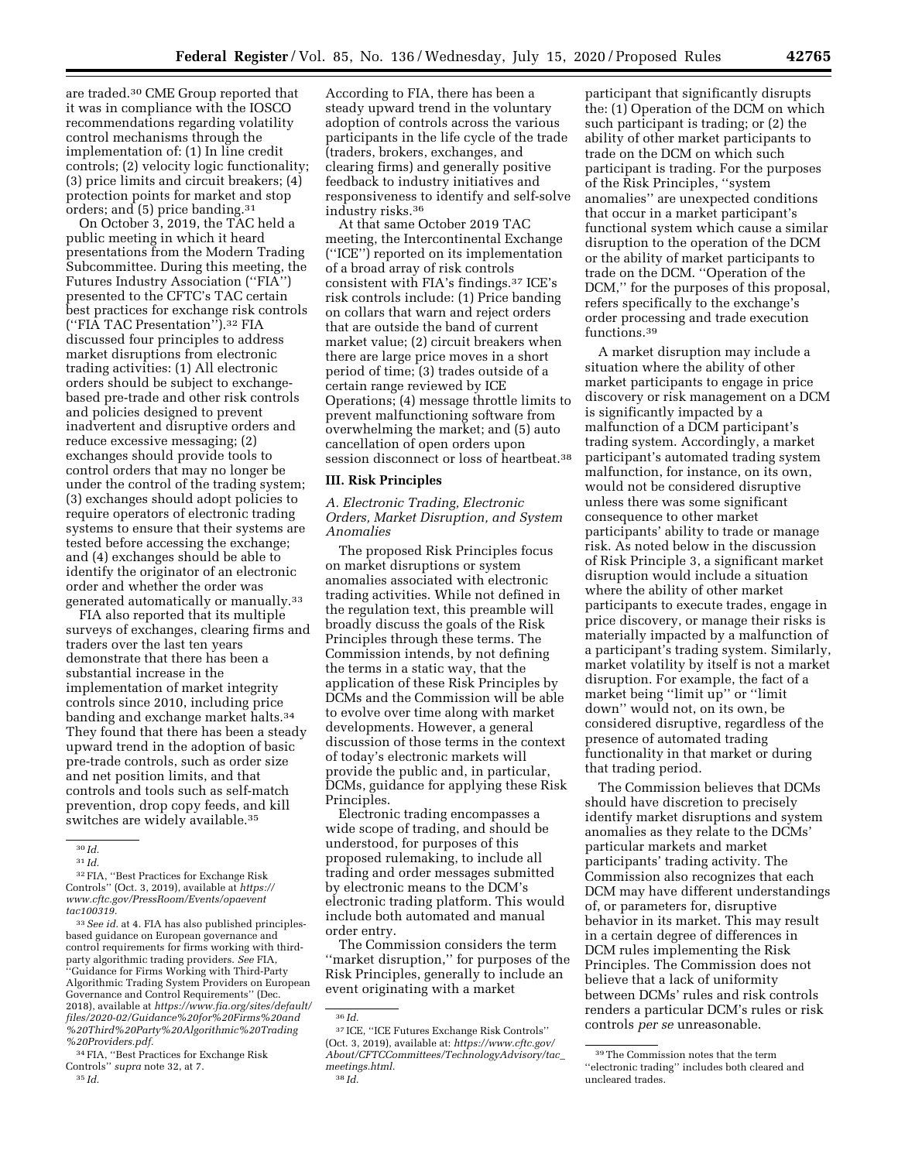are traded.30 CME Group reported that it was in compliance with the IOSCO recommendations regarding volatility control mechanisms through the implementation of: (1) In line credit controls; (2) velocity logic functionality; (3) price limits and circuit breakers; (4) protection points for market and stop orders; and (5) price banding.31

On October 3, 2019, the TAC held a public meeting in which it heard presentations from the Modern Trading Subcommittee. During this meeting, the Futures Industry Association (''FIA'') presented to the CFTC's TAC certain best practices for exchange risk controls (''FIA TAC Presentation'').32 FIA discussed four principles to address market disruptions from electronic trading activities: (1) All electronic orders should be subject to exchangebased pre-trade and other risk controls and policies designed to prevent inadvertent and disruptive orders and reduce excessive messaging; (2) exchanges should provide tools to control orders that may no longer be under the control of the trading system; (3) exchanges should adopt policies to require operators of electronic trading systems to ensure that their systems are tested before accessing the exchange; and (4) exchanges should be able to identify the originator of an electronic order and whether the order was generated automatically or manually.33

FIA also reported that its multiple surveys of exchanges, clearing firms and traders over the last ten years demonstrate that there has been a substantial increase in the implementation of market integrity controls since 2010, including price banding and exchange market halts.34 They found that there has been a steady upward trend in the adoption of basic pre-trade controls, such as order size and net position limits, and that controls and tools such as self-match prevention, drop copy feeds, and kill switches are widely available.<sup>35</sup>

32FIA, ''Best Practices for Exchange Risk Controls'' (Oct. 3, 2019), available at *[https://](https://www.cftc.gov/PressRoom/Events/opaeventtac100319) [www.cftc.gov/PressRoom/Events/opaevent](https://www.cftc.gov/PressRoom/Events/opaeventtac100319) [tac100319.](https://www.cftc.gov/PressRoom/Events/opaeventtac100319)* 

33*See id.* at 4. FIA has also published principlesbased guidance on European governance and control requirements for firms working with thirdparty algorithmic trading providers. *See* FIA, ''Guidance for Firms Working with Third-Party Algorithmic Trading System Providers on European Governance and Control Requirements'' (Dec. 2018), available at *[https://www.fia.org/sites/default/](https://www.fia.org/sites/default/files/2020-02/Guidance%20for%20Firms%20and%20Third%20Party%20Algorithmic%20Trading%20Providers.pdf)  [files/2020-02/Guidance%20for%20Firms%20and](https://www.fia.org/sites/default/files/2020-02/Guidance%20for%20Firms%20and%20Third%20Party%20Algorithmic%20Trading%20Providers.pdf) [%20Third%20Party%20Algorithmic%20Trading](https://www.fia.org/sites/default/files/2020-02/Guidance%20for%20Firms%20and%20Third%20Party%20Algorithmic%20Trading%20Providers.pdf) [%20Providers.pdf.](https://www.fia.org/sites/default/files/2020-02/Guidance%20for%20Firms%20and%20Third%20Party%20Algorithmic%20Trading%20Providers.pdf)* 

34FIA, ''Best Practices for Exchange Risk Controls'' *supra* note 32, at 7. 35 *Id.* 

According to FIA, there has been a steady upward trend in the voluntary adoption of controls across the various participants in the life cycle of the trade (traders, brokers, exchanges, and clearing firms) and generally positive feedback to industry initiatives and responsiveness to identify and self-solve industry risks.36

At that same October 2019 TAC meeting, the Intercontinental Exchange (''ICE'') reported on its implementation of a broad array of risk controls consistent with FIA's findings.37 ICE's risk controls include: (1) Price banding on collars that warn and reject orders that are outside the band of current market value; (2) circuit breakers when there are large price moves in a short period of time; (3) trades outside of a certain range reviewed by ICE Operations; (4) message throttle limits to prevent malfunctioning software from overwhelming the market; and (5) auto cancellation of open orders upon session disconnect or loss of heartbeat.38

### **III. Risk Principles**

*A. Electronic Trading, Electronic Orders, Market Disruption, and System Anomalies* 

The proposed Risk Principles focus on market disruptions or system anomalies associated with electronic trading activities. While not defined in the regulation text, this preamble will broadly discuss the goals of the Risk Principles through these terms. The Commission intends, by not defining the terms in a static way, that the application of these Risk Principles by DCMs and the Commission will be able to evolve over time along with market developments. However, a general discussion of those terms in the context of today's electronic markets will provide the public and, in particular, DCMs, guidance for applying these Risk Principles.

Electronic trading encompasses a wide scope of trading, and should be understood, for purposes of this proposed rulemaking, to include all trading and order messages submitted by electronic means to the DCM's electronic trading platform. This would include both automated and manual order entry.

The Commission considers the term ''market disruption,'' for purposes of the Risk Principles, generally to include an event originating with a market

participant that significantly disrupts the: (1) Operation of the DCM on which such participant is trading; or (2) the ability of other market participants to trade on the DCM on which such participant is trading. For the purposes of the Risk Principles, ''system anomalies'' are unexpected conditions that occur in a market participant's functional system which cause a similar disruption to the operation of the DCM or the ability of market participants to trade on the DCM. ''Operation of the DCM,'' for the purposes of this proposal, refers specifically to the exchange's order processing and trade execution functions.39

A market disruption may include a situation where the ability of other market participants to engage in price discovery or risk management on a DCM is significantly impacted by a malfunction of a DCM participant's trading system. Accordingly, a market participant's automated trading system malfunction, for instance, on its own, would not be considered disruptive unless there was some significant consequence to other market participants' ability to trade or manage risk. As noted below in the discussion of Risk Principle 3, a significant market disruption would include a situation where the ability of other market participants to execute trades, engage in price discovery, or manage their risks is materially impacted by a malfunction of a participant's trading system. Similarly, market volatility by itself is not a market disruption. For example, the fact of a market being ''limit up'' or ''limit down'' would not, on its own, be considered disruptive, regardless of the presence of automated trading functionality in that market or during that trading period.

The Commission believes that DCMs should have discretion to precisely identify market disruptions and system anomalies as they relate to the DCMs' particular markets and market participants' trading activity. The Commission also recognizes that each DCM may have different understandings of, or parameters for, disruptive behavior in its market. This may result in a certain degree of differences in DCM rules implementing the Risk Principles. The Commission does not believe that a lack of uniformity between DCMs' rules and risk controls renders a particular DCM's rules or risk controls *per se* unreasonable.

<sup>30</sup> *Id.* 

<sup>31</sup> *Id.* 

<sup>36</sup> *Id.* 

<sup>37</sup> ICE, ''ICE Futures Exchange Risk Controls'' (Oct. 3, 2019), available at: *[https://www.cftc.gov/](https://www.cftc.gov/About/CFTCCommittees/TechnologyAdvisory/tac_meetings.html) [About/CFTCCommittees/TechnologyAdvisory/tac](https://www.cftc.gov/About/CFTCCommittees/TechnologyAdvisory/tac_meetings.html)*\_ *[meetings.html.](https://www.cftc.gov/About/CFTCCommittees/TechnologyAdvisory/tac_meetings.html)*  38 *Id.* 

<sup>39</sup>The Commission notes that the term ''electronic trading'' includes both cleared and uncleared trades.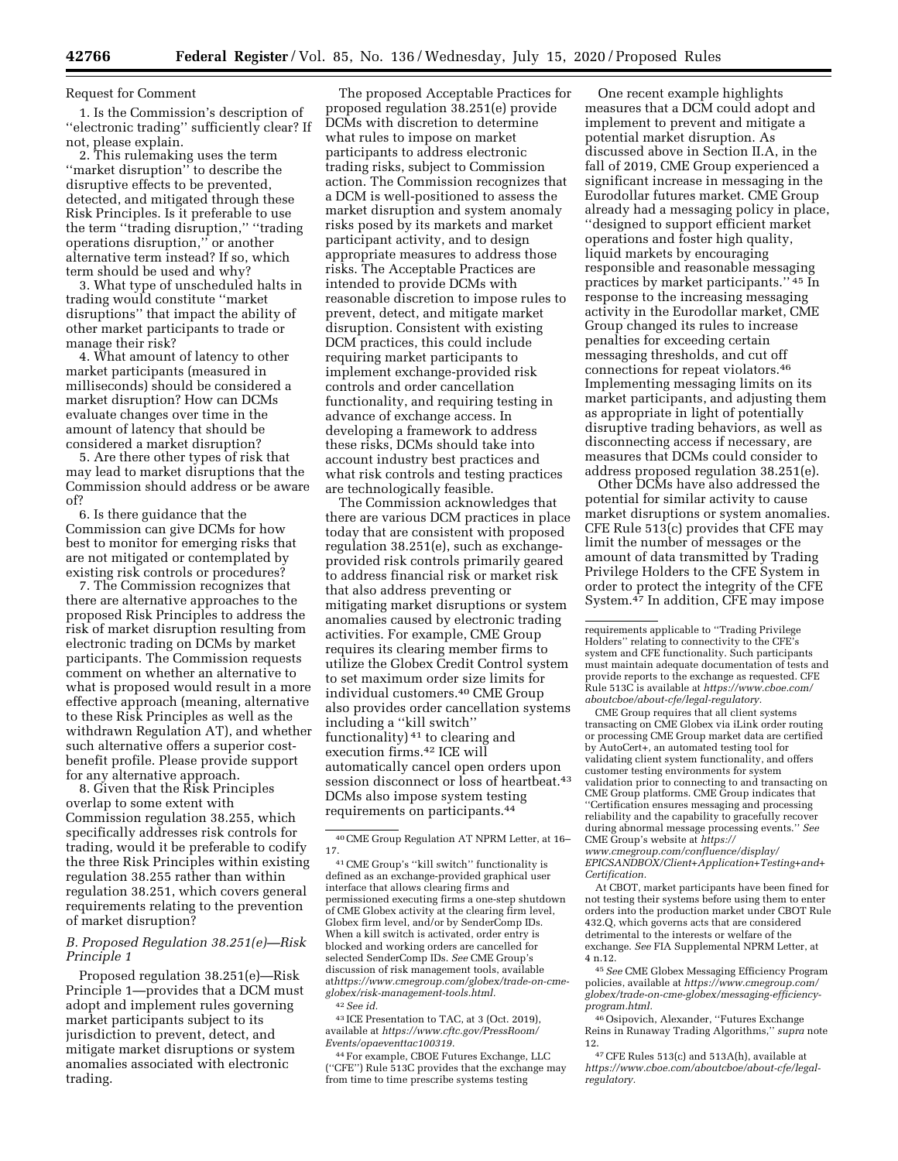# Request for Comment

1. Is the Commission's description of ''electronic trading'' sufficiently clear? If not, please explain.

2. This rulemaking uses the term ''market disruption'' to describe the disruptive effects to be prevented, detected, and mitigated through these Risk Principles. Is it preferable to use the term ''trading disruption,'' ''trading operations disruption,'' or another alternative term instead? If so, which term should be used and why?

3. What type of unscheduled halts in trading would constitute ''market disruptions'' that impact the ability of other market participants to trade or manage their risk?

4. What amount of latency to other market participants (measured in milliseconds) should be considered a market disruption? How can DCMs evaluate changes over time in the amount of latency that should be considered a market disruption?

5. Are there other types of risk that may lead to market disruptions that the Commission should address or be aware of?

6. Is there guidance that the Commission can give DCMs for how best to monitor for emerging risks that are not mitigated or contemplated by existing risk controls or procedures?

7. The Commission recognizes that there are alternative approaches to the proposed Risk Principles to address the risk of market disruption resulting from electronic trading on DCMs by market participants. The Commission requests comment on whether an alternative to what is proposed would result in a more effective approach (meaning, alternative to these Risk Principles as well as the withdrawn Regulation AT), and whether such alternative offers a superior costbenefit profile. Please provide support for any alternative approach.

8. Given that the Risk Principles overlap to some extent with Commission regulation 38.255, which specifically addresses risk controls for trading, would it be preferable to codify the three Risk Principles within existing regulation 38.255 rather than within regulation 38.251, which covers general requirements relating to the prevention of market disruption?

### *B. Proposed Regulation 38.251(e)—Risk Principle 1*

Proposed regulation 38.251(e)—Risk Principle 1—provides that a DCM must adopt and implement rules governing market participants subject to its jurisdiction to prevent, detect, and mitigate market disruptions or system anomalies associated with electronic trading.

The proposed Acceptable Practices for proposed regulation 38.251(e) provide DCMs with discretion to determine what rules to impose on market participants to address electronic trading risks, subject to Commission action. The Commission recognizes that a DCM is well-positioned to assess the market disruption and system anomaly risks posed by its markets and market participant activity, and to design appropriate measures to address those risks. The Acceptable Practices are intended to provide DCMs with reasonable discretion to impose rules to prevent, detect, and mitigate market disruption. Consistent with existing DCM practices, this could include requiring market participants to implement exchange-provided risk controls and order cancellation functionality, and requiring testing in advance of exchange access. In developing a framework to address these risks, DCMs should take into account industry best practices and what risk controls and testing practices are technologically feasible.

The Commission acknowledges that there are various DCM practices in place today that are consistent with proposed regulation 38.251(e), such as exchangeprovided risk controls primarily geared to address financial risk or market risk that also address preventing or mitigating market disruptions or system anomalies caused by electronic trading activities. For example, CME Group requires its clearing member firms to utilize the Globex Credit Control system to set maximum order size limits for individual customers.40 CME Group also provides order cancellation systems including a ''kill switch'' functionality) 41 to clearing and execution firms.42 ICE will automatically cancel open orders upon session disconnect or loss of heartbeat.<sup>43</sup> DCMs also impose system testing requirements on participants.44

43 ICE Presentation to TAC, at 3 (Oct. 2019), available at *[https://www.cftc.gov/PressRoom/](https://www.cftc.gov/PressRoom/Events/opaeventtac100319)  [Events/opaeventtac100319.](https://www.cftc.gov/PressRoom/Events/opaeventtac100319)* 

44For example, CBOE Futures Exchange, LLC (''CFE'') Rule 513C provides that the exchange may from time to time prescribe systems testing

One recent example highlights measures that a DCM could adopt and implement to prevent and mitigate a potential market disruption. As discussed above in Section II.A, in the fall of 2019, CME Group experienced a significant increase in messaging in the Eurodollar futures market. CME Group already had a messaging policy in place, ''designed to support efficient market operations and foster high quality, liquid markets by encouraging responsible and reasonable messaging practices by market participants.'' 45 In response to the increasing messaging activity in the Eurodollar market, CME Group changed its rules to increase penalties for exceeding certain messaging thresholds, and cut off connections for repeat violators.46 Implementing messaging limits on its market participants, and adjusting them as appropriate in light of potentially disruptive trading behaviors, as well as disconnecting access if necessary, are measures that DCMs could consider to address proposed regulation 38.251(e).

Other DCMs have also addressed the potential for similar activity to cause market disruptions or system anomalies. CFE Rule 513(c) provides that CFE may limit the number of messages or the amount of data transmitted by Trading Privilege Holders to the CFE System in order to protect the integrity of the CFE System.47 In addition, CFE may impose

CME Group requires that all client systems transacting on CME Globex via iLink order routing or processing CME Group market data are certified by AutoCert+, an automated testing tool for validating client system functionality, and offers customer testing environments for system validation prior to connecting to and transacting on CME Group platforms. CME Group indicates that ''Certification ensures messaging and processing reliability and the capability to gracefully recover during abnormal message processing events.'' *See*  CME Group's website at *[https://](https://www.cmegroup.com/confluence/display/EPICSANDBOX/Client+Application+Testing+and+Certification) [www.cmegroup.com/confluence/display/](https://www.cmegroup.com/confluence/display/EPICSANDBOX/Client+Application+Testing+and+Certification)* 

*[EPICSANDBOX/Client+Application+Testing+and+](https://www.cmegroup.com/confluence/display/EPICSANDBOX/Client+Application+Testing+and+Certification) [Certification.](https://www.cmegroup.com/confluence/display/EPICSANDBOX/Client+Application+Testing+and+Certification)* 

At CBOT, market participants have been fined for not testing their systems before using them to enter orders into the production market under CBOT Rule 432.Q, which governs acts that are considered detrimental to the interests or welfare of the exchange. *See* FIA Supplemental NPRM Letter, at 4 n.12.

45*See* CME Globex Messaging Efficiency Program policies, available at *[https://www.cmegroup.com/](https://www.cmegroup.com/globex/trade-on-cme-globex/messaging-efficiency-program.html) [globex/trade-on-cme-globex/messaging-efficiency](https://www.cmegroup.com/globex/trade-on-cme-globex/messaging-efficiency-program.html)[program.html.](https://www.cmegroup.com/globex/trade-on-cme-globex/messaging-efficiency-program.html)* 

46Osipovich, Alexander, ''Futures Exchange Reins in Runaway Trading Algorithms,'' *supra* note 12.

47CFE Rules 513(c) and 513A(h), available at *[https://www.cboe.com/aboutcboe/about-cfe/legal](https://www.cboe.com/aboutcboe/about-cfe/legal-regulatory)[regulatory.](https://www.cboe.com/aboutcboe/about-cfe/legal-regulatory)* 

<sup>40</sup>CME Group Regulation AT NPRM Letter, at 16– 17.

<sup>41</sup>CME Group's ''kill switch'' functionality is defined as an exchange-provided graphical user interface that allows clearing firms and permissioned executing firms a one-step shutdown of CME Globex activity at the clearing firm level, Globex firm level, and/or by SenderComp IDs. When a kill switch is activated, order entry is blocked and working orders are cancelled for selected SenderComp IDs. *See* CME Group's discussion of risk management tools, available at*https://[www.cmegroup.com/globex/trade-on-cme](http://www.cmegroup.com/globex/trade-on-cme-globex/risk-management-tools.html)[globex/risk-management-tools.html.](http://www.cmegroup.com/globex/trade-on-cme-globex/risk-management-tools.html)*  42*See id.* 

requirements applicable to ''Trading Privilege Holders'' relating to connectivity to the CFE's system and CFE functionality. Such participants must maintain adequate documentation of tests and provide reports to the exchange as requested. CFE Rule 513C is available at *[https://www.cboe.com/](https://www.cboe.com/aboutcboe/about-cfe/legal-regulatory) [aboutcboe/about-cfe/legal-regulatory.](https://www.cboe.com/aboutcboe/about-cfe/legal-regulatory)*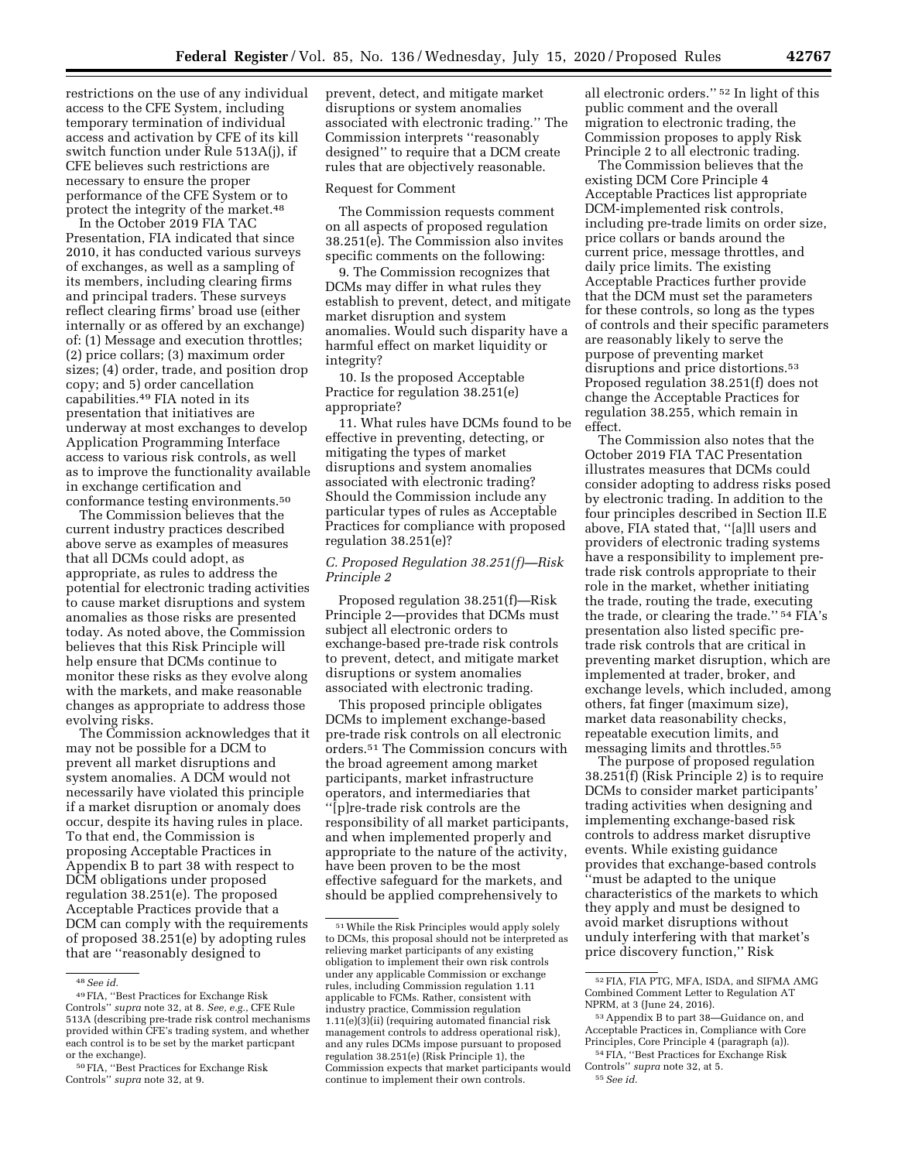restrictions on the use of any individual access to the CFE System, including temporary termination of individual access and activation by CFE of its kill switch function under Rule 513A(j), if CFE believes such restrictions are necessary to ensure the proper performance of the CFE System or to protect the integrity of the market.48

In the October 2019 FIA TAC Presentation, FIA indicated that since 2010, it has conducted various surveys of exchanges, as well as a sampling of its members, including clearing firms and principal traders. These surveys reflect clearing firms' broad use (either internally or as offered by an exchange) of: (1) Message and execution throttles; (2) price collars; (3) maximum order sizes; (4) order, trade, and position drop copy; and 5) order cancellation capabilities.49 FIA noted in its presentation that initiatives are underway at most exchanges to develop Application Programming Interface access to various risk controls, as well as to improve the functionality available in exchange certification and conformance testing environments.50

The Commission believes that the current industry practices described above serve as examples of measures that all DCMs could adopt, as appropriate, as rules to address the potential for electronic trading activities to cause market disruptions and system anomalies as those risks are presented today. As noted above, the Commission believes that this Risk Principle will help ensure that DCMs continue to monitor these risks as they evolve along with the markets, and make reasonable changes as appropriate to address those evolving risks.

The Commission acknowledges that it may not be possible for a DCM to prevent all market disruptions and system anomalies. A DCM would not necessarily have violated this principle if a market disruption or anomaly does occur, despite its having rules in place. To that end, the Commission is proposing Acceptable Practices in Appendix B to part 38 with respect to DCM obligations under proposed regulation 38.251(e). The proposed Acceptable Practices provide that a DCM can comply with the requirements of proposed 38.251(e) by adopting rules that are ''reasonably designed to

prevent, detect, and mitigate market disruptions or system anomalies associated with electronic trading.'' The Commission interprets ''reasonably designed'' to require that a DCM create rules that are objectively reasonable.

#### Request for Comment

The Commission requests comment on all aspects of proposed regulation 38.251(e). The Commission also invites specific comments on the following:

9. The Commission recognizes that DCMs may differ in what rules they establish to prevent, detect, and mitigate market disruption and system anomalies. Would such disparity have a harmful effect on market liquidity or integrity?

10. Is the proposed Acceptable Practice for regulation 38.251(e) appropriate?

11. What rules have DCMs found to be effective in preventing, detecting, or mitigating the types of market disruptions and system anomalies associated with electronic trading? Should the Commission include any particular types of rules as Acceptable Practices for compliance with proposed regulation 38.251(e)?

### *C. Proposed Regulation 38.251(f)—Risk Principle 2*

Proposed regulation 38.251(f)—Risk Principle 2—provides that DCMs must subject all electronic orders to exchange-based pre-trade risk controls to prevent, detect, and mitigate market disruptions or system anomalies associated with electronic trading.

This proposed principle obligates DCMs to implement exchange-based pre-trade risk controls on all electronic orders.51 The Commission concurs with the broad agreement among market participants, market infrastructure operators, and intermediaries that ''[p]re-trade risk controls are the responsibility of all market participants, and when implemented properly and appropriate to the nature of the activity, have been proven to be the most effective safeguard for the markets, and should be applied comprehensively to

all electronic orders.'' 52 In light of this public comment and the overall migration to electronic trading, the Commission proposes to apply Risk Principle 2 to all electronic trading.

The Commission believes that the existing DCM Core Principle 4 Acceptable Practices list appropriate DCM-implemented risk controls, including pre-trade limits on order size, price collars or bands around the current price, message throttles, and daily price limits. The existing Acceptable Practices further provide that the DCM must set the parameters for these controls, so long as the types of controls and their specific parameters are reasonably likely to serve the purpose of preventing market disruptions and price distortions.53 Proposed regulation 38.251(f) does not change the Acceptable Practices for regulation 38.255, which remain in effect.

The Commission also notes that the October 2019 FIA TAC Presentation illustrates measures that DCMs could consider adopting to address risks posed by electronic trading. In addition to the four principles described in Section II.E above, FIA stated that, ''[a]ll users and providers of electronic trading systems have a responsibility to implement pretrade risk controls appropriate to their role in the market, whether initiating the trade, routing the trade, executing the trade, or clearing the trade.'' 54 FIA's presentation also listed specific pretrade risk controls that are critical in preventing market disruption, which are implemented at trader, broker, and exchange levels, which included, among others, fat finger (maximum size), market data reasonability checks, repeatable execution limits, and messaging limits and throttles.55

The purpose of proposed regulation 38.251(f) (Risk Principle 2) is to require DCMs to consider market participants' trading activities when designing and implementing exchange-based risk controls to address market disruptive events. While existing guidance provides that exchange-based controls ''must be adapted to the unique characteristics of the markets to which they apply and must be designed to avoid market disruptions without unduly interfering with that market's price discovery function,'' Risk

<sup>48</sup>*See id.* 

<sup>49</sup>FIA, ''Best Practices for Exchange Risk Controls'' *supra* note 32, at 8. *See, e.g.,* CFE Rule 513A (describing pre-trade risk control mechanisms provided within CFE's trading system, and whether each control is to be set by the market particpant or the exchange).

<sup>50</sup>FIA, ''Best Practices for Exchange Risk Controls'' *supra* note 32, at 9.

<sup>51</sup>While the Risk Principles would apply solely to DCMs, this proposal should not be interpreted as relieving market participants of any existing obligation to implement their own risk controls under any applicable Commission or exchange rules, including Commission regulation 1.11 applicable to FCMs. Rather, consistent with industry practice, Commission regulation 1.11(e)(3)(ii) (requiring automated financial risk management controls to address operational risk), and any rules DCMs impose pursuant to proposed regulation 38.251(e) (Risk Principle 1), the Commission expects that market participants would continue to implement their own controls.

 $^{52}\rm{FIA}$  FIA PTG, MFA, ISDA, and SIFMA AMG Combined Comment Letter to Regulation AT NPRM, at 3 (June 24, 2016).

<sup>53</sup>Appendix B to part 38—Guidance on, and Acceptable Practices in, Compliance with Core Principles, Core Principle 4 (paragraph (a)). 54FIA, ''Best Practices for Exchange Risk

Controls'' *supra* note 32, at 5. 55*See id.*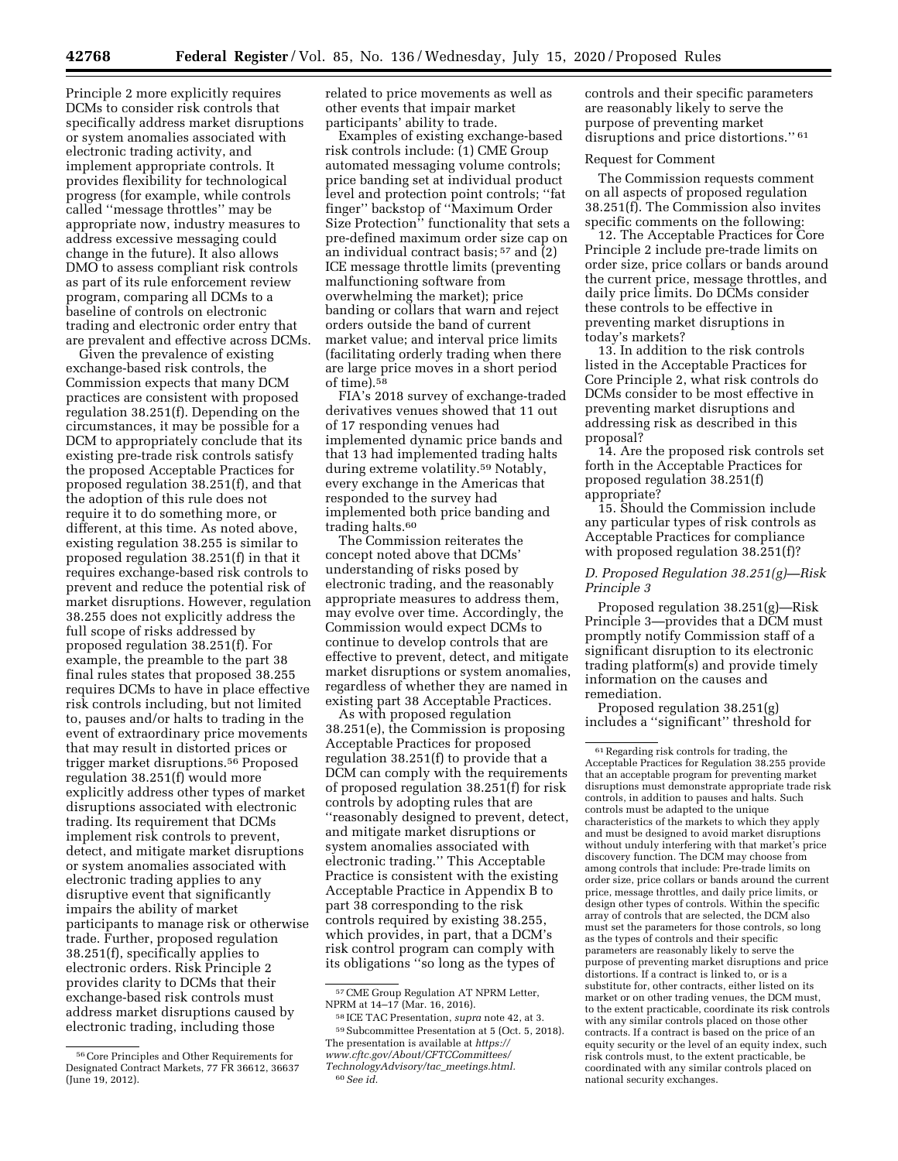Principle 2 more explicitly requires DCMs to consider risk controls that specifically address market disruptions or system anomalies associated with electronic trading activity, and implement appropriate controls. It provides flexibility for technological progress (for example, while controls called ''message throttles'' may be appropriate now, industry measures to address excessive messaging could change in the future). It also allows DMO to assess compliant risk controls as part of its rule enforcement review program, comparing all DCMs to a baseline of controls on electronic trading and electronic order entry that are prevalent and effective across DCMs.

Given the prevalence of existing exchange-based risk controls, the Commission expects that many DCM practices are consistent with proposed regulation 38.251(f). Depending on the circumstances, it may be possible for a DCM to appropriately conclude that its existing pre-trade risk controls satisfy the proposed Acceptable Practices for proposed regulation 38.251(f), and that the adoption of this rule does not require it to do something more, or different, at this time. As noted above, existing regulation 38.255 is similar to proposed regulation 38.251(f) in that it requires exchange-based risk controls to prevent and reduce the potential risk of market disruptions. However, regulation 38.255 does not explicitly address the full scope of risks addressed by proposed regulation 38.251(f). For example, the preamble to the part 38 final rules states that proposed 38.255 requires DCMs to have in place effective risk controls including, but not limited to, pauses and/or halts to trading in the event of extraordinary price movements that may result in distorted prices or trigger market disruptions.56 Proposed regulation 38.251(f) would more explicitly address other types of market disruptions associated with electronic trading. Its requirement that DCMs implement risk controls to prevent, detect, and mitigate market disruptions or system anomalies associated with electronic trading applies to any disruptive event that significantly impairs the ability of market participants to manage risk or otherwise trade. Further, proposed regulation 38.251(f), specifically applies to electronic orders. Risk Principle 2 provides clarity to DCMs that their exchange-based risk controls must address market disruptions caused by electronic trading, including those

related to price movements as well as other events that impair market participants' ability to trade.

Examples of existing exchange-based risk controls include: (1) CME Group automated messaging volume controls; price banding set at individual product level and protection point controls; ''fat finger'' backstop of ''Maximum Order Size Protection'' functionality that sets a pre-defined maximum order size cap on an individual contract basis;  $57$  and  $\overline{2}$ ) ICE message throttle limits (preventing malfunctioning software from overwhelming the market); price banding or collars that warn and reject orders outside the band of current market value; and interval price limits (facilitating orderly trading when there are large price moves in a short period of time).58

FIA's 2018 survey of exchange-traded derivatives venues showed that 11 out of 17 responding venues had implemented dynamic price bands and that 13 had implemented trading halts during extreme volatility.59 Notably, every exchange in the Americas that responded to the survey had implemented both price banding and trading halts.<sup>60</sup>

The Commission reiterates the concept noted above that DCMs' understanding of risks posed by electronic trading, and the reasonably appropriate measures to address them, may evolve over time. Accordingly, the Commission would expect DCMs to continue to develop controls that are effective to prevent, detect, and mitigate market disruptions or system anomalies, regardless of whether they are named in existing part 38 Acceptable Practices.

As with proposed regulation 38.251(e), the Commission is proposing Acceptable Practices for proposed regulation 38.251(f) to provide that a DCM can comply with the requirements of proposed regulation 38.251(f) for risk controls by adopting rules that are ''reasonably designed to prevent, detect, and mitigate market disruptions or system anomalies associated with electronic trading.'' This Acceptable Practice is consistent with the existing Acceptable Practice in Appendix B to part 38 corresponding to the risk controls required by existing 38.255, which provides, in part, that a DCM's risk control program can comply with its obligations ''so long as the types of

58 ICE TAC Presentation, *supra* note 42, at 3. 59Subcommittee Presentation at 5 (Oct. 5, 2018). The presentation is available at *[https://](https://www.cftc.gov/About/CFTCCommittees/TechnologyAdvisory/tac_meetings.html) [www.cftc.gov/About/CFTCCommittees/](https://www.cftc.gov/About/CFTCCommittees/TechnologyAdvisory/tac_meetings.html)  [TechnologyAdvisory/tac](https://www.cftc.gov/About/CFTCCommittees/TechnologyAdvisory/tac_meetings.html)*\_*meetings.html.* 

controls and their specific parameters are reasonably likely to serve the purpose of preventing market disruptions and price distortions." 61

#### Request for Comment

The Commission requests comment on all aspects of proposed regulation 38.251(f). The Commission also invites specific comments on the following:

12. The Acceptable Practices for Core Principle 2 include pre-trade limits on order size, price collars or bands around the current price, message throttles, and daily price limits. Do DCMs consider these controls to be effective in preventing market disruptions in today's markets?

13. In addition to the risk controls listed in the Acceptable Practices for Core Principle 2, what risk controls do DCMs consider to be most effective in preventing market disruptions and addressing risk as described in this proposal?

14. Are the proposed risk controls set forth in the Acceptable Practices for proposed regulation 38.251(f) appropriate?

15. Should the Commission include any particular types of risk controls as Acceptable Practices for compliance with proposed regulation 38.251(f)?

### *D. Proposed Regulation 38.251(g)—Risk Principle 3*

Proposed regulation 38.251(g)—Risk Principle 3—provides that a DCM must promptly notify Commission staff of a significant disruption to its electronic trading platform(s) and provide timely information on the causes and remediation.

Proposed regulation 38.251(g) includes a ''significant'' threshold for

<sup>56</sup>Core Principles and Other Requirements for Designated Contract Markets, 77 FR 36612, 36637 (June 19, 2012).

<sup>57</sup>CME Group Regulation AT NPRM Letter, NPRM at 14-17 (Mar. 16, 2016).

<sup>60</sup>*See id.* 

<sup>61</sup>Regarding risk controls for trading, the Acceptable Practices for Regulation 38.255 provide that an acceptable program for preventing market disruptions must demonstrate appropriate trade risk controls, in addition to pauses and halts. Such controls must be adapted to the unique characteristics of the markets to which they apply and must be designed to avoid market disruptions without unduly interfering with that market's price discovery function. The DCM may choose from among controls that include: Pre-trade limits on order size, price collars or bands around the current price, message throttles, and daily price limits, or design other types of controls. Within the specific array of controls that are selected, the DCM also must set the parameters for those controls, so long as the types of controls and their specific parameters are reasonably likely to serve the purpose of preventing market disruptions and price distortions. If a contract is linked to, or is a substitute for, other contracts, either listed on its market or on other trading venues, the DCM must, to the extent practicable, coordinate its risk controls with any similar controls placed on those other contracts. If a contract is based on the price of an equity security or the level of an equity index, such risk controls must, to the extent practicable, be coordinated with any similar controls placed on national security exchanges.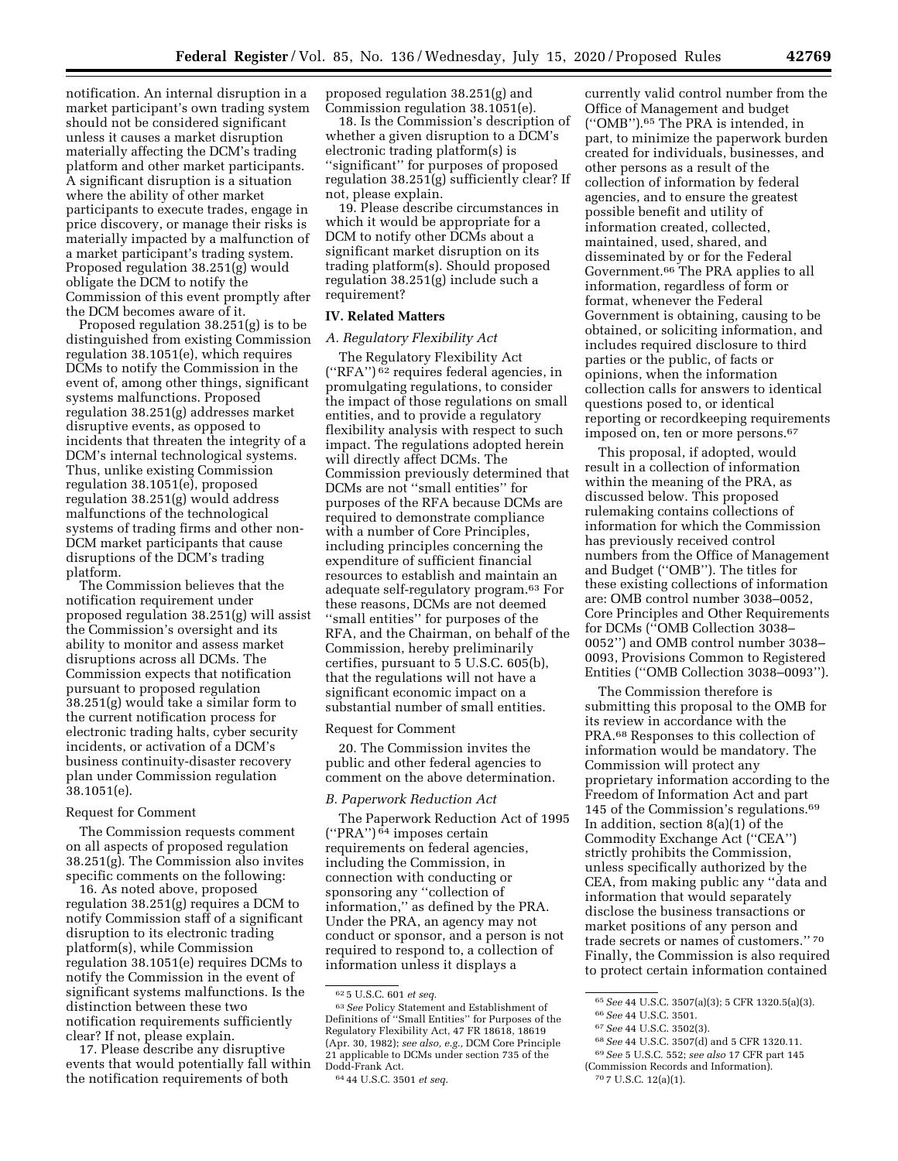notification. An internal disruption in a market participant's own trading system should not be considered significant unless it causes a market disruption materially affecting the DCM's trading platform and other market participants. A significant disruption is a situation where the ability of other market participants to execute trades, engage in price discovery, or manage their risks is materially impacted by a malfunction of a market participant's trading system. Proposed regulation 38.251(g) would obligate the DCM to notify the Commission of this event promptly after the DCM becomes aware of it.

Proposed regulation 38.251(g) is to be distinguished from existing Commission regulation 38.1051(e), which requires DCMs to notify the Commission in the event of, among other things, significant systems malfunctions. Proposed regulation 38.251(g) addresses market disruptive events, as opposed to incidents that threaten the integrity of a DCM's internal technological systems. Thus, unlike existing Commission regulation 38.1051(e), proposed regulation 38.251(g) would address malfunctions of the technological systems of trading firms and other non-DCM market participants that cause disruptions of the DCM's trading platform.

The Commission believes that the notification requirement under proposed regulation 38.251(g) will assist the Commission's oversight and its ability to monitor and assess market disruptions across all DCMs. The Commission expects that notification pursuant to proposed regulation 38.251(g) would take a similar form to the current notification process for electronic trading halts, cyber security incidents, or activation of a DCM's business continuity-disaster recovery plan under Commission regulation 38.1051(e).

### Request for Comment

The Commission requests comment on all aspects of proposed regulation 38.251(g). The Commission also invites specific comments on the following:

16. As noted above, proposed regulation 38.251(g) requires a DCM to notify Commission staff of a significant disruption to its electronic trading platform(s), while Commission regulation 38.1051(e) requires DCMs to notify the Commission in the event of significant systems malfunctions. Is the distinction between these two notification requirements sufficiently clear? If not, please explain.

17. Please describe any disruptive events that would potentially fall within the notification requirements of both

proposed regulation 38.251(g) and Commission regulation 38.1051(e).

18. Is the Commission's description of whether a given disruption to a DCM's electronic trading platform(s) is ''significant'' for purposes of proposed regulation 38.251(g) sufficiently clear? If not, please explain.

19. Please describe circumstances in which it would be appropriate for a DCM to notify other DCMs about a significant market disruption on its trading platform(s). Should proposed regulation 38.251(g) include such a requirement?

### **IV. Related Matters**

### *A. Regulatory Flexibility Act*

The Regulatory Flexibility Act (''RFA'') 62 requires federal agencies, in promulgating regulations, to consider the impact of those regulations on small entities, and to provide a regulatory flexibility analysis with respect to such impact. The regulations adopted herein will directly affect DCMs. The Commission previously determined that DCMs are not ''small entities'' for purposes of the RFA because DCMs are required to demonstrate compliance with a number of Core Principles, including principles concerning the expenditure of sufficient financial resources to establish and maintain an adequate self-regulatory program.63 For these reasons, DCMs are not deemed ''small entities'' for purposes of the RFA, and the Chairman, on behalf of the Commission, hereby preliminarily certifies, pursuant to 5 U.S.C. 605(b), that the regulations will not have a significant economic impact on a substantial number of small entities.

#### Request for Comment

20. The Commission invites the public and other federal agencies to comment on the above determination.

### *B. Paperwork Reduction Act*

The Paperwork Reduction Act of 1995  $\left( \text{``PRA''}\right)$ <br/> $\bar{^{64}}$  imposes certain requirements on federal agencies, including the Commission, in connection with conducting or sponsoring any ''collection of information,'' as defined by the PRA. Under the PRA, an agency may not conduct or sponsor, and a person is not required to respond to, a collection of information unless it displays a

currently valid control number from the Office of Management and budget (''OMB'').65 The PRA is intended, in part, to minimize the paperwork burden created for individuals, businesses, and other persons as a result of the collection of information by federal agencies, and to ensure the greatest possible benefit and utility of information created, collected, maintained, used, shared, and disseminated by or for the Federal Government.66 The PRA applies to all information, regardless of form or format, whenever the Federal Government is obtaining, causing to be obtained, or soliciting information, and includes required disclosure to third parties or the public, of facts or opinions, when the information collection calls for answers to identical questions posed to, or identical reporting or recordkeeping requirements imposed on, ten or more persons.67

This proposal, if adopted, would result in a collection of information within the meaning of the PRA, as discussed below. This proposed rulemaking contains collections of information for which the Commission has previously received control numbers from the Office of Management and Budget (''OMB''). The titles for these existing collections of information are: OMB control number 3038–0052, Core Principles and Other Requirements for DCMs (''OMB Collection 3038– 0052'') and OMB control number 3038– 0093, Provisions Common to Registered Entities (''OMB Collection 3038–0093'').

The Commission therefore is submitting this proposal to the OMB for its review in accordance with the PRA.68 Responses to this collection of information would be mandatory. The Commission will protect any proprietary information according to the Freedom of Information Act and part 145 of the Commission's regulations.69 In addition, section 8(a)(1) of the Commodity Exchange Act (''CEA'') strictly prohibits the Commission, unless specifically authorized by the CEA, from making public any ''data and information that would separately disclose the business transactions or market positions of any person and trade secrets or names of customers.'' 70 Finally, the Commission is also required to protect certain information contained

<sup>62</sup> 5 U.S.C. 601 *et seq.* 

<sup>63</sup>*See* Policy Statement and Establishment of Definitions of ''Small Entities'' for Purposes of the Regulatory Flexibility Act, 47 FR 18618, 18619 (Apr. 30, 1982); *see also, e.g.,* DCM Core Principle 21 applicable to DCMs under section 735 of the Dodd-Frank Act.

<sup>64</sup> 44 U.S.C. 3501 *et seq.* 

<sup>65</sup>*See* 44 U.S.C. 3507(a)(3); 5 CFR 1320.5(a)(3). 66*See* 44 U.S.C. 3501.

<sup>67</sup>*See* 44 U.S.C. 3502(3).

<sup>68</sup>*See* 44 U.S.C. 3507(d) and 5 CFR 1320.11.

<sup>69</sup>*See* 5 U.S.C. 552; *see also* 17 CFR part 145 (Commission Records and Information).

<sup>70</sup> 7 U.S.C. 12(a)(1).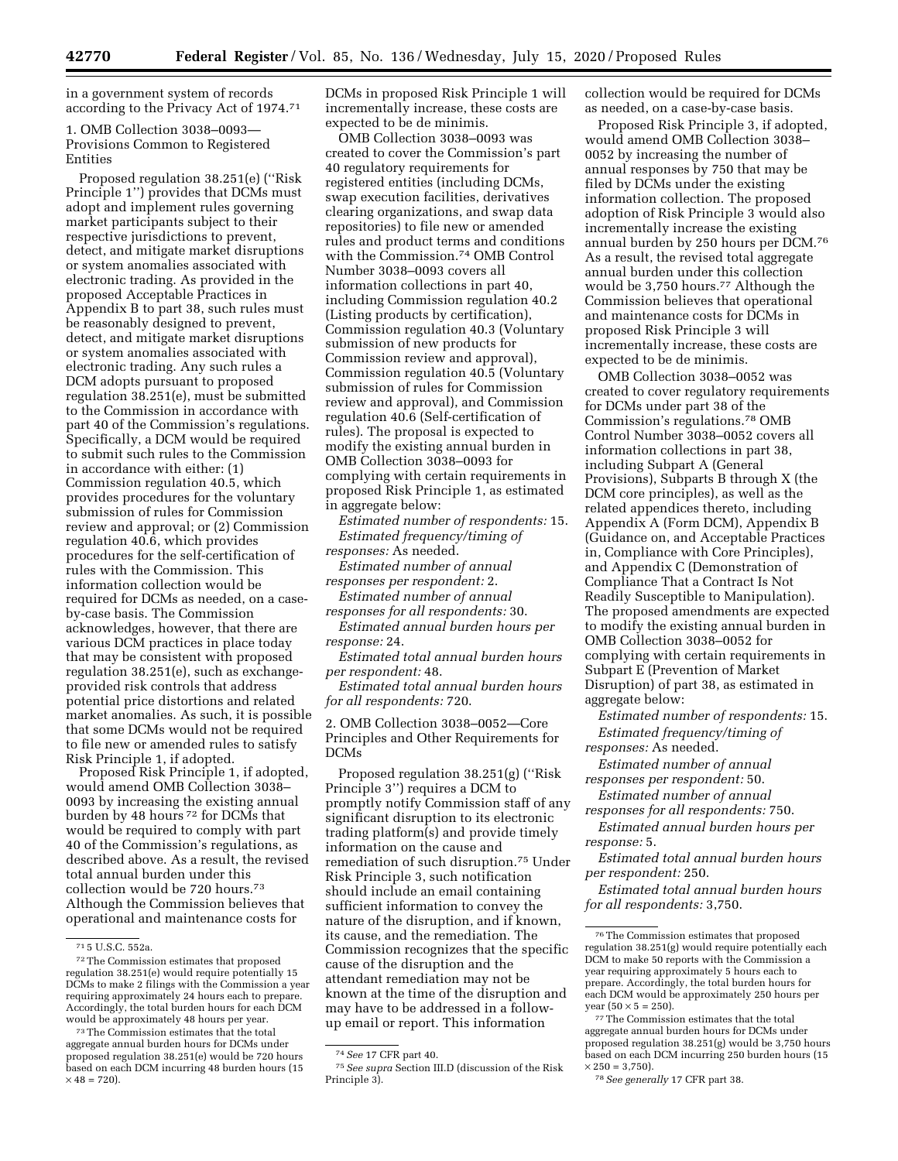in a government system of records according to the Privacy Act of 1974.71

1. OMB Collection 3038–0093— Provisions Common to Registered Entities

Proposed regulation 38.251(e) (''Risk Principle 1'') provides that DCMs must adopt and implement rules governing market participants subject to their respective jurisdictions to prevent, detect, and mitigate market disruptions or system anomalies associated with electronic trading. As provided in the proposed Acceptable Practices in Appendix B to part 38, such rules must be reasonably designed to prevent, detect, and mitigate market disruptions or system anomalies associated with electronic trading. Any such rules a DCM adopts pursuant to proposed regulation 38.251(e), must be submitted to the Commission in accordance with part 40 of the Commission's regulations. Specifically, a DCM would be required to submit such rules to the Commission in accordance with either: (1) Commission regulation 40.5, which provides procedures for the voluntary submission of rules for Commission review and approval; or (2) Commission regulation 40.6, which provides procedures for the self-certification of rules with the Commission. This information collection would be required for DCMs as needed, on a caseby-case basis. The Commission acknowledges, however, that there are various DCM practices in place today that may be consistent with proposed regulation 38.251(e), such as exchangeprovided risk controls that address potential price distortions and related market anomalies. As such, it is possible that some DCMs would not be required to file new or amended rules to satisfy Risk Principle 1, if adopted.

Proposed Risk Principle 1, if adopted, would amend OMB Collection 3038– 0093 by increasing the existing annual burden by 48 hours 72 for DCMs that would be required to comply with part 40 of the Commission's regulations, as described above. As a result, the revised total annual burden under this collection would be 720 hours.73 Although the Commission believes that operational and maintenance costs for

DCMs in proposed Risk Principle 1 will incrementally increase, these costs are expected to be de minimis.

OMB Collection 3038–0093 was created to cover the Commission's part 40 regulatory requirements for registered entities (including DCMs, swap execution facilities, derivatives clearing organizations, and swap data repositories) to file new or amended rules and product terms and conditions with the Commission.74 OMB Control Number 3038–0093 covers all information collections in part 40, including Commission regulation 40.2 (Listing products by certification), Commission regulation 40.3 (Voluntary submission of new products for Commission review and approval), Commission regulation 40.5 (Voluntary submission of rules for Commission review and approval), and Commission regulation 40.6 (Self-certification of rules). The proposal is expected to modify the existing annual burden in OMB Collection 3038–0093 for complying with certain requirements in proposed Risk Principle 1, as estimated in aggregate below:

*Estimated number of respondents:* 15. *Estimated frequency/timing of responses:* As needed.

*Estimated number of annual responses per respondent:* 2.

*Estimated number of annual* 

*responses for all respondents:* 30. *Estimated annual burden hours per* 

*response:* 24.

*Estimated total annual burden hours per respondent:* 48.

*Estimated total annual burden hours for all respondents:* 720.

2. OMB Collection 3038–0052—Core Principles and Other Requirements for DCMs

Proposed regulation 38.251(g) (''Risk Principle 3'') requires a DCM to promptly notify Commission staff of any significant disruption to its electronic trading platform(s) and provide timely information on the cause and remediation of such disruption.75 Under Risk Principle 3, such notification should include an email containing sufficient information to convey the nature of the disruption, and if known, its cause, and the remediation. The Commission recognizes that the specific cause of the disruption and the attendant remediation may not be known at the time of the disruption and may have to be addressed in a followup email or report. This information

collection would be required for DCMs as needed, on a case-by-case basis.

Proposed Risk Principle 3, if adopted, would amend OMB Collection 3038– 0052 by increasing the number of annual responses by 750 that may be filed by DCMs under the existing information collection. The proposed adoption of Risk Principle 3 would also incrementally increase the existing annual burden by 250 hours per DCM.76 As a result, the revised total aggregate annual burden under this collection would be 3,750 hours.77 Although the Commission believes that operational and maintenance costs for DCMs in proposed Risk Principle 3 will incrementally increase, these costs are expected to be de minimis.

OMB Collection 3038–0052 was created to cover regulatory requirements for DCMs under part 38 of the Commission's regulations.78 OMB Control Number 3038–0052 covers all information collections in part 38, including Subpart A (General Provisions), Subparts B through X (the DCM core principles), as well as the related appendices thereto, including Appendix A (Form DCM), Appendix B (Guidance on, and Acceptable Practices in, Compliance with Core Principles), and Appendix C (Demonstration of Compliance That a Contract Is Not Readily Susceptible to Manipulation). The proposed amendments are expected to modify the existing annual burden in OMB Collection 3038–0052 for complying with certain requirements in Subpart E (Prevention of Market Disruption) of part 38, as estimated in aggregate below:

*Estimated number of respondents:* 15. *Estimated frequency/timing of* 

*responses:* As needed. *Estimated number of annual* 

*responses per respondent:* 50. *Estimated number of annual* 

*responses for all respondents:* 750.

*Estimated annual burden hours per response:* 5.

*Estimated total annual burden hours per respondent:* 250.

*Estimated total annual burden hours for all respondents:* 3,750.

<sup>71</sup> 5 U.S.C. 552a.

<sup>72</sup>The Commission estimates that proposed regulation 38.251(e) would require potentially 15 DCMs to make 2 filings with the Commission a year requiring approximately 24 hours each to prepare. Accordingly, the total burden hours for each DCM would be approximately 48 hours per year.

<sup>73</sup>The Commission estimates that the total aggregate annual burden hours for DCMs under proposed regulation 38.251(e) would be 720 hours based on each DCM incurring 48 burden hours (15  $\times$  48 = 720).

<sup>74</sup>*See* 17 CFR part 40.

<sup>75</sup>*See supra* Section III.D (discussion of the Risk Principle 3).

<sup>76</sup>The Commission estimates that proposed regulation 38.251(g) would require potentially each DCM to make 50 reports with the Commission a year requiring approximately 5 hours each to prepare. Accordingly, the total burden hours for each DCM would be approximately 250 hours per year  $(50 \times 5 = 250)$ .

<sup>77</sup>The Commission estimates that the total aggregate annual burden hours for DCMs under proposed regulation 38.251(g) would be 3,750 hours based on each DCM incurring 250 burden hours (15  $\times 250 = 3,750$ 

<sup>78</sup>*See generally* 17 CFR part 38.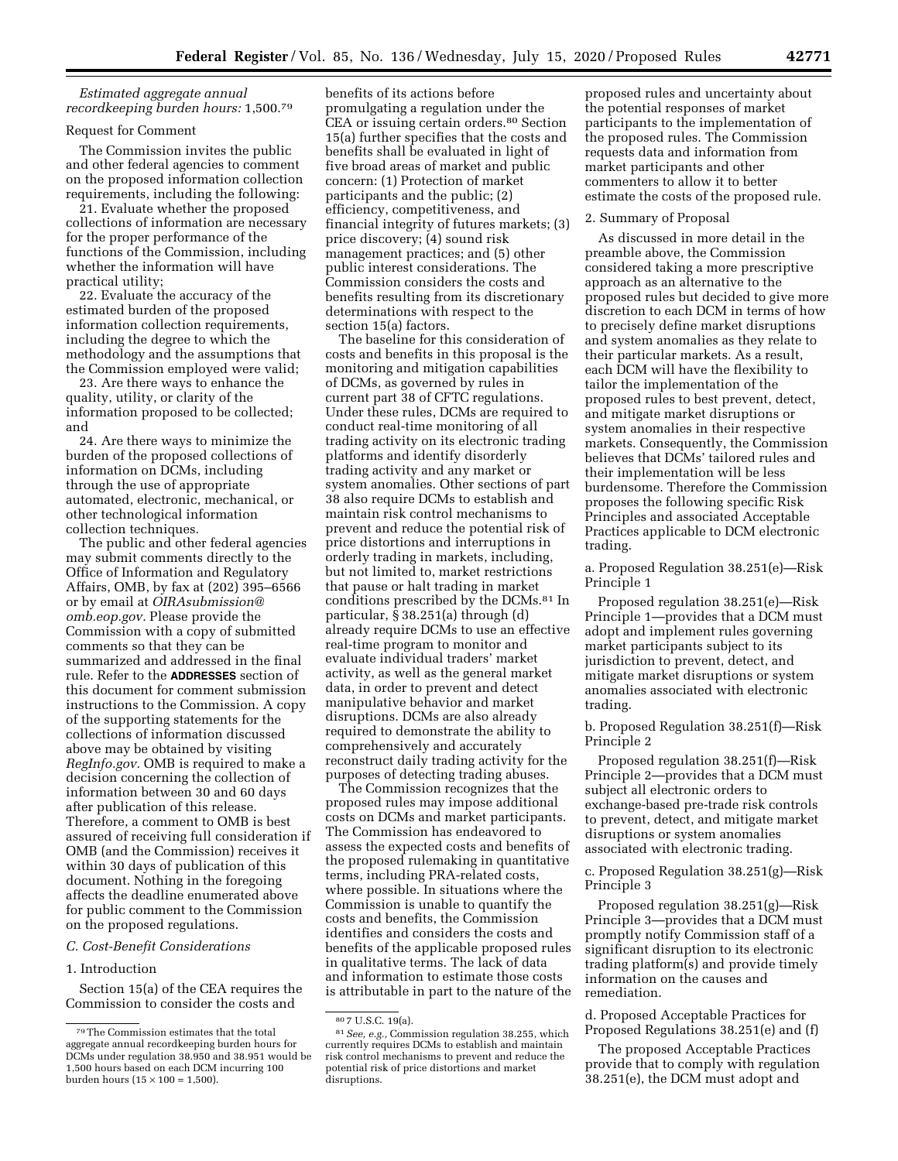*Estimated aggregate annual recordkeeping burden hours:* 1,500.79

### Request for Comment

The Commission invites the public and other federal agencies to comment on the proposed information collection requirements, including the following:

21. Evaluate whether the proposed collections of information are necessary for the proper performance of the functions of the Commission, including whether the information will have practical utility;

22. Evaluate the accuracy of the estimated burden of the proposed information collection requirements, including the degree to which the methodology and the assumptions that the Commission employed were valid;

23. Are there ways to enhance the quality, utility, or clarity of the information proposed to be collected; and

24. Are there ways to minimize the burden of the proposed collections of information on DCMs, including through the use of appropriate automated, electronic, mechanical, or other technological information collection techniques.

The public and other federal agencies may submit comments directly to the Office of Information and Regulatory Affairs, OMB, by fax at (202) 395–6566 or by email at *[OIRAsubmission@](mailto:OIRAsubmission@omb.eop.gov) [omb.eop.gov.](mailto:OIRAsubmission@omb.eop.gov)* Please provide the Commission with a copy of submitted comments so that they can be summarized and addressed in the final rule. Refer to the **ADDRESSES** section of this document for comment submission instructions to the Commission. A copy of the supporting statements for the collections of information discussed above may be obtained by visiting *RegInfo.gov.* OMB is required to make a decision concerning the collection of information between 30 and 60 days after publication of this release. Therefore, a comment to OMB is best assured of receiving full consideration if OMB (and the Commission) receives it within 30 days of publication of this document. Nothing in the foregoing affects the deadline enumerated above for public comment to the Commission on the proposed regulations.

#### *C. Cost-Benefit Considerations*

### 1. Introduction

Section 15(a) of the CEA requires the Commission to consider the costs and

benefits of its actions before promulgating a regulation under the CEA or issuing certain orders.80 Section 15(a) further specifies that the costs and benefits shall be evaluated in light of five broad areas of market and public concern: (1) Protection of market participants and the public; (2) efficiency, competitiveness, and financial integrity of futures markets; (3) price discovery; (4) sound risk management practices; and (5) other public interest considerations. The Commission considers the costs and benefits resulting from its discretionary determinations with respect to the section 15(a) factors.

The baseline for this consideration of costs and benefits in this proposal is the monitoring and mitigation capabilities of DCMs, as governed by rules in current part 38 of CFTC regulations. Under these rules, DCMs are required to conduct real-time monitoring of all trading activity on its electronic trading platforms and identify disorderly trading activity and any market or system anomalies. Other sections of part 38 also require DCMs to establish and maintain risk control mechanisms to prevent and reduce the potential risk of price distortions and interruptions in orderly trading in markets, including, but not limited to, market restrictions that pause or halt trading in market conditions prescribed by the DCMs.81 In particular, § 38.251(a) through (d) already require DCMs to use an effective real-time program to monitor and evaluate individual traders' market activity, as well as the general market data, in order to prevent and detect manipulative behavior and market disruptions. DCMs are also already required to demonstrate the ability to comprehensively and accurately reconstruct daily trading activity for the purposes of detecting trading abuses.

The Commission recognizes that the proposed rules may impose additional costs on DCMs and market participants. The Commission has endeavored to assess the expected costs and benefits of the proposed rulemaking in quantitative terms, including PRA-related costs, where possible. In situations where the Commission is unable to quantify the costs and benefits, the Commission identifies and considers the costs and benefits of the applicable proposed rules in qualitative terms. The lack of data and information to estimate those costs is attributable in part to the nature of the

proposed rules and uncertainty about the potential responses of market participants to the implementation of the proposed rules. The Commission requests data and information from market participants and other commenters to allow it to better estimate the costs of the proposed rule.

#### 2. Summary of Proposal

As discussed in more detail in the preamble above, the Commission considered taking a more prescriptive approach as an alternative to the proposed rules but decided to give more discretion to each DCM in terms of how to precisely define market disruptions and system anomalies as they relate to their particular markets. As a result, each DCM will have the flexibility to tailor the implementation of the proposed rules to best prevent, detect, and mitigate market disruptions or system anomalies in their respective markets. Consequently, the Commission believes that DCMs' tailored rules and their implementation will be less burdensome. Therefore the Commission proposes the following specific Risk Principles and associated Acceptable Practices applicable to DCM electronic trading.

a. Proposed Regulation 38.251(e)—Risk Principle 1

Proposed regulation 38.251(e)—Risk Principle 1—provides that a DCM must adopt and implement rules governing market participants subject to its jurisdiction to prevent, detect, and mitigate market disruptions or system anomalies associated with electronic trading.

b. Proposed Regulation 38.251(f)—Risk Principle 2

Proposed regulation 38.251(f)—Risk Principle 2—provides that a DCM must subject all electronic orders to exchange-based pre-trade risk controls to prevent, detect, and mitigate market disruptions or system anomalies associated with electronic trading.

c. Proposed Regulation 38.251(g)—Risk Principle 3

Proposed regulation 38.251(g)—Risk Principle 3—provides that a DCM must promptly notify Commission staff of a significant disruption to its electronic trading platform(s) and provide timely information on the causes and remediation.

d. Proposed Acceptable Practices for Proposed Regulations 38.251(e) and (f)

The proposed Acceptable Practices provide that to comply with regulation 38.251(e), the DCM must adopt and

<sup>79</sup>The Commission estimates that the total aggregate annual recordkeeping burden hours for DCMs under regulation 38.950 and 38.951 would be 1,500 hours based on each DCM incurring 100 burden hours  $(15 \times 100 = 1,500)$ .

<sup>80</sup> 7 U.S.C. 19(a). 81*See, e.g.,* Commission regulation 38.255, which currently requires DCMs to establish and maintain risk control mechanisms to prevent and reduce the potential risk of price distortions and market disruptions.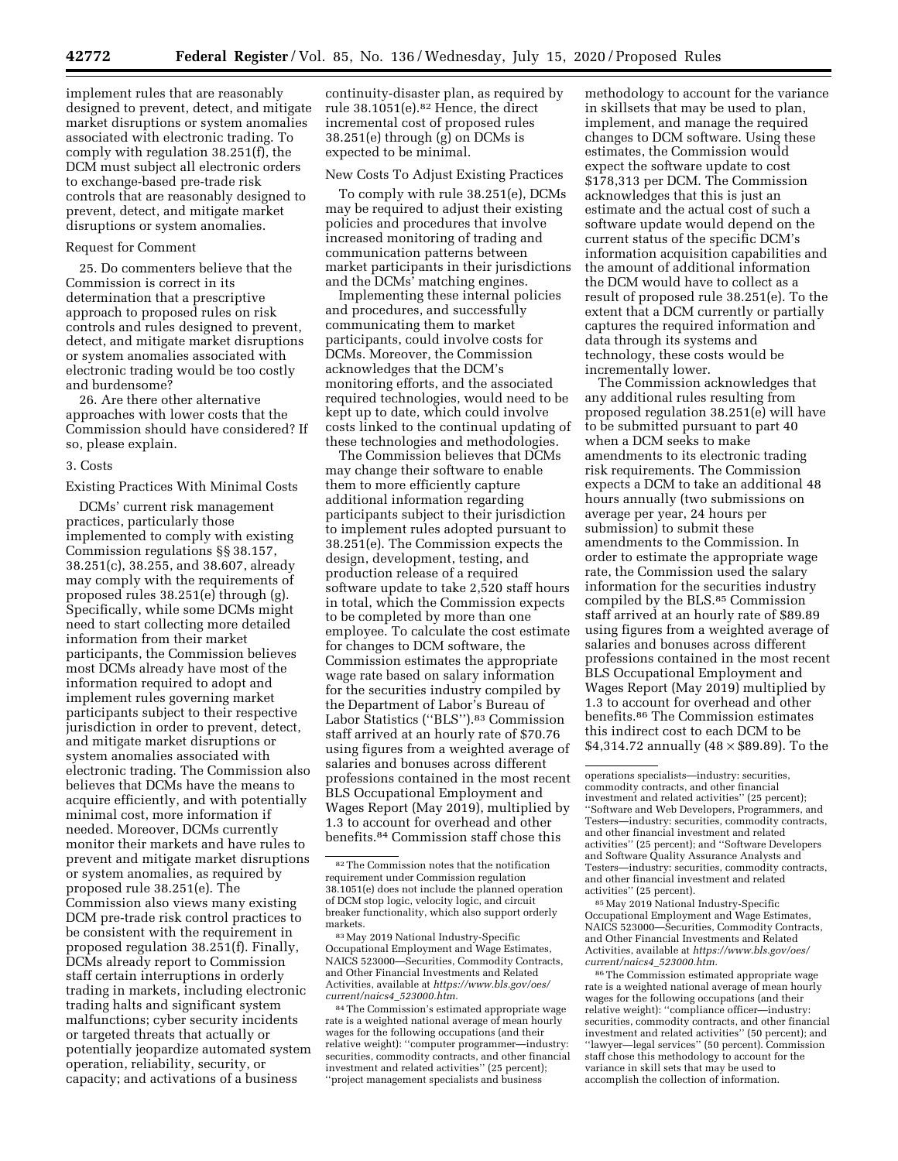implement rules that are reasonably designed to prevent, detect, and mitigate market disruptions or system anomalies associated with electronic trading. To comply with regulation 38.251(f), the DCM must subject all electronic orders to exchange-based pre-trade risk controls that are reasonably designed to prevent, detect, and mitigate market disruptions or system anomalies.

### Request for Comment

25. Do commenters believe that the Commission is correct in its determination that a prescriptive approach to proposed rules on risk controls and rules designed to prevent, detect, and mitigate market disruptions or system anomalies associated with electronic trading would be too costly and burdensome?

26. Are there other alternative approaches with lower costs that the Commission should have considered? If so, please explain.

#### 3. Costs

Existing Practices With Minimal Costs

DCMs' current risk management practices, particularly those implemented to comply with existing Commission regulations §§ 38.157, 38.251(c), 38.255, and 38.607, already may comply with the requirements of proposed rules 38.251(e) through (g). Specifically, while some DCMs might need to start collecting more detailed information from their market participants, the Commission believes most DCMs already have most of the information required to adopt and implement rules governing market participants subject to their respective jurisdiction in order to prevent, detect, and mitigate market disruptions or system anomalies associated with electronic trading. The Commission also believes that DCMs have the means to acquire efficiently, and with potentially minimal cost, more information if needed. Moreover, DCMs currently monitor their markets and have rules to prevent and mitigate market disruptions or system anomalies, as required by proposed rule 38.251(e). The Commission also views many existing DCM pre-trade risk control practices to be consistent with the requirement in proposed regulation 38.251(f). Finally, DCMs already report to Commission staff certain interruptions in orderly trading in markets, including electronic trading halts and significant system malfunctions; cyber security incidents or targeted threats that actually or potentially jeopardize automated system operation, reliability, security, or capacity; and activations of a business

continuity-disaster plan, as required by rule 38.1051(e).82 Hence, the direct incremental cost of proposed rules 38.251(e) through (g) on DCMs is expected to be minimal.

### New Costs To Adjust Existing Practices

To comply with rule 38.251(e), DCMs may be required to adjust their existing policies and procedures that involve increased monitoring of trading and communication patterns between market participants in their jurisdictions and the DCMs' matching engines.

Implementing these internal policies and procedures, and successfully communicating them to market participants, could involve costs for DCMs. Moreover, the Commission acknowledges that the DCM's monitoring efforts, and the associated required technologies, would need to be kept up to date, which could involve costs linked to the continual updating of these technologies and methodologies.

The Commission believes that DCMs may change their software to enable them to more efficiently capture additional information regarding participants subject to their jurisdiction to implement rules adopted pursuant to 38.251(e). The Commission expects the design, development, testing, and production release of a required software update to take 2,520 staff hours in total, which the Commission expects to be completed by more than one employee. To calculate the cost estimate for changes to DCM software, the Commission estimates the appropriate wage rate based on salary information for the securities industry compiled by the Department of Labor's Bureau of Labor Statistics (''BLS'').83 Commission staff arrived at an hourly rate of \$70.76 using figures from a weighted average of salaries and bonuses across different professions contained in the most recent BLS Occupational Employment and Wages Report (May 2019), multiplied by 1.3 to account for overhead and other benefits.84 Commission staff chose this

83May 2019 National Industry-Specific Occupational Employment and Wage Estimates, NAICS 523000—Securities, Commodity Contracts, and Other Financial Investments and Related Activities, available at *[https://www.bls.gov/oes/](https://www.bls.gov/oes/current/naics4_523000.htm) [current/naics4](https://www.bls.gov/oes/current/naics4_523000.htm)*\_*523000.htm.* 

84The Commission's estimated appropriate wage rate is a weighted national average of mean hourly wages for the following occupations (and their relative weight): ''computer programmer—industry: securities, commodity contracts, and other financial investment and related activities'' (25 percent); ''project management specialists and business

methodology to account for the variance in skillsets that may be used to plan, implement, and manage the required changes to DCM software. Using these estimates, the Commission would expect the software update to cost \$178,313 per DCM. The Commission acknowledges that this is just an estimate and the actual cost of such a software update would depend on the current status of the specific DCM's information acquisition capabilities and the amount of additional information the DCM would have to collect as a result of proposed rule 38.251(e). To the extent that a DCM currently or partially captures the required information and data through its systems and technology, these costs would be incrementally lower.

The Commission acknowledges that any additional rules resulting from proposed regulation 38.251(e) will have to be submitted pursuant to part 40 when a DCM seeks to make amendments to its electronic trading risk requirements. The Commission expects a DCM to take an additional 48 hours annually (two submissions on average per year, 24 hours per submission) to submit these amendments to the Commission. In order to estimate the appropriate wage rate, the Commission used the salary information for the securities industry compiled by the BLS.85 Commission staff arrived at an hourly rate of \$89.89 using figures from a weighted average of salaries and bonuses across different professions contained in the most recent BLS Occupational Employment and Wages Report (May 2019) multiplied by 1.3 to account for overhead and other benefits.86 The Commission estimates this indirect cost to each DCM to be \$4,314.72 annually  $(48 \times $89.89)$ . To the

86The Commission estimated appropriate wage rate is a weighted national average of mean hourly wages for the following occupations (and their relative weight): ''compliance officer—industry: securities, commodity contracts, and other financial investment and related activities'' (50 percent); and ''lawyer—legal services'' (50 percent). Commission staff chose this methodology to account for the variance in skill sets that may be used to accomplish the collection of information.

<sup>82</sup>The Commission notes that the notification requirement under Commission regulation 38.1051(e) does not include the planned operation of DCM stop logic, velocity logic, and circuit breaker functionality, which also support orderly markets.

operations specialists—industry: securities, commodity contracts, and other financial investment and related activities'' (25 percent); ''Software and Web Developers, Programmers, and Testers—industry: securities, commodity contracts, and other financial investment and related activities'' (25 percent); and ''Software Developers and Software Quality Assurance Analysts and Testers—industry: securities, commodity contracts, and other financial investment and related activities'' (25 percent).

<sup>85</sup>May 2019 National Industry-Specific Occupational Employment and Wage Estimates, NAICS 523000—Securities, Commodity Contracts, and Other Financial Investments and Related Activities, available at *[https://www.bls.gov/oes/](https://www.bls.gov/oes/current/naics4_523000.htm) [current/naics4](https://www.bls.gov/oes/current/naics4_523000.htm)*\_*523000.htm.*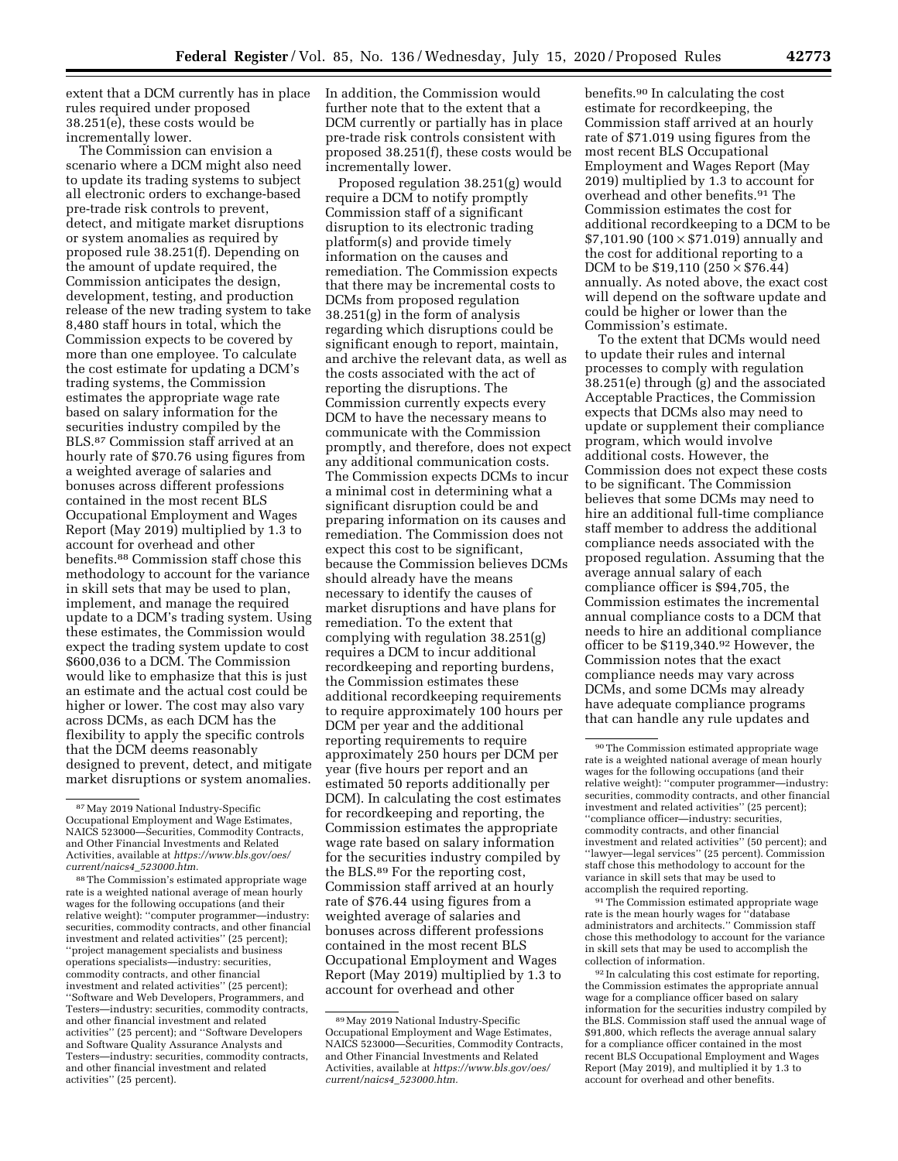extent that a DCM currently has in place rules required under proposed 38.251(e), these costs would be incrementally lower.

The Commission can envision a scenario where a DCM might also need to update its trading systems to subject all electronic orders to exchange-based pre-trade risk controls to prevent, detect, and mitigate market disruptions or system anomalies as required by proposed rule 38.251(f). Depending on the amount of update required, the Commission anticipates the design, development, testing, and production release of the new trading system to take 8,480 staff hours in total, which the Commission expects to be covered by more than one employee. To calculate the cost estimate for updating a DCM's trading systems, the Commission estimates the appropriate wage rate based on salary information for the securities industry compiled by the BLS.87 Commission staff arrived at an hourly rate of \$70.76 using figures from a weighted average of salaries and bonuses across different professions contained in the most recent BLS Occupational Employment and Wages Report (May 2019) multiplied by 1.3 to account for overhead and other benefits.88 Commission staff chose this methodology to account for the variance in skill sets that may be used to plan, implement, and manage the required update to a DCM's trading system. Using these estimates, the Commission would expect the trading system update to cost \$600,036 to a DCM. The Commission would like to emphasize that this is just an estimate and the actual cost could be higher or lower. The cost may also vary across DCMs, as each DCM has the flexibility to apply the specific controls that the DCM deems reasonably designed to prevent, detect, and mitigate market disruptions or system anomalies. In addition, the Commission would further note that to the extent that a DCM currently or partially has in place pre-trade risk controls consistent with proposed 38.251(f), these costs would be incrementally lower.

Proposed regulation 38.251(g) would require a DCM to notify promptly Commission staff of a significant disruption to its electronic trading platform(s) and provide timely information on the causes and remediation. The Commission expects that there may be incremental costs to DCMs from proposed regulation 38.251(g) in the form of analysis regarding which disruptions could be significant enough to report, maintain, and archive the relevant data, as well as the costs associated with the act of reporting the disruptions. The Commission currently expects every DCM to have the necessary means to communicate with the Commission promptly, and therefore, does not expect any additional communication costs. The Commission expects DCMs to incur a minimal cost in determining what a significant disruption could be and preparing information on its causes and remediation. The Commission does not expect this cost to be significant, because the Commission believes DCMs should already have the means necessary to identify the causes of market disruptions and have plans for remediation. To the extent that complying with regulation 38.251(g) requires a DCM to incur additional recordkeeping and reporting burdens, the Commission estimates these additional recordkeeping requirements to require approximately 100 hours per DCM per year and the additional reporting requirements to require approximately 250 hours per DCM per year (five hours per report and an estimated 50 reports additionally per DCM). In calculating the cost estimates for recordkeeping and reporting, the Commission estimates the appropriate wage rate based on salary information for the securities industry compiled by the BLS.89 For the reporting cost, Commission staff arrived at an hourly rate of \$76.44 using figures from a weighted average of salaries and bonuses across different professions contained in the most recent BLS Occupational Employment and Wages Report (May 2019) multiplied by 1.3 to account for overhead and other

benefits.90 In calculating the cost estimate for recordkeeping, the Commission staff arrived at an hourly rate of \$71.019 using figures from the most recent BLS Occupational Employment and Wages Report (May 2019) multiplied by 1.3 to account for overhead and other benefits.91 The Commission estimates the cost for additional recordkeeping to a DCM to be  $$7,101.90$  (100  $\times$  \$71.019) annually and the cost for additional reporting to a DCM to be  $$19,110$  ( $250 \times $76.44$ ) annually. As noted above, the exact cost will depend on the software update and could be higher or lower than the Commission's estimate.

To the extent that DCMs would need to update their rules and internal processes to comply with regulation 38.251(e) through (g) and the associated Acceptable Practices, the Commission expects that DCMs also may need to update or supplement their compliance program, which would involve additional costs. However, the Commission does not expect these costs to be significant. The Commission believes that some DCMs may need to hire an additional full-time compliance staff member to address the additional compliance needs associated with the proposed regulation. Assuming that the average annual salary of each compliance officer is \$94,705, the Commission estimates the incremental annual compliance costs to a DCM that needs to hire an additional compliance officer to be \$119,340.<sup>92</sup> However, the Commission notes that the exact compliance needs may vary across DCMs, and some DCMs may already have adequate compliance programs that can handle any rule updates and

<sup>91</sup>The Commission estimated appropriate wage rate is the mean hourly wages for ''database administrators and architects.'' Commission staff chose this methodology to account for the variance in skill sets that may be used to accomplish the collection of information.

92 In calculating this cost estimate for reporting, the Commission estimates the appropriate annual wage for a compliance officer based on salary information for the securities industry compiled by the BLS. Commission staff used the annual wage of \$91,800, which reflects the average annual salary for a compliance officer contained in the most recent BLS Occupational Employment and Wages Report (May 2019), and multiplied it by 1.3 to account for overhead and other benefits.

<sup>87</sup>May 2019 National Industry-Specific Occupational Employment and Wage Estimates, NAICS 523000—Securities, Commodity Contracts, and Other Financial Investments and Related Activities, available at *[https://www.bls.gov/oes/](https://www.bls.gov/oes/current/naics4_523000.htm) [current/naics4](https://www.bls.gov/oes/current/naics4_523000.htm)*\_*523000.htm.* 

<sup>88</sup>The Commission's estimated appropriate wage rate is a weighted national average of mean hourly wages for the following occupations (and their relative weight): ''computer programmer—industry: securities, commodity contracts, and other financial investment and related activities'' (25 percent); ''project management specialists and business operations specialists—industry: securities, commodity contracts, and other financial investment and related activities'' (25 percent); ''Software and Web Developers, Programmers, and Testers—industry: securities, commodity contracts, and other financial investment and related activities'' (25 percent); and ''Software Developers and Software Quality Assurance Analysts and Testers—industry: securities, commodity contracts, and other financial investment and related activities'' (25 percent).

<sup>89</sup>May 2019 National Industry-Specific Occupational Employment and Wage Estimates, NAICS 523000—Securities, Commodity Contracts, and Other Financial Investments and Related Activities, available at *[https://www.bls.gov/oes/](https://www.bls.gov/oes/current/naics4_523000.htm) [current/naics4](https://www.bls.gov/oes/current/naics4_523000.htm)*\_*523000.htm.* 

<sup>90</sup>The Commission estimated appropriate wage rate is a weighted national average of mean hourly wages for the following occupations (and their relative weight): ''computer programmer—industry: securities, commodity contracts, and other financial investment and related activities'' (25 percent); ''compliance officer—industry: securities, commodity contracts, and other financial investment and related activities'' (50 percent); and ''lawyer—legal services'' (25 percent). Commission staff chose this methodology to account for the variance in skill sets that may be used to accomplish the required reporting.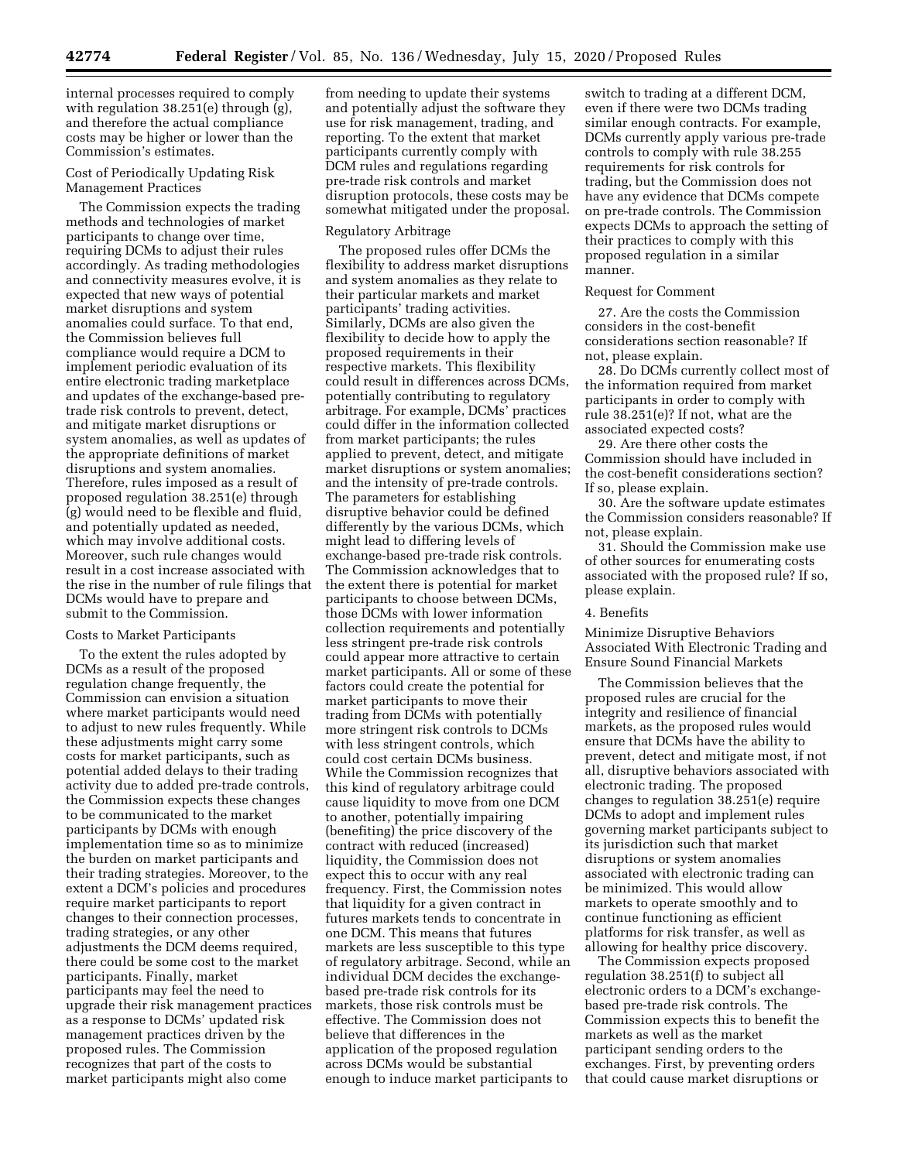internal processes required to comply with regulation 38.251(e) through (g), and therefore the actual compliance costs may be higher or lower than the Commission's estimates.

### Cost of Periodically Updating Risk Management Practices

The Commission expects the trading methods and technologies of market participants to change over time, requiring DCMs to adjust their rules accordingly. As trading methodologies and connectivity measures evolve, it is expected that new ways of potential market disruptions and system anomalies could surface. To that end, the Commission believes full compliance would require a DCM to implement periodic evaluation of its entire electronic trading marketplace and updates of the exchange-based pretrade risk controls to prevent, detect, and mitigate market disruptions or system anomalies, as well as updates of the appropriate definitions of market disruptions and system anomalies. Therefore, rules imposed as a result of proposed regulation 38.251(e) through (g) would need to be flexible and fluid, and potentially updated as needed, which may involve additional costs. Moreover, such rule changes would result in a cost increase associated with the rise in the number of rule filings that DCMs would have to prepare and submit to the Commission.

### Costs to Market Participants

To the extent the rules adopted by DCMs as a result of the proposed regulation change frequently, the Commission can envision a situation where market participants would need to adjust to new rules frequently. While these adjustments might carry some costs for market participants, such as potential added delays to their trading activity due to added pre-trade controls, the Commission expects these changes to be communicated to the market participants by DCMs with enough implementation time so as to minimize the burden on market participants and their trading strategies. Moreover, to the extent a DCM's policies and procedures require market participants to report changes to their connection processes, trading strategies, or any other adjustments the DCM deems required, there could be some cost to the market participants. Finally, market participants may feel the need to upgrade their risk management practices as a response to DCMs' updated risk management practices driven by the proposed rules. The Commission recognizes that part of the costs to market participants might also come

from needing to update their systems and potentially adjust the software they use for risk management, trading, and reporting. To the extent that market participants currently comply with DCM rules and regulations regarding pre-trade risk controls and market disruption protocols, these costs may be somewhat mitigated under the proposal.

### Regulatory Arbitrage

The proposed rules offer DCMs the flexibility to address market disruptions and system anomalies as they relate to their particular markets and market participants' trading activities. Similarly, DCMs are also given the flexibility to decide how to apply the proposed requirements in their respective markets. This flexibility could result in differences across DCMs, potentially contributing to regulatory arbitrage. For example, DCMs' practices could differ in the information collected from market participants; the rules applied to prevent, detect, and mitigate market disruptions or system anomalies; and the intensity of pre-trade controls. The parameters for establishing disruptive behavior could be defined differently by the various DCMs, which might lead to differing levels of exchange-based pre-trade risk controls. The Commission acknowledges that to the extent there is potential for market participants to choose between DCMs, those DCMs with lower information collection requirements and potentially less stringent pre-trade risk controls could appear more attractive to certain market participants. All or some of these factors could create the potential for market participants to move their trading from DCMs with potentially more stringent risk controls to DCMs with less stringent controls, which could cost certain DCMs business. While the Commission recognizes that this kind of regulatory arbitrage could cause liquidity to move from one DCM to another, potentially impairing (benefiting) the price discovery of the contract with reduced (increased) liquidity, the Commission does not expect this to occur with any real frequency. First, the Commission notes that liquidity for a given contract in futures markets tends to concentrate in one DCM. This means that futures markets are less susceptible to this type of regulatory arbitrage. Second, while an individual DCM decides the exchangebased pre-trade risk controls for its markets, those risk controls must be effective. The Commission does not believe that differences in the application of the proposed regulation across DCMs would be substantial enough to induce market participants to

switch to trading at a different DCM, even if there were two DCMs trading similar enough contracts. For example, DCMs currently apply various pre-trade controls to comply with rule 38.255 requirements for risk controls for trading, but the Commission does not have any evidence that DCMs compete on pre-trade controls. The Commission expects DCMs to approach the setting of their practices to comply with this proposed regulation in a similar manner.

#### Request for Comment

27. Are the costs the Commission considers in the cost-benefit considerations section reasonable? If not, please explain.

28. Do DCMs currently collect most of the information required from market participants in order to comply with rule 38.251(e)? If not, what are the associated expected costs?

29. Are there other costs the Commission should have included in the cost-benefit considerations section? If so, please explain.

30. Are the software update estimates the Commission considers reasonable? If not, please explain.

31. Should the Commission make use of other sources for enumerating costs associated with the proposed rule? If so, please explain.

#### 4. Benefits

Minimize Disruptive Behaviors Associated With Electronic Trading and Ensure Sound Financial Markets

The Commission believes that the proposed rules are crucial for the integrity and resilience of financial markets, as the proposed rules would ensure that DCMs have the ability to prevent, detect and mitigate most, if not all, disruptive behaviors associated with electronic trading. The proposed changes to regulation 38.251(e) require DCMs to adopt and implement rules governing market participants subject to its jurisdiction such that market disruptions or system anomalies associated with electronic trading can be minimized. This would allow markets to operate smoothly and to continue functioning as efficient platforms for risk transfer, as well as allowing for healthy price discovery.

The Commission expects proposed regulation 38.251(f) to subject all electronic orders to a DCM's exchangebased pre-trade risk controls. The Commission expects this to benefit the markets as well as the market participant sending orders to the exchanges. First, by preventing orders that could cause market disruptions or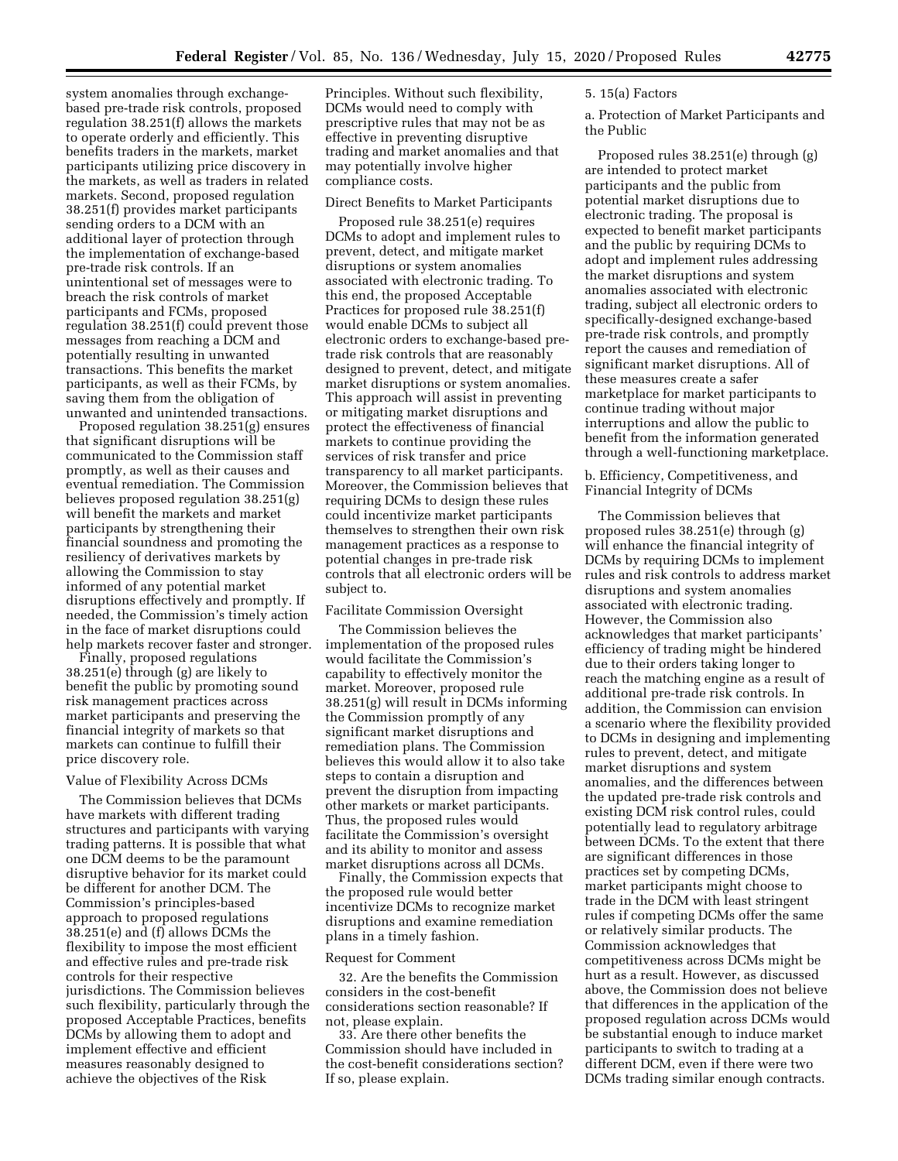system anomalies through exchangebased pre-trade risk controls, proposed regulation 38.251(f) allows the markets to operate orderly and efficiently. This benefits traders in the markets, market participants utilizing price discovery in the markets, as well as traders in related markets. Second, proposed regulation 38.251(f) provides market participants sending orders to a DCM with an additional layer of protection through the implementation of exchange-based pre-trade risk controls. If an unintentional set of messages were to breach the risk controls of market participants and FCMs, proposed regulation 38.251(f) could prevent those messages from reaching a DCM and potentially resulting in unwanted transactions. This benefits the market participants, as well as their FCMs, by saving them from the obligation of unwanted and unintended transactions.

Proposed regulation 38.251(g) ensures that significant disruptions will be communicated to the Commission staff promptly, as well as their causes and eventual remediation. The Commission believes proposed regulation 38.251(g) will benefit the markets and market participants by strengthening their financial soundness and promoting the resiliency of derivatives markets by allowing the Commission to stay informed of any potential market disruptions effectively and promptly. If needed, the Commission's timely action in the face of market disruptions could help markets recover faster and stronger.

Finally, proposed regulations 38.251(e) through (g) are likely to benefit the public by promoting sound risk management practices across market participants and preserving the financial integrity of markets so that markets can continue to fulfill their price discovery role.

#### Value of Flexibility Across DCMs

The Commission believes that DCMs have markets with different trading structures and participants with varying trading patterns. It is possible that what one DCM deems to be the paramount disruptive behavior for its market could be different for another DCM. The Commission's principles-based approach to proposed regulations 38.251(e) and (f) allows DCMs the flexibility to impose the most efficient and effective rules and pre-trade risk controls for their respective jurisdictions. The Commission believes such flexibility, particularly through the proposed Acceptable Practices, benefits DCMs by allowing them to adopt and implement effective and efficient measures reasonably designed to achieve the objectives of the Risk

Principles. Without such flexibility, DCMs would need to comply with prescriptive rules that may not be as effective in preventing disruptive trading and market anomalies and that may potentially involve higher compliance costs.

#### Direct Benefits to Market Participants

Proposed rule 38.251(e) requires DCMs to adopt and implement rules to prevent, detect, and mitigate market disruptions or system anomalies associated with electronic trading. To this end, the proposed Acceptable Practices for proposed rule 38.251(f) would enable DCMs to subject all electronic orders to exchange-based pretrade risk controls that are reasonably designed to prevent, detect, and mitigate market disruptions or system anomalies. This approach will assist in preventing or mitigating market disruptions and protect the effectiveness of financial markets to continue providing the services of risk transfer and price transparency to all market participants. Moreover, the Commission believes that requiring DCMs to design these rules could incentivize market participants themselves to strengthen their own risk management practices as a response to potential changes in pre-trade risk controls that all electronic orders will be subject to.

### Facilitate Commission Oversight

The Commission believes the implementation of the proposed rules would facilitate the Commission's capability to effectively monitor the market. Moreover, proposed rule 38.251(g) will result in DCMs informing the Commission promptly of any significant market disruptions and remediation plans. The Commission believes this would allow it to also take steps to contain a disruption and prevent the disruption from impacting other markets or market participants. Thus, the proposed rules would facilitate the Commission's oversight and its ability to monitor and assess market disruptions across all DCMs.

Finally, the Commission expects that the proposed rule would better incentivize DCMs to recognize market disruptions and examine remediation plans in a timely fashion.

#### Request for Comment

32. Are the benefits the Commission considers in the cost-benefit considerations section reasonable? If not, please explain.

33. Are there other benefits the Commission should have included in the cost-benefit considerations section? If so, please explain.

## 5. 15(a) Factors

a. Protection of Market Participants and the Public

Proposed rules 38.251(e) through (g) are intended to protect market participants and the public from potential market disruptions due to electronic trading. The proposal is expected to benefit market participants and the public by requiring DCMs to adopt and implement rules addressing the market disruptions and system anomalies associated with electronic trading, subject all electronic orders to specifically-designed exchange-based pre-trade risk controls, and promptly report the causes and remediation of significant market disruptions. All of these measures create a safer marketplace for market participants to continue trading without major interruptions and allow the public to benefit from the information generated through a well-functioning marketplace.

b. Efficiency, Competitiveness, and Financial Integrity of DCMs

The Commission believes that proposed rules 38.251(e) through (g) will enhance the financial integrity of DCMs by requiring DCMs to implement rules and risk controls to address market disruptions and system anomalies associated with electronic trading. However, the Commission also acknowledges that market participants' efficiency of trading might be hindered due to their orders taking longer to reach the matching engine as a result of additional pre-trade risk controls. In addition, the Commission can envision a scenario where the flexibility provided to DCMs in designing and implementing rules to prevent, detect, and mitigate market disruptions and system anomalies, and the differences between the updated pre-trade risk controls and existing DCM risk control rules, could potentially lead to regulatory arbitrage between DCMs. To the extent that there are significant differences in those practices set by competing DCMs, market participants might choose to trade in the DCM with least stringent rules if competing DCMs offer the same or relatively similar products. The Commission acknowledges that competitiveness across DCMs might be hurt as a result. However, as discussed above, the Commission does not believe that differences in the application of the proposed regulation across DCMs would be substantial enough to induce market participants to switch to trading at a different DCM, even if there were two DCMs trading similar enough contracts.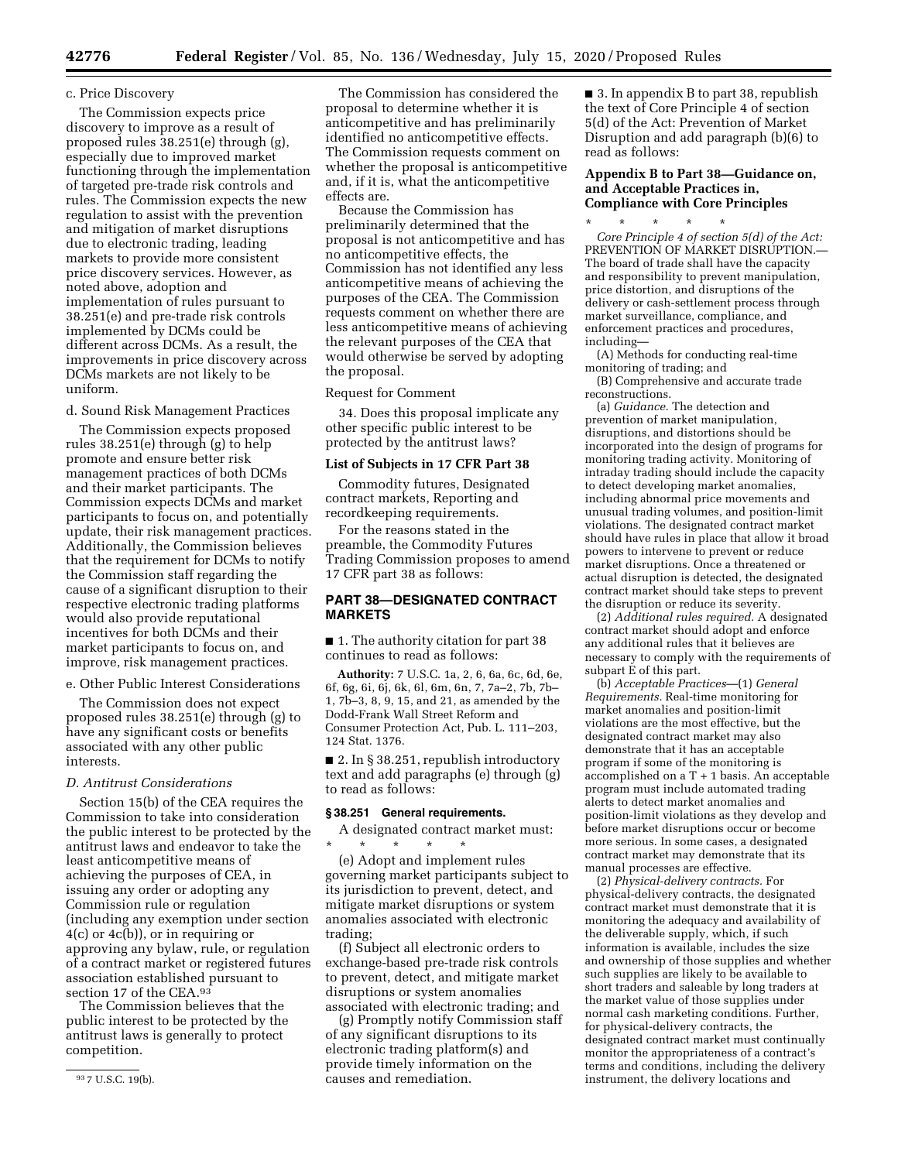#### c. Price Discovery

The Commission expects price discovery to improve as a result of proposed rules 38.251(e) through (g), especially due to improved market functioning through the implementation of targeted pre-trade risk controls and rules. The Commission expects the new regulation to assist with the prevention and mitigation of market disruptions due to electronic trading, leading markets to provide more consistent price discovery services. However, as noted above, adoption and implementation of rules pursuant to 38.251(e) and pre-trade risk controls implemented by DCMs could be different across DCMs. As a result, the improvements in price discovery across DCMs markets are not likely to be uniform.

d. Sound Risk Management Practices

The Commission expects proposed rules 38.251(e) through (g) to help promote and ensure better risk management practices of both DCMs and their market participants. The Commission expects DCMs and market participants to focus on, and potentially update, their risk management practices. Additionally, the Commission believes that the requirement for DCMs to notify the Commission staff regarding the cause of a significant disruption to their respective electronic trading platforms would also provide reputational incentives for both DCMs and their market participants to focus on, and improve, risk management practices.

e. Other Public Interest Considerations

The Commission does not expect proposed rules 38.251(e) through (g) to have any significant costs or benefits associated with any other public interests.

## *D. Antitrust Considerations*

Section 15(b) of the CEA requires the Commission to take into consideration the public interest to be protected by the antitrust laws and endeavor to take the least anticompetitive means of achieving the purposes of CEA, in issuing any order or adopting any Commission rule or regulation (including any exemption under section 4(c) or 4c(b)), or in requiring or approving any bylaw, rule, or regulation of a contract market or registered futures association established pursuant to section 17 of the CEA.93

The Commission believes that the public interest to be protected by the antitrust laws is generally to protect competition.

The Commission has considered the proposal to determine whether it is anticompetitive and has preliminarily identified no anticompetitive effects. The Commission requests comment on whether the proposal is anticompetitive and, if it is, what the anticompetitive effects are.

Because the Commission has preliminarily determined that the proposal is not anticompetitive and has no anticompetitive effects, the Commission has not identified any less anticompetitive means of achieving the purposes of the CEA. The Commission requests comment on whether there are less anticompetitive means of achieving the relevant purposes of the CEA that would otherwise be served by adopting the proposal.

Request for Comment

34. Does this proposal implicate any other specific public interest to be protected by the antitrust laws?

#### **List of Subjects in 17 CFR Part 38**

Commodity futures, Designated contract markets, Reporting and recordkeeping requirements.

For the reasons stated in the preamble, the Commodity Futures Trading Commission proposes to amend 17 CFR part 38 as follows:

### **PART 38—DESIGNATED CONTRACT MARKETS**

■ 1. The authority citation for part 38 continues to read as follows:

**Authority:** 7 U.S.C. 1a, 2, 6, 6a, 6c, 6d, 6e, 6f, 6g, 6i, 6j, 6k, 6l, 6m, 6n, 7, 7a–2, 7b, 7b– 1, 7b–3, 8, 9, 15, and 21, as amended by the Dodd-Frank Wall Street Reform and Consumer Protection Act, Pub. L. 111–203, 124 Stat. 1376.

■ 2. In § 38.251, republish introductory text and add paragraphs (e) through (g) to read as follows:

### **§ 38.251 General requirements.**

A designated contract market must:<br>  $\begin{array}{ccc} * & * & * \end{array}$ \* \* \* \* \*

(e) Adopt and implement rules governing market participants subject to its jurisdiction to prevent, detect, and mitigate market disruptions or system anomalies associated with electronic trading;

(f) Subject all electronic orders to exchange-based pre-trade risk controls to prevent, detect, and mitigate market disruptions or system anomalies associated with electronic trading; and

(g) Promptly notify Commission staff of any significant disruptions to its electronic trading platform(s) and provide timely information on the causes and remediation.

■ 3. In appendix B to part 38, republish the text of Core Principle 4 of section 5(d) of the Act: Prevention of Market Disruption and add paragraph (b)(6) to read as follows:

## **Appendix B to Part 38—Guidance on, and Acceptable Practices in, Compliance with Core Principles**

\* \* \* \* \* *Core Principle 4 of section 5(d) of the Act:*  PREVENTION OF MARKET DISRUPTION. The board of trade shall have the capacity and responsibility to prevent manipulation, price distortion, and disruptions of the delivery or cash-settlement process through market surveillance, compliance, and enforcement practices and procedures, including—

(A) Methods for conducting real-time monitoring of trading; and

(B) Comprehensive and accurate trade reconstructions.

(a) *Guidance.* The detection and prevention of market manipulation, disruptions, and distortions should be incorporated into the design of programs for monitoring trading activity. Monitoring of intraday trading should include the capacity to detect developing market anomalies, including abnormal price movements and unusual trading volumes, and position-limit violations. The designated contract market should have rules in place that allow it broad powers to intervene to prevent or reduce market disruptions. Once a threatened or actual disruption is detected, the designated contract market should take steps to prevent the disruption or reduce its severity.

(2) *Additional rules required.* A designated contract market should adopt and enforce any additional rules that it believes are necessary to comply with the requirements of subpart E of this part.

(b) *Acceptable Practices*—(1) *General Requirements.* Real-time monitoring for market anomalies and position-limit violations are the most effective, but the designated contract market may also demonstrate that it has an acceptable program if some of the monitoring is accomplished on a T + 1 basis. An acceptable program must include automated trading alerts to detect market anomalies and position-limit violations as they develop and before market disruptions occur or become more serious. In some cases, a designated contract market may demonstrate that its manual processes are effective.

(2) *Physical-delivery contracts.* For physical-delivery contracts, the designated contract market must demonstrate that it is monitoring the adequacy and availability of the deliverable supply, which, if such information is available, includes the size and ownership of those supplies and whether such supplies are likely to be available to short traders and saleable by long traders at the market value of those supplies under normal cash marketing conditions. Further, for physical-delivery contracts, the designated contract market must continually monitor the appropriateness of a contract's terms and conditions, including the delivery instrument, the delivery locations and

<sup>93</sup> 7 U.S.C. 19(b).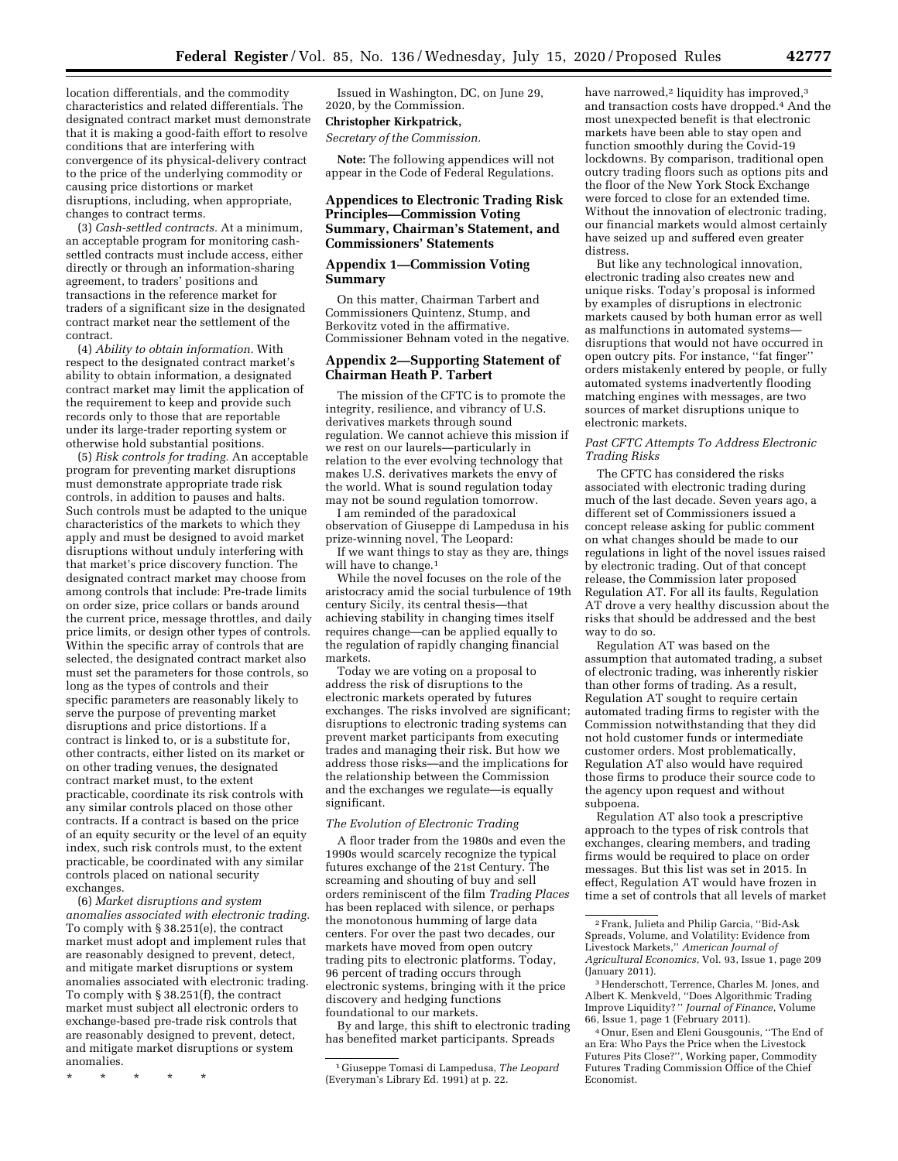location differentials, and the commodity characteristics and related differentials. The designated contract market must demonstrate that it is making a good-faith effort to resolve conditions that are interfering with convergence of its physical-delivery contract to the price of the underlying commodity or causing price distortions or market disruptions, including, when appropriate, changes to contract terms.

(3) *Cash-settled contracts.* At a minimum, an acceptable program for monitoring cashsettled contracts must include access, either directly or through an information-sharing agreement, to traders' positions and transactions in the reference market for traders of a significant size in the designated contract market near the settlement of the contract.

(4) *Ability to obtain information.* With respect to the designated contract market's ability to obtain information, a designated contract market may limit the application of the requirement to keep and provide such records only to those that are reportable under its large-trader reporting system or otherwise hold substantial positions.

(5) *Risk controls for trading.* An acceptable program for preventing market disruptions must demonstrate appropriate trade risk controls, in addition to pauses and halts. Such controls must be adapted to the unique characteristics of the markets to which they apply and must be designed to avoid market disruptions without unduly interfering with that market's price discovery function. The designated contract market may choose from among controls that include: Pre-trade limits on order size, price collars or bands around the current price, message throttles, and daily price limits, or design other types of controls. Within the specific array of controls that are selected, the designated contract market also must set the parameters for those controls, so long as the types of controls and their specific parameters are reasonably likely to serve the purpose of preventing market disruptions and price distortions. If a contract is linked to, or is a substitute for, other contracts, either listed on its market or on other trading venues, the designated contract market must, to the extent practicable, coordinate its risk controls with any similar controls placed on those other contracts. If a contract is based on the price of an equity security or the level of an equity index, such risk controls must, to the extent practicable, be coordinated with any similar controls placed on national security exchanges.

(6) *Market disruptions and system anomalies associated with electronic trading.*  To comply with § 38.251(e), the contract market must adopt and implement rules that are reasonably designed to prevent, detect, and mitigate market disruptions or system anomalies associated with electronic trading. To comply with § 38.251(f), the contract market must subject all electronic orders to exchange-based pre-trade risk controls that are reasonably designed to prevent, detect, and mitigate market disruptions or system anomalies.

\* \* \* \* \*

Issued in Washington, DC, on June 29, 2020, by the Commission.

## **Christopher Kirkpatrick,**

*Secretary of the Commission.* 

**Note:** The following appendices will not appear in the Code of Federal Regulations.

### **Appendices to Electronic Trading Risk Principles—Commission Voting Summary, Chairman's Statement, and Commissioners' Statements**

### **Appendix 1—Commission Voting Summary**

On this matter, Chairman Tarbert and Commissioners Quintenz, Stump, and Berkovitz voted in the affirmative. Commissioner Behnam voted in the negative.

## **Appendix 2—Supporting Statement of Chairman Heath P. Tarbert**

The mission of the CFTC is to promote the integrity, resilience, and vibrancy of U.S. derivatives markets through sound regulation. We cannot achieve this mission if we rest on our laurels—particularly in relation to the ever evolving technology that makes U.S. derivatives markets the envy of the world. What is sound regulation today may not be sound regulation tomorrow.

I am reminded of the paradoxical observation of Giuseppe di Lampedusa in his prize-winning novel, The Leopard:

If we want things to stay as they are, things will have to change.<sup>1</sup>

While the novel focuses on the role of the aristocracy amid the social turbulence of 19th century Sicily, its central thesis—that achieving stability in changing times itself requires change—can be applied equally to the regulation of rapidly changing financial markets.

Today we are voting on a proposal to address the risk of disruptions to the electronic markets operated by futures exchanges. The risks involved are significant; disruptions to electronic trading systems can prevent market participants from executing trades and managing their risk. But how we address those risks—and the implications for the relationship between the Commission and the exchanges we regulate—is equally significant.

#### *The Evolution of Electronic Trading*

A floor trader from the 1980s and even the 1990s would scarcely recognize the typical futures exchange of the 21st Century. The screaming and shouting of buy and sell orders reminiscent of the film *Trading Places*  has been replaced with silence, or perhaps the monotonous humming of large data centers. For over the past two decades, our markets have moved from open outcry trading pits to electronic platforms. Today, 96 percent of trading occurs through electronic systems, bringing with it the price discovery and hedging functions foundational to our markets.

By and large, this shift to electronic trading has benefited market participants. Spreads

have narrowed,<sup>2</sup> liquidity has improved,<sup>3</sup> and transaction costs have dropped.4 And the most unexpected benefit is that electronic markets have been able to stay open and function smoothly during the Covid-19 lockdowns. By comparison, traditional open outcry trading floors such as options pits and the floor of the New York Stock Exchange were forced to close for an extended time. Without the innovation of electronic trading, our financial markets would almost certainly have seized up and suffered even greater distress.

But like any technological innovation, electronic trading also creates new and unique risks. Today's proposal is informed by examples of disruptions in electronic markets caused by both human error as well as malfunctions in automated systems disruptions that would not have occurred in open outcry pits. For instance, ''fat finger'' orders mistakenly entered by people, or fully automated systems inadvertently flooding matching engines with messages, are two sources of market disruptions unique to electronic markets.

### *Past CFTC Attempts To Address Electronic Trading Risks*

The CFTC has considered the risks associated with electronic trading during much of the last decade. Seven years ago, a different set of Commissioners issued a concept release asking for public comment on what changes should be made to our regulations in light of the novel issues raised by electronic trading. Out of that concept release, the Commission later proposed Regulation AT. For all its faults, Regulation AT drove a very healthy discussion about the risks that should be addressed and the best way to do so.

Regulation AT was based on the assumption that automated trading, a subset of electronic trading, was inherently riskier than other forms of trading. As a result, Regulation AT sought to require certain automated trading firms to register with the Commission notwithstanding that they did not hold customer funds or intermediate customer orders. Most problematically, Regulation AT also would have required those firms to produce their source code to the agency upon request and without subpoena.

Regulation AT also took a prescriptive approach to the types of risk controls that exchanges, clearing members, and trading firms would be required to place on order messages. But this list was set in 2015. In effect, Regulation AT would have frozen in time a set of controls that all levels of market

4Onur, Esen and Eleni Gousgounis, ''The End of an Era: Who Pays the Price when the Livestock Futures Pits Close?'', Working paper, Commodity Futures Trading Commission Office of the Chief Economist.

<sup>1</sup> Giuseppe Tomasi di Lampedusa, *The Leopard*  (Everyman's Library Ed. 1991) at p. 22.

<sup>2</sup>Frank, Julieta and Philip Garcia, ''Bid-Ask Spreads, Volume, and Volatility: Evidence from Livestock Markets,'' *American Journal of Agricultural Economics*, Vol. 93, Issue 1, page 209 (January 2011).

<sup>3</sup>Henderschott, Terrence, Charles M. Jones, and Albert K. Menkveld, ''Does Algorithmic Trading Improve Liquidity? '' *Journal of Finance*, Volume 66, Issue 1, page 1 (February 2011).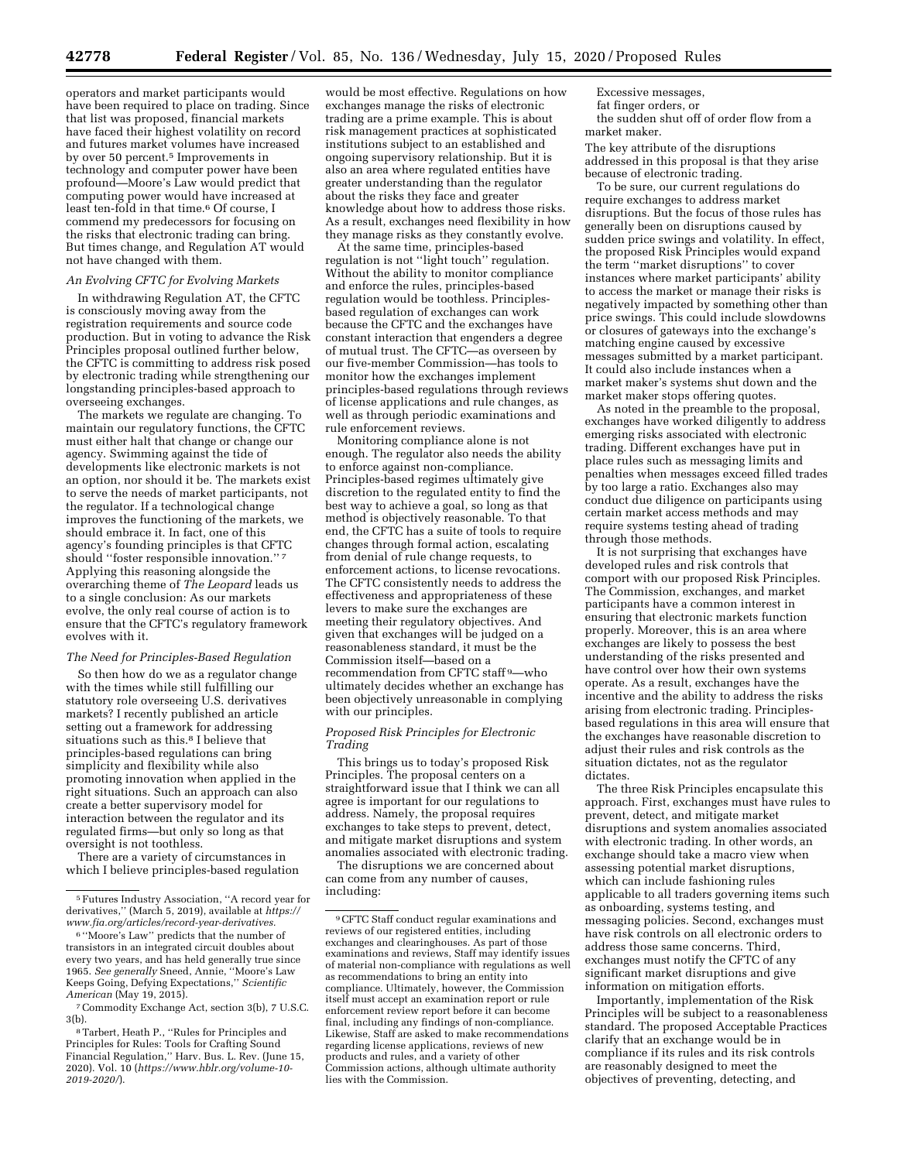operators and market participants would have been required to place on trading. Since that list was proposed, financial markets have faced their highest volatility on record and futures market volumes have increased by over 50 percent.5 Improvements in technology and computer power have been profound—Moore's Law would predict that computing power would have increased at least ten-fold in that time.6 Of course, I commend my predecessors for focusing on the risks that electronic trading can bring. But times change, and Regulation AT would not have changed with them.

### *An Evolving CFTC for Evolving Markets*

In withdrawing Regulation AT, the CFTC is consciously moving away from the registration requirements and source code production. But in voting to advance the Risk Principles proposal outlined further below, the CFTC is committing to address risk posed by electronic trading while strengthening our longstanding principles-based approach to overseeing exchanges.

The markets we regulate are changing. To maintain our regulatory functions, the CFTC must either halt that change or change our agency. Swimming against the tide of developments like electronic markets is not an option, nor should it be. The markets exist to serve the needs of market participants, not the regulator. If a technological change improves the functioning of the markets, we should embrace it. In fact, one of this agency's founding principles is that CFTC should ''foster responsible innovation.'' 7 Applying this reasoning alongside the overarching theme of *The Leopard* leads us to a single conclusion: As our markets evolve, the only real course of action is to ensure that the CFTC's regulatory framework evolves with it.

#### *The Need for Principles-Based Regulation*

So then how do we as a regulator change with the times while still fulfilling our statutory role overseeing U.S. derivatives markets? I recently published an article setting out a framework for addressing situations such as this.<sup>8</sup> I believe that principles-based regulations can bring simplicity and flexibility while also promoting innovation when applied in the right situations. Such an approach can also create a better supervisory model for interaction between the regulator and its regulated firms—but only so long as that oversight is not toothless.

There are a variety of circumstances in which I believe principles-based regulation

7Commodity Exchange Act, section 3(b), 7 U.S.C. 3(b).

would be most effective. Regulations on how exchanges manage the risks of electronic trading are a prime example. This is about risk management practices at sophisticated institutions subject to an established and ongoing supervisory relationship. But it is also an area where regulated entities have greater understanding than the regulator about the risks they face and greater knowledge about how to address those risks. As a result, exchanges need flexibility in how they manage risks as they constantly evolve.

At the same time, principles-based regulation is not "light touch" regulation. Without the ability to monitor compliance and enforce the rules, principles-based regulation would be toothless. Principlesbased regulation of exchanges can work because the CFTC and the exchanges have constant interaction that engenders a degree of mutual trust. The CFTC—as overseen by our five-member Commission—has tools to monitor how the exchanges implement principles-based regulations through reviews of license applications and rule changes, as well as through periodic examinations and rule enforcement reviews.

Monitoring compliance alone is not enough. The regulator also needs the ability to enforce against non-compliance. Principles-based regimes ultimately give discretion to the regulated entity to find the best way to achieve a goal, so long as that method is objectively reasonable. To that end, the CFTC has a suite of tools to require changes through formal action, escalating from denial of rule change requests, to enforcement actions, to license revocations. The CFTC consistently needs to address the effectiveness and appropriateness of these levers to make sure the exchanges are meeting their regulatory objectives. And given that exchanges will be judged on a reasonableness standard, it must be the Commission itself—based on a recommendation from CFTC staff 9—who ultimately decides whether an exchange has been objectively unreasonable in complying with our principles.

#### *Proposed Risk Principles for Electronic Trading*

This brings us to today's proposed Risk Principles. The proposal centers on a straightforward issue that I think we can all agree is important for our regulations to address. Namely, the proposal requires exchanges to take steps to prevent, detect, and mitigate market disruptions and system anomalies associated with electronic trading.

The disruptions we are concerned about can come from any number of causes, including:

Excessive messages, fat finger orders, or

the sudden shut off of order flow from a market maker.

The key attribute of the disruptions addressed in this proposal is that they arise because of electronic trading.

To be sure, our current regulations do require exchanges to address market disruptions. But the focus of those rules has generally been on disruptions caused by sudden price swings and volatility. In effect, the proposed Risk Principles would expand the term ''market disruptions'' to cover instances where market participants' ability to access the market or manage their risks is negatively impacted by something other than price swings. This could include slowdowns or closures of gateways into the exchange's matching engine caused by excessive messages submitted by a market participant. It could also include instances when a market maker's systems shut down and the market maker stops offering quotes.

As noted in the preamble to the proposal, exchanges have worked diligently to address emerging risks associated with electronic trading. Different exchanges have put in place rules such as messaging limits and penalties when messages exceed filled trades by too large a ratio. Exchanges also may conduct due diligence on participants using certain market access methods and may require systems testing ahead of trading through those methods.

It is not surprising that exchanges have developed rules and risk controls that comport with our proposed Risk Principles. The Commission, exchanges, and market participants have a common interest in ensuring that electronic markets function properly. Moreover, this is an area where exchanges are likely to possess the best understanding of the risks presented and have control over how their own systems operate. As a result, exchanges have the incentive and the ability to address the risks arising from electronic trading. Principlesbased regulations in this area will ensure that the exchanges have reasonable discretion to adjust their rules and risk controls as the situation dictates, not as the regulator dictates.

The three Risk Principles encapsulate this approach. First, exchanges must have rules to prevent, detect, and mitigate market disruptions and system anomalies associated with electronic trading. In other words, an exchange should take a macro view when assessing potential market disruptions, which can include fashioning rules applicable to all traders governing items such as onboarding, systems testing, and messaging policies. Second, exchanges must have risk controls on all electronic orders to address those same concerns. Third, exchanges must notify the CFTC of any significant market disruptions and give information on mitigation efforts.

Importantly, implementation of the Risk Principles will be subject to a reasonableness standard. The proposed Acceptable Practices clarify that an exchange would be in compliance if its rules and its risk controls are reasonably designed to meet the objectives of preventing, detecting, and

<sup>5</sup>Futures Industry Association, ''A record year for derivatives,'' (March 5, 2019), available at *[https://](https://www.fia.org/articles/record-year-derivatives)  [www.fia.org/articles/record-year-derivatives.](https://www.fia.org/articles/record-year-derivatives)* 

<sup>6</sup> ''Moore's Law'' predicts that the number of transistors in an integrated circuit doubles about every two years, and has held generally true since 1965. *See generally* Sneed, Annie, ''Moore's Law Keeps Going, Defying Expectations,'' *Scientific American* (May 19, 2015).

<sup>8</sup>Tarbert, Heath P., ''Rules for Principles and Principles for Rules: Tools for Crafting Sound Financial Regulation,'' Harv. Bus. L. Rev. (June 15, 2020). Vol. 10 (*[https://www.hblr.org/volume-10-](https://www.hblr.org/volume-10-2019-2020/)  [2019-2020/](https://www.hblr.org/volume-10-2019-2020/)*).

<sup>9</sup>CFTC Staff conduct regular examinations and reviews of our registered entities, including exchanges and clearinghouses. As part of those examinations and reviews, Staff may identify issues of material non-compliance with regulations as well as recommendations to bring an entity into compliance. Ultimately, however, the Commission itself must accept an examination report or rule enforcement review report before it can become final, including any findings of non-compliance. Likewise, Staff are asked to make recommendations regarding license applications, reviews of new products and rules, and a variety of other Commission actions, although ultimate authority lies with the Commission.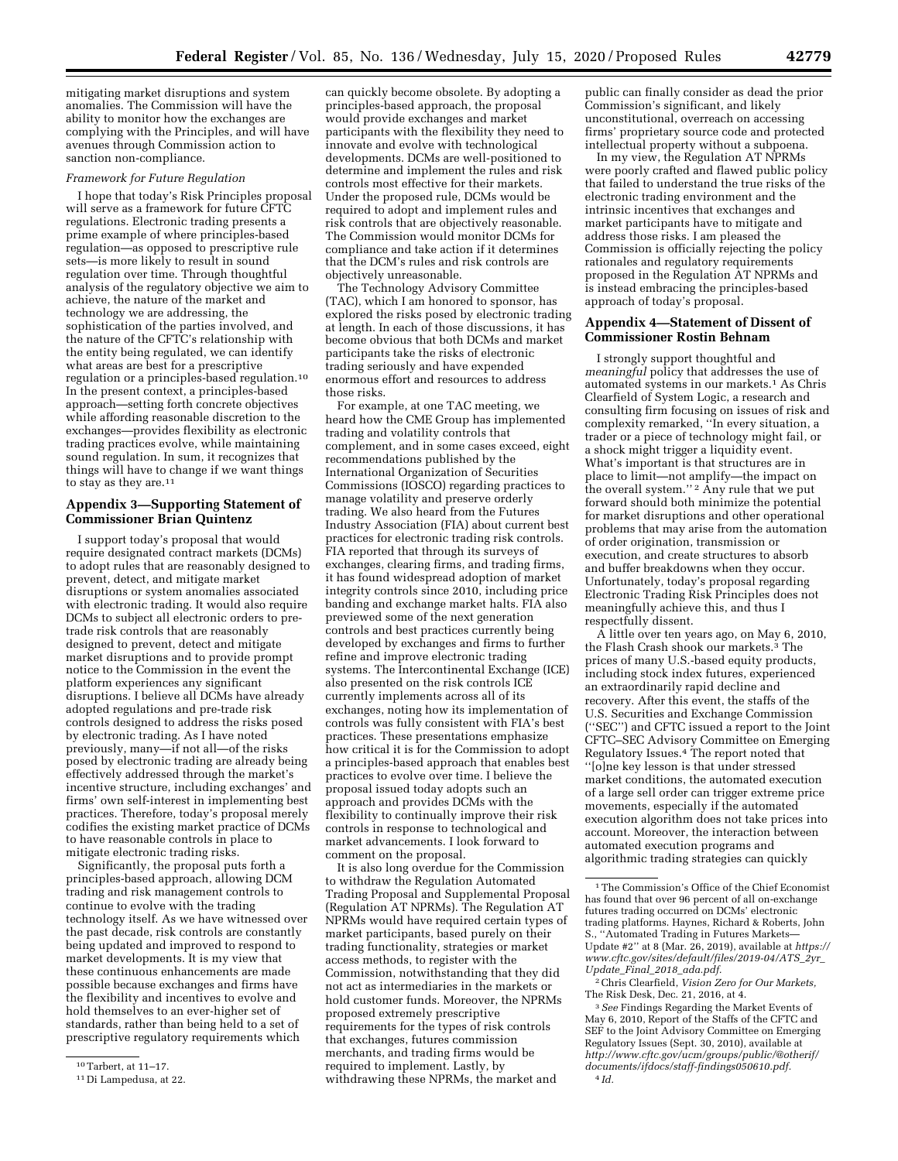mitigating market disruptions and system anomalies. The Commission will have the ability to monitor how the exchanges are complying with the Principles, and will have avenues through Commission action to sanction non-compliance.

### *Framework for Future Regulation*

I hope that today's Risk Principles proposal will serve as a framework for future CFTC regulations. Electronic trading presents a prime example of where principles-based regulation—as opposed to prescriptive rule sets—is more likely to result in sound regulation over time. Through thoughtful analysis of the regulatory objective we aim to achieve, the nature of the market and technology we are addressing, the sophistication of the parties involved, and the nature of the CFTC's relationship with the entity being regulated, we can identify what areas are best for a prescriptive regulation or a principles-based regulation.10 In the present context, a principles-based approach—setting forth concrete objectives while affording reasonable discretion to the exchanges—provides flexibility as electronic trading practices evolve, while maintaining sound regulation. In sum, it recognizes that things will have to change if we want things to stay as they are.  $^{\rm 11}$ 

### **Appendix 3—Supporting Statement of Commissioner Brian Quintenz**

I support today's proposal that would require designated contract markets (DCMs) to adopt rules that are reasonably designed to prevent, detect, and mitigate market disruptions or system anomalies associated with electronic trading. It would also require DCMs to subject all electronic orders to pretrade risk controls that are reasonably designed to prevent, detect and mitigate market disruptions and to provide prompt notice to the Commission in the event the platform experiences any significant disruptions. I believe all DCMs have already adopted regulations and pre-trade risk controls designed to address the risks posed by electronic trading. As I have noted previously, many—if not all—of the risks posed by electronic trading are already being effectively addressed through the market's incentive structure, including exchanges' and firms' own self-interest in implementing best practices. Therefore, today's proposal merely codifies the existing market practice of DCMs to have reasonable controls in place to mitigate electronic trading risks.

Significantly, the proposal puts forth a principles-based approach, allowing DCM trading and risk management controls to continue to evolve with the trading technology itself. As we have witnessed over the past decade, risk controls are constantly being updated and improved to respond to market developments. It is my view that these continuous enhancements are made possible because exchanges and firms have the flexibility and incentives to evolve and hold themselves to an ever-higher set of standards, rather than being held to a set of prescriptive regulatory requirements which

can quickly become obsolete. By adopting a principles-based approach, the proposal would provide exchanges and market participants with the flexibility they need to innovate and evolve with technological developments. DCMs are well-positioned to determine and implement the rules and risk controls most effective for their markets. Under the proposed rule, DCMs would be required to adopt and implement rules and risk controls that are objectively reasonable. The Commission would monitor DCMs for compliance and take action if it determines that the DCM's rules and risk controls are objectively unreasonable.

The Technology Advisory Committee (TAC), which I am honored to sponsor, has explored the risks posed by electronic trading at length. In each of those discussions, it has become obvious that both DCMs and market participants take the risks of electronic trading seriously and have expended enormous effort and resources to address those risks.

For example, at one TAC meeting, we heard how the CME Group has implemented trading and volatility controls that complement, and in some cases exceed, eight recommendations published by the International Organization of Securities Commissions (IOSCO) regarding practices to manage volatility and preserve orderly trading. We also heard from the Futures Industry Association (FIA) about current best practices for electronic trading risk controls. FIA reported that through its surveys of exchanges, clearing firms, and trading firms, it has found widespread adoption of market integrity controls since 2010, including price banding and exchange market halts. FIA also previewed some of the next generation controls and best practices currently being developed by exchanges and firms to further refine and improve electronic trading systems. The Intercontinental Exchange (ICE) also presented on the risk controls ICE currently implements across all of its exchanges, noting how its implementation of controls was fully consistent with FIA's best practices. These presentations emphasize how critical it is for the Commission to adopt a principles-based approach that enables best practices to evolve over time. I believe the proposal issued today adopts such an approach and provides DCMs with the flexibility to continually improve their risk controls in response to technological and market advancements. I look forward to comment on the proposal.

It is also long overdue for the Commission to withdraw the Regulation Automated Trading Proposal and Supplemental Proposal (Regulation AT NPRMs). The Regulation AT NPRMs would have required certain types of market participants, based purely on their trading functionality, strategies or market access methods, to register with the Commission, notwithstanding that they did not act as intermediaries in the markets or hold customer funds. Moreover, the NPRMs proposed extremely prescriptive requirements for the types of risk controls that exchanges, futures commission merchants, and trading firms would be required to implement. Lastly, by withdrawing these NPRMs, the market and

public can finally consider as dead the prior Commission's significant, and likely unconstitutional, overreach on accessing firms' proprietary source code and protected intellectual property without a subpoena.

In my view, the Regulation AT NPRMs were poorly crafted and flawed public policy that failed to understand the true risks of the electronic trading environment and the intrinsic incentives that exchanges and market participants have to mitigate and address those risks. I am pleased the Commission is officially rejecting the policy rationales and regulatory requirements proposed in the Regulation AT NPRMs and is instead embracing the principles-based approach of today's proposal.

#### **Appendix 4—Statement of Dissent of Commissioner Rostin Behnam**

I strongly support thoughtful and *meaningful* policy that addresses the use of automated systems in our markets.1 As Chris Clearfield of System Logic, a research and consulting firm focusing on issues of risk and complexity remarked, ''In every situation, a trader or a piece of technology might fail, or a shock might trigger a liquidity event. What's important is that structures are in place to limit—not amplify—the impact on the overall system."<sup>2</sup> Any rule that we put forward should both minimize the potential for market disruptions and other operational problems that may arise from the automation of order origination, transmission or execution, and create structures to absorb and buffer breakdowns when they occur. Unfortunately, today's proposal regarding Electronic Trading Risk Principles does not meaningfully achieve this, and thus I respectfully dissent.

A little over ten years ago, on May 6, 2010, the Flash Crash shook our markets.3 The prices of many U.S.-based equity products, including stock index futures, experienced an extraordinarily rapid decline and recovery. After this event, the staffs of the U.S. Securities and Exchange Commission (''SEC'') and CFTC issued a report to the Joint CFTC–SEC Advisory Committee on Emerging Regulatory Issues.4 The report noted that ''[o]ne key lesson is that under stressed market conditions, the automated execution of a large sell order can trigger extreme price movements, especially if the automated execution algorithm does not take prices into account. Moreover, the interaction between automated execution programs and algorithmic trading strategies can quickly

2Chris Clearfield, *Vision Zero for Our Markets,*  The Risk Desk, Dec. 21, 2016, at 4.

3*See* Findings Regarding the Market Events of May 6, 2010, Report of the Staffs of the CFTC and SEF to the Joint Advisory Committee on Emerging Regulatory Issues (Sept. 30, 2010), available at *[http://www.cftc.gov/ucm/groups/public/@otherif/](http://www.cftc.gov/ucm/groups/public/@otherif/documents/ifdocs/staff-findings050610.pdf)  [documents/ifdocs/staff-findings050610.pdf.](http://www.cftc.gov/ucm/groups/public/@otherif/documents/ifdocs/staff-findings050610.pdf)*  4 *Id.* 

<sup>10</sup>Tarbert, at 11–17.

<sup>11</sup> Di Lampedusa, at 22.

 $^{\rm 1}\!$  The Commission's Office of the Chief Economist has found that over 96 percent of all on-exchange futures trading occurred on DCMs' electronic trading platforms. Haynes, Richard & Roberts, John S., ''Automated Trading in Futures Markets— Update #2'' at 8 (Mar. 26, 2019), available at *[https://](https://www.cftc.gov/sites/default/files/2019-04/ATS_2yr_Update_Final_2018_ada.pdf) [www.cftc.gov/sites/default/files/2019-04/ATS](https://www.cftc.gov/sites/default/files/2019-04/ATS_2yr_Update_Final_2018_ada.pdf)*\_*2yr*\_ *Update*\_*Final*\_*2018*\_*[ada.pdf.](https://www.cftc.gov/sites/default/files/2019-04/ATS_2yr_Update_Final_2018_ada.pdf)*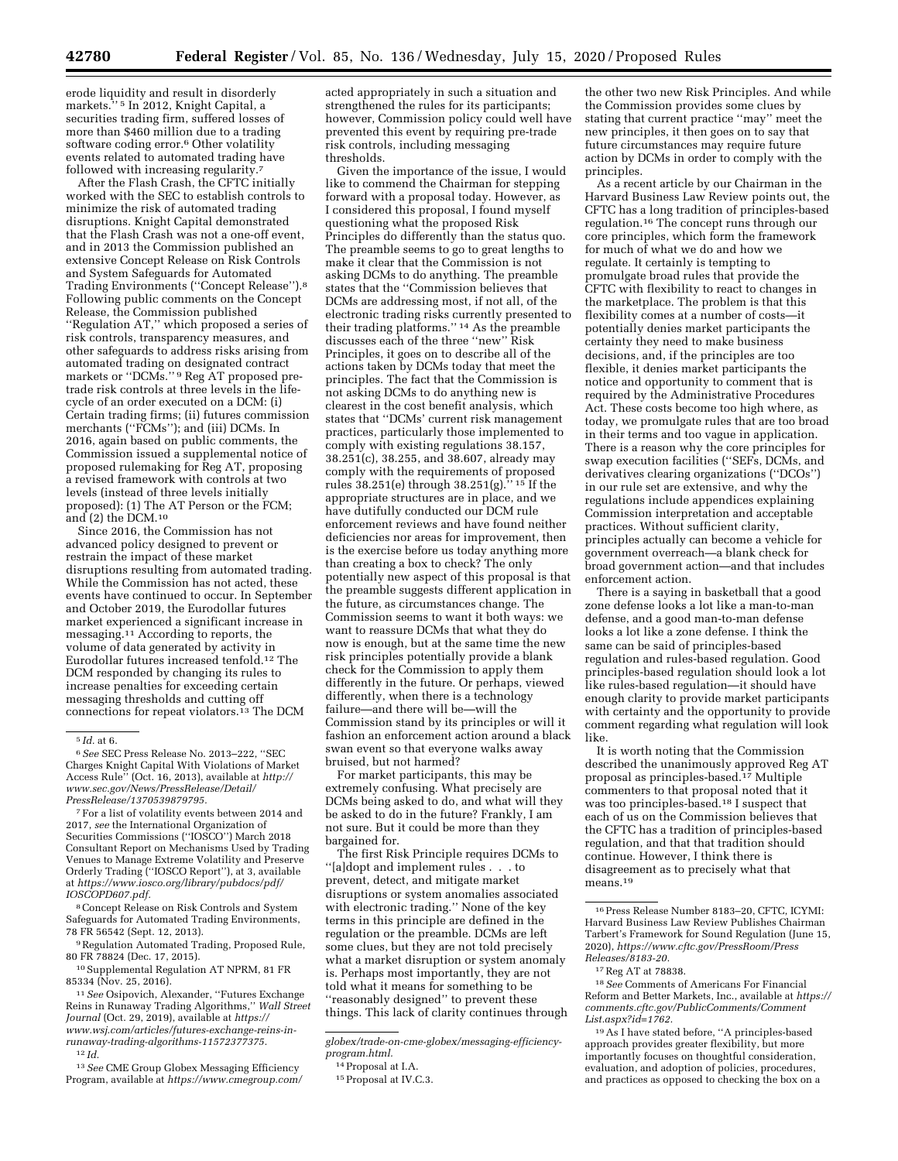erode liquidity and result in disorderly markets.'' 5 In 2012, Knight Capital, a securities trading firm, suffered losses of more than \$460 million due to a trading software coding error.<sup>6</sup> Other volatility events related to automated trading have followed with increasing regularity.<sup>7</sup>

After the Flash Crash, the CFTC initially worked with the SEC to establish controls to minimize the risk of automated trading disruptions. Knight Capital demonstrated that the Flash Crash was not a one-off event, and in 2013 the Commission published an extensive Concept Release on Risk Controls and System Safeguards for Automated Trading Environments (''Concept Release'').8 Following public comments on the Concept Release, the Commission published ''Regulation AT,'' which proposed a series of risk controls, transparency measures, and other safeguards to address risks arising from automated trading on designated contract markets or ''DCMs.'' 9 Reg AT proposed pretrade risk controls at three levels in the lifecycle of an order executed on a DCM: (i) Certain trading firms; (ii) futures commission merchants (''FCMs''); and (iii) DCMs. In 2016, again based on public comments, the Commission issued a supplemental notice of proposed rulemaking for Reg AT, proposing a revised framework with controls at two levels (instead of three levels initially proposed): (1) The AT Person or the FCM; and (2) the DCM.10

Since 2016, the Commission has not advanced policy designed to prevent or restrain the impact of these market disruptions resulting from automated trading. While the Commission has not acted, these events have continued to occur. In September and October 2019, the Eurodollar futures market experienced a significant increase in messaging.11 According to reports, the volume of data generated by activity in Eurodollar futures increased tenfold.12 The DCM responded by changing its rules to increase penalties for exceeding certain messaging thresholds and cutting off connections for repeat violators.<sup>13</sup> The DCM

7For a list of volatility events between 2014 and 2017, *see* the International Organization of Securities Commissions (''IOSCO'') March 2018 Consultant Report on Mechanisms Used by Trading Venues to Manage Extreme Volatility and Preserve Orderly Trading (''IOSCO Report''), at 3, available at *[https://www.iosco.org/library/pubdocs/pdf/](https://www.iosco.org/library/pubdocs/pdf/IOSCOPD607.pdf) [IOSCOPD607.pdf.](https://www.iosco.org/library/pubdocs/pdf/IOSCOPD607.pdf)* 

8Concept Release on Risk Controls and System Safeguards for Automated Trading Environments, 78 FR 56542 (Sept. 12, 2013).

9Regulation Automated Trading, Proposed Rule, 80 FR 78824 (Dec. 17, 2015).

10Supplemental Regulation AT NPRM, 81 FR 85334 (Nov. 25, 2016).

11*See* Osipovich, Alexander, ''Futures Exchange Reins in Runaway Trading Algorithms,'' *Wall Street Journal* (Oct. 29, 2019), available at *[https://](https://www.wsj.com/articles/futures-exchange-reins-in-runaway-trading-algorithms-11572377375) [www.wsj.com/articles/futures-exchange-reins-in](https://www.wsj.com/articles/futures-exchange-reins-in-runaway-trading-algorithms-11572377375)[runaway-trading-algorithms-11572377375.](https://www.wsj.com/articles/futures-exchange-reins-in-runaway-trading-algorithms-11572377375)*  12 *Id.* 

13*See* CME Group Globex Messaging Efficiency Program, available at *[https://www.cmegroup.com/](https://www.cmegroup.com/globex/trade-on-cme-globex/messaging-efficiency-program.html)*  acted appropriately in such a situation and strengthened the rules for its participants; however, Commission policy could well have prevented this event by requiring pre-trade risk controls, including messaging thresholds.

Given the importance of the issue, I would like to commend the Chairman for stepping forward with a proposal today. However, as I considered this proposal, I found myself questioning what the proposed Risk Principles do differently than the status quo. The preamble seems to go to great lengths to make it clear that the Commission is not asking DCMs to do anything. The preamble states that the ''Commission believes that DCMs are addressing most, if not all, of the electronic trading risks currently presented to their trading platforms.'' 14 As the preamble discusses each of the three ''new'' Risk Principles, it goes on to describe all of the actions taken by DCMs today that meet the principles. The fact that the Commission is not asking DCMs to do anything new is clearest in the cost benefit analysis, which states that ''DCMs' current risk management practices, particularly those implemented to comply with existing regulations 38.157, 38.251(c), 38.255, and 38.607, already may comply with the requirements of proposed rules 38.251(e) through 38.251(g).'' 15 If the appropriate structures are in place, and we have dutifully conducted our DCM rule enforcement reviews and have found neither deficiencies nor areas for improvement, then is the exercise before us today anything more than creating a box to check? The only potentially new aspect of this proposal is that the preamble suggests different application in the future, as circumstances change. The Commission seems to want it both ways: we want to reassure DCMs that what they do now is enough, but at the same time the new risk principles potentially provide a blank check for the Commission to apply them differently in the future. Or perhaps, viewed differently, when there is a technology failure—and there will be—will the Commission stand by its principles or will it fashion an enforcement action around a black swan event so that everyone walks away bruised, but not harmed?

For market participants, this may be extremely confusing. What precisely are DCMs being asked to do, and what will they be asked to do in the future? Frankly, I am not sure. But it could be more than they bargained for.

The first Risk Principle requires DCMs to ''[a]dopt and implement rules . . . to prevent, detect, and mitigate market disruptions or system anomalies associated with electronic trading.'' None of the key terms in this principle are defined in the regulation or the preamble. DCMs are left some clues, but they are not told precisely what a market disruption or system anomaly is. Perhaps most importantly, they are not told what it means for something to be ''reasonably designed'' to prevent these things. This lack of clarity continues through

the other two new Risk Principles. And while the Commission provides some clues by stating that current practice ''may'' meet the new principles, it then goes on to say that future circumstances may require future action by DCMs in order to comply with the principles.

As a recent article by our Chairman in the Harvard Business Law Review points out, the CFTC has a long tradition of principles-based regulation.16 The concept runs through our core principles, which form the framework for much of what we do and how we regulate. It certainly is tempting to promulgate broad rules that provide the CFTC with flexibility to react to changes in the marketplace. The problem is that this flexibility comes at a number of costs—it potentially denies market participants the certainty they need to make business decisions, and, if the principles are too flexible, it denies market participants the notice and opportunity to comment that is required by the Administrative Procedures Act. These costs become too high where, as today, we promulgate rules that are too broad in their terms and too vague in application. There is a reason why the core principles for swap execution facilities (''SEFs, DCMs, and derivatives clearing organizations (''DCOs'') in our rule set are extensive, and why the regulations include appendices explaining Commission interpretation and acceptable practices. Without sufficient clarity, principles actually can become a vehicle for government overreach—a blank check for broad government action—and that includes enforcement action.

There is a saying in basketball that a good zone defense looks a lot like a man-to-man defense, and a good man-to-man defense looks a lot like a zone defense. I think the same can be said of principles-based regulation and rules-based regulation. Good principles-based regulation should look a lot like rules-based regulation—it should have enough clarity to provide market participants with certainty and the opportunity to provide comment regarding what regulation will look like.

It is worth noting that the Commission described the unanimously approved Reg AT proposal as principles-based.17 Multiple commenters to that proposal noted that it was too principles-based.18 I suspect that each of us on the Commission believes that the CFTC has a tradition of principles-based regulation, and that that tradition should continue. However, I think there is disagreement as to precisely what that means.<sup>19</sup>

<sup>5</sup> *Id.* at 6.

<sup>6</sup>*See* SEC Press Release No. 2013–222, ''SEC Charges Knight Capital With Violations of Market Access Rule'' (Oct. 16, 2013), available at *[http://](http://www.sec.gov/News/PressRelease/Detail/PressRelease/1370539879795) [www.sec.gov/News/PressRelease/Detail/](http://www.sec.gov/News/PressRelease/Detail/PressRelease/1370539879795)  [PressRelease/1370539879795.](http://www.sec.gov/News/PressRelease/Detail/PressRelease/1370539879795)* 

*[globex/trade-on-cme-globex/messaging-efficiency](https://www.cmegroup.com/globex/trade-on-cme-globex/messaging-efficiency-program.html)[program.html.](https://www.cmegroup.com/globex/trade-on-cme-globex/messaging-efficiency-program.html)* 

<sup>14</sup>Proposal at I.A.

<sup>15</sup> Proposal at IV.C.3.

<sup>16</sup>Press Release Number 8183–20, CFTC, ICYMI: Harvard Business Law Review Publishes Chairman Tarbert's Framework for Sound Regulation (June 15, 2020), *[https://www.cftc.gov/PressRoom/Press](https://www.cftc.gov/PressRoom/PressReleases/8183-20) [Releases/8183-20.](https://www.cftc.gov/PressRoom/PressReleases/8183-20)* 

<sup>17</sup>Reg AT at 78838.

<sup>18</sup>*See* Comments of Americans For Financial Reform and Better Markets, Inc., available at *[https://](https://comments.cftc.gov/PublicComments/CommentList.aspx?id=1762)  [comments.cftc.gov/PublicComments/Comment](https://comments.cftc.gov/PublicComments/CommentList.aspx?id=1762) [List.aspx?id=1762.](https://comments.cftc.gov/PublicComments/CommentList.aspx?id=1762)* 

<sup>19</sup>As I have stated before, ''A principles-based approach provides greater flexibility, but more importantly focuses on thoughtful consideration, evaluation, and adoption of policies, procedures, and practices as opposed to checking the box on a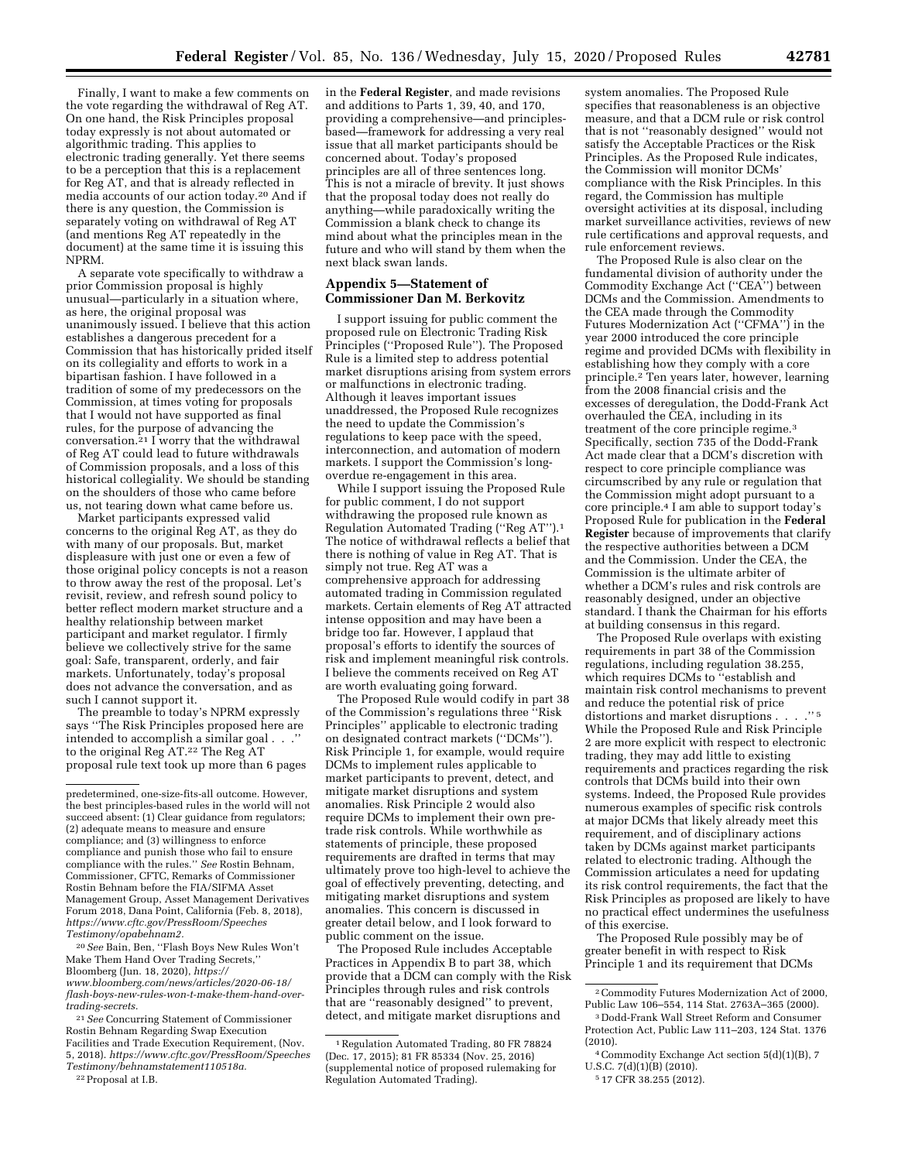Finally, I want to make a few comments on the vote regarding the withdrawal of Reg AT. On one hand, the Risk Principles proposal today expressly is not about automated or algorithmic trading. This applies to electronic trading generally. Yet there seems to be a perception that this is a replacement for Reg AT, and that is already reflected in media accounts of our action today.20 And if there is any question, the Commission is separately voting on withdrawal of Reg AT (and mentions Reg AT repeatedly in the document) at the same time it is issuing this NPRM.

A separate vote specifically to withdraw a prior Commission proposal is highly unusual—particularly in a situation where, as here, the original proposal was unanimously issued. I believe that this action establishes a dangerous precedent for a Commission that has historically prided itself on its collegiality and efforts to work in a bipartisan fashion. I have followed in a tradition of some of my predecessors on the Commission, at times voting for proposals that I would not have supported as final rules, for the purpose of advancing the conversation.21 I worry that the withdrawal of Reg AT could lead to future withdrawals of Commission proposals, and a loss of this historical collegiality. We should be standing on the shoulders of those who came before us, not tearing down what came before us.

Market participants expressed valid concerns to the original Reg AT, as they do with many of our proposals. But, market displeasure with just one or even a few of those original policy concepts is not a reason to throw away the rest of the proposal. Let's revisit, review, and refresh sound policy to better reflect modern market structure and a healthy relationship between market participant and market regulator. I firmly believe we collectively strive for the same goal: Safe, transparent, orderly, and fair markets. Unfortunately, today's proposal does not advance the conversation, and as such I cannot support it.

The preamble to today's NPRM expressly says ''The Risk Principles proposed here are intended to accomplish a similar goal. to the original Reg AT.22 The Reg AT proposal rule text took up more than 6 pages

20*See* Bain, Ben, ''Flash Boys New Rules Won't Make Them Hand Over Trading Secrets,'' Bloomberg (Jun. 18, 2020), *[https://](https://www.bloomberg.com/news/articles/2020-06-18/flash-boys-new-rules-won-t-make-them-hand-over-trading-secrets) [www.bloomberg.com/news/articles/2020-06-18/](https://www.bloomberg.com/news/articles/2020-06-18/flash-boys-new-rules-won-t-make-them-hand-over-trading-secrets)  [flash-boys-new-rules-won-t-make-them-hand-over](https://www.bloomberg.com/news/articles/2020-06-18/flash-boys-new-rules-won-t-make-them-hand-over-trading-secrets)[trading-secrets.](https://www.bloomberg.com/news/articles/2020-06-18/flash-boys-new-rules-won-t-make-them-hand-over-trading-secrets)* 

21*See* Concurring Statement of Commissioner Rostin Behnam Regarding Swap Execution Facilities and Trade Execution Requirement, (Nov. 5, 2018). *[https://www.cftc.gov/PressRoom/Speeches](https://www.cftc.gov/PressRoom/SpeechesTestimony/behnamstatement110518a) [Testimony/behnamstatement110518a.](https://www.cftc.gov/PressRoom/SpeechesTestimony/behnamstatement110518a)* 

in the **Federal Register**, and made revisions and additions to Parts 1, 39, 40, and 170, providing a comprehensive—and principlesbased—framework for addressing a very real issue that all market participants should be concerned about. Today's proposed principles are all of three sentences long. This is not a miracle of brevity. It just shows that the proposal today does not really do anything—while paradoxically writing the Commission a blank check to change its mind about what the principles mean in the future and who will stand by them when the next black swan lands.

### **Appendix 5—Statement of Commissioner Dan M. Berkovitz**

I support issuing for public comment the proposed rule on Electronic Trading Risk Principles ("Proposed Rule"). The Proposed Rule is a limited step to address potential market disruptions arising from system errors or malfunctions in electronic trading. Although it leaves important issues unaddressed, the Proposed Rule recognizes the need to update the Commission's regulations to keep pace with the speed, interconnection, and automation of modern markets. I support the Commission's longoverdue re-engagement in this area.

While I support issuing the Proposed Rule for public comment, I do not support withdrawing the proposed rule known as Regulation Automated Trading (''Reg AT'').1 The notice of withdrawal reflects a belief that there is nothing of value in Reg AT. That is simply not true. Reg AT was a comprehensive approach for addressing automated trading in Commission regulated markets. Certain elements of Reg AT attracted intense opposition and may have been a bridge too far. However, I applaud that proposal's efforts to identify the sources of risk and implement meaningful risk controls. I believe the comments received on Reg AT are worth evaluating going forward.

The Proposed Rule would codify in part 38 of the Commission's regulations three ''Risk Principles" applicable to electronic trading on designated contract markets (''DCMs''). Risk Principle 1, for example, would require DCMs to implement rules applicable to market participants to prevent, detect, and mitigate market disruptions and system anomalies. Risk Principle 2 would also require DCMs to implement their own pretrade risk controls. While worthwhile as statements of principle, these proposed requirements are drafted in terms that may ultimately prove too high-level to achieve the goal of effectively preventing, detecting, and mitigating market disruptions and system anomalies. This concern is discussed in greater detail below, and I look forward to public comment on the issue.

The Proposed Rule includes Acceptable Practices in Appendix B to part 38, which provide that a DCM can comply with the Risk Principles through rules and risk controls that are ''reasonably designed'' to prevent, detect, and mitigate market disruptions and

system anomalies. The Proposed Rule specifies that reasonableness is an objective measure, and that a DCM rule or risk control that is not ''reasonably designed'' would not satisfy the Acceptable Practices or the Risk Principles. As the Proposed Rule indicates, the Commission will monitor DCMs' compliance with the Risk Principles. In this regard, the Commission has multiple oversight activities at its disposal, including market surveillance activities, reviews of new rule certifications and approval requests, and rule enforcement reviews.

The Proposed Rule is also clear on the fundamental division of authority under the Commodity Exchange Act (''CEA'') between DCMs and the Commission. Amendments to the CEA made through the Commodity Futures Modernization Act (''CFMA'') in the year 2000 introduced the core principle regime and provided DCMs with flexibility in establishing how they comply with a core principle.2 Ten years later, however, learning from the 2008 financial crisis and the excesses of deregulation, the Dodd-Frank Act overhauled the CEA, including in its treatment of the core principle regime.3 Specifically, section 735 of the Dodd-Frank Act made clear that a DCM's discretion with respect to core principle compliance was circumscribed by any rule or regulation that the Commission might adopt pursuant to a core principle.4 I am able to support today's Proposed Rule for publication in the **Federal Register** because of improvements that clarify the respective authorities between a DCM and the Commission. Under the CEA, the Commission is the ultimate arbiter of whether a DCM's rules and risk controls are reasonably designed, under an objective standard. I thank the Chairman for his efforts at building consensus in this regard.

The Proposed Rule overlaps with existing requirements in part 38 of the Commission regulations, including regulation 38.255, which requires DCMs to ''establish and maintain risk control mechanisms to prevent and reduce the potential risk of price distortions and market disruptions . . . .'' 5 While the Proposed Rule and Risk Principle 2 are more explicit with respect to electronic trading, they may add little to existing requirements and practices regarding the risk controls that DCMs build into their own systems. Indeed, the Proposed Rule provides numerous examples of specific risk controls at major DCMs that likely already meet this requirement, and of disciplinary actions taken by DCMs against market participants related to electronic trading. Although the Commission articulates a need for updating its risk control requirements, the fact that the Risk Principles as proposed are likely to have no practical effect undermines the usefulness of this exercise.

The Proposed Rule possibly may be of greater benefit in with respect to Risk Principle 1 and its requirement that DCMs

predetermined, one-size-fits-all outcome. However, the best principles-based rules in the world will not succeed absent: (1) Clear guidance from regulators; (2) adequate means to measure and ensure compliance; and (3) willingness to enforce compliance and punish those who fail to ensure compliance with the rules.'' *See* Rostin Behnam, Commissioner, CFTC, Remarks of Commissioner Rostin Behnam before the FIA/SIFMA Asset Management Group, Asset Management Derivatives Forum 2018, Dana Point, California (Feb. 8, 2018), *[https://www.cftc.gov/PressRoom/Speeches](https://www.cftc.gov/PressRoom/SpeechesTestimony/opabehnam2) [Testimony/opabehnam2.](https://www.cftc.gov/PressRoom/SpeechesTestimony/opabehnam2)* 

<sup>22</sup>Proposal at I.B.

<sup>1</sup>Regulation Automated Trading, 80 FR 78824 (Dec. 17, 2015); 81 FR 85334 (Nov. 25, 2016) (supplemental notice of proposed rulemaking for Regulation Automated Trading).

<sup>2</sup>Commodity Futures Modernization Act of 2000, Public Law 106–554, 114 Stat. 2763A–365 (2000).

<sup>3</sup> Dodd-Frank Wall Street Reform and Consumer Protection Act, Public Law 111–203, 124 Stat. 1376 (2010).

<sup>4</sup>Commodity Exchange Act section 5(d)(1)(B), 7 U.S.C. 7(d)(1)(B) (2010).

<sup>5</sup> 17 CFR 38.255 (2012).